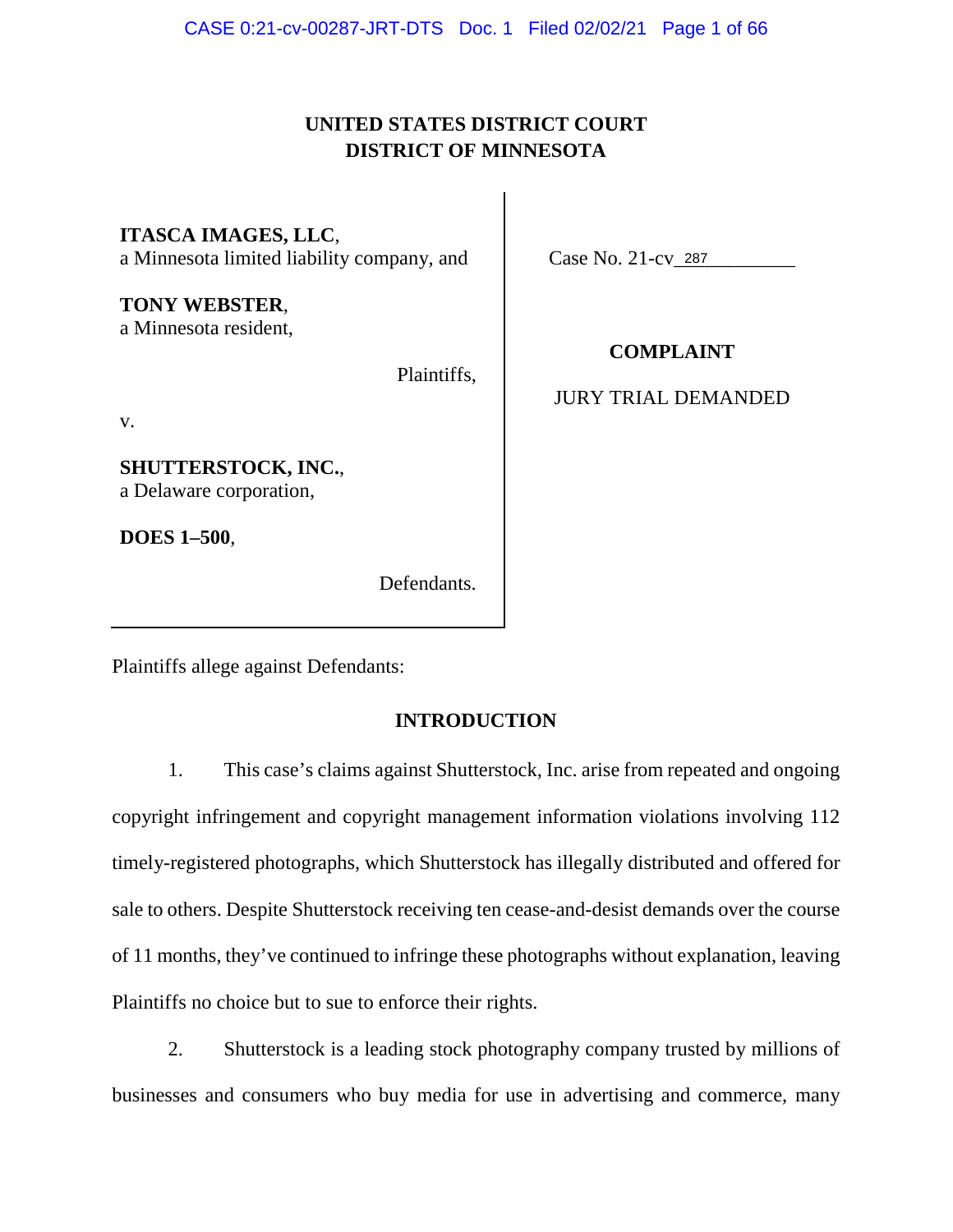## **UNITED STATES DISTRICT COURT DISTRICT OF MINNESOTA**

**ITASCA IMAGES, LLC**, a Minnesota limited liability company, and

**TONY WEBSTER**, a Minnesota resident,

Plaintiffs,

v.

**SHUTTERSTOCK, INC.**, a Delaware corporation,

**DOES 1–500**,

Defendants.

Case No. 21-cv\_287

**COMPLAINT** 

### JURY TRIAL DEMANDED

Plaintiffs allege against Defendants:

### **INTRODUCTION**

1. This case's claims against Shutterstock, Inc. arise from repeated and ongoing copyright infringement and copyright management information violations involving 112 timely-registered photographs, which Shutterstock has illegally distributed and offered for sale to others. Despite Shutterstock receiving ten cease-and-desist demands over the course of 11 months, they've continued to infringe these photographs without explanation, leaving Plaintiffs no choice but to sue to enforce their rights.

2. Shutterstock is a leading stock photography company trusted by millions of businesses and consumers who buy media for use in advertising and commerce, many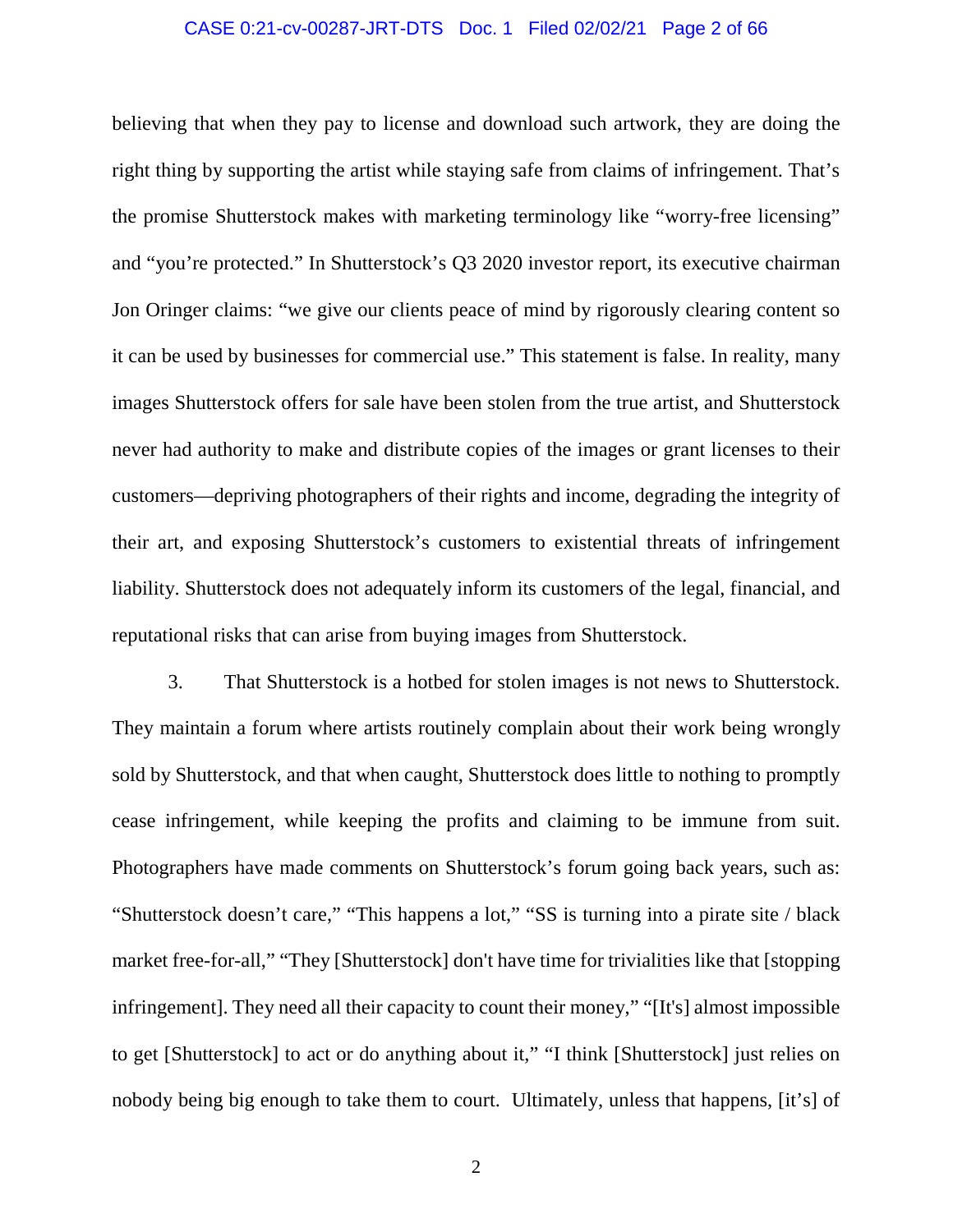### CASE 0:21-cv-00287-JRT-DTS Doc. 1 Filed 02/02/21 Page 2 of 66

believing that when they pay to license and download such artwork, they are doing the right thing by supporting the artist while staying safe from claims of infringement. That's the promise Shutterstock makes with marketing terminology like "worry-free licensing" and "you're protected." In Shutterstock's Q3 2020 investor report, its executive chairman Jon Oringer claims: "we give our clients peace of mind by rigorously clearing content so it can be used by businesses for commercial use." This statement is false. In reality, many images Shutterstock offers for sale have been stolen from the true artist, and Shutterstock never had authority to make and distribute copies of the images or grant licenses to their customers—depriving photographers of their rights and income, degrading the integrity of their art, and exposing Shutterstock's customers to existential threats of infringement liability. Shutterstock does not adequately inform its customers of the legal, financial, and reputational risks that can arise from buying images from Shutterstock.

3. That Shutterstock is a hotbed for stolen images is not news to Shutterstock. They maintain a forum where artists routinely complain about their work being wrongly sold by Shutterstock, and that when caught, Shutterstock does little to nothing to promptly cease infringement, while keeping the profits and claiming to be immune from suit. Photographers have made comments on Shutterstock's forum going back years, such as: "Shutterstock doesn't care," "This happens a lot," "SS is turning into a pirate site / black market free-for-all," "They [Shutterstock] don't have time for trivialities like that [stopping infringement]. They need all their capacity to count their money," "[It's] almost impossible to get [Shutterstock] to act or do anything about it," "I think [Shutterstock] just relies on nobody being big enough to take them to court. Ultimately, unless that happens, [it's] of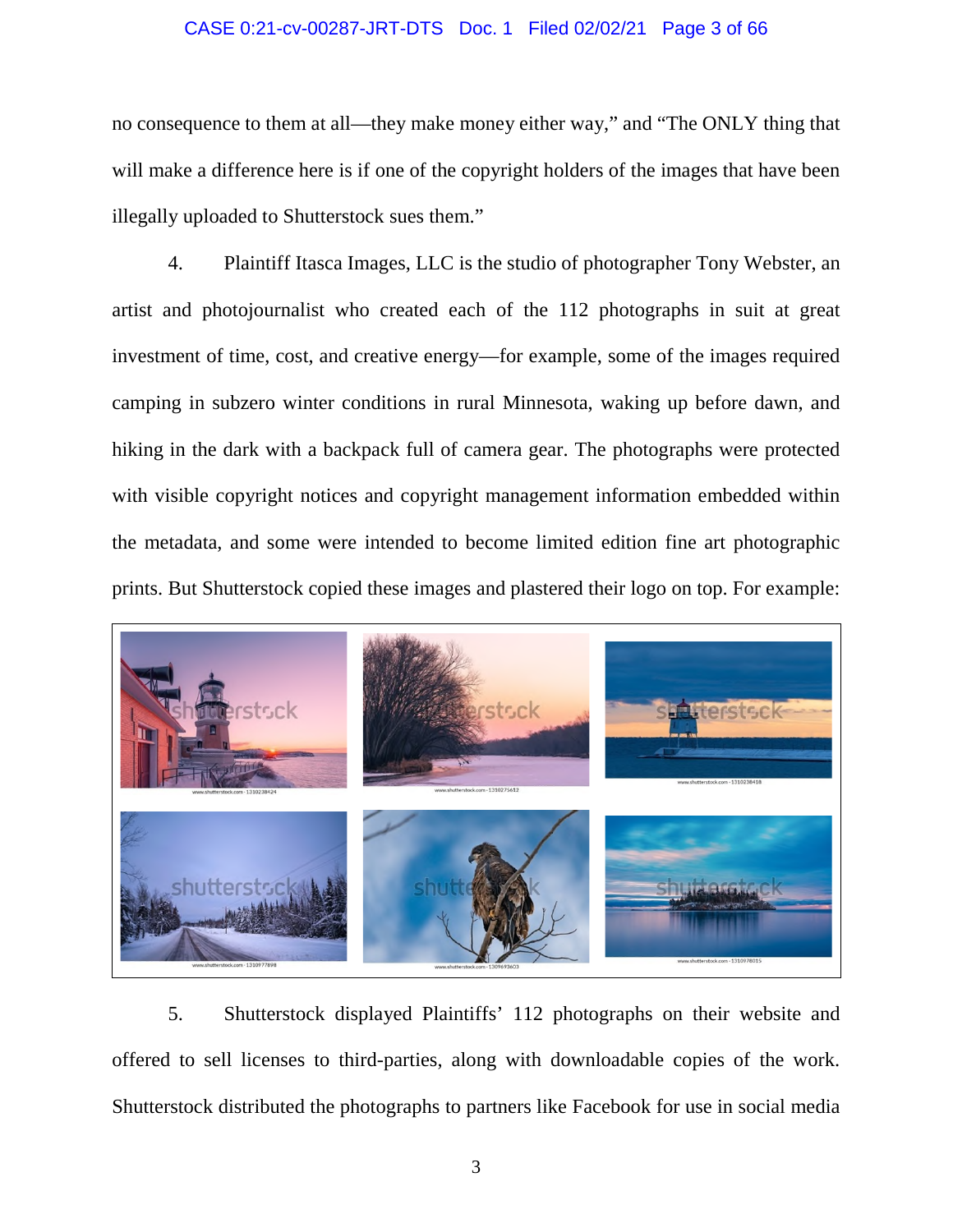### CASE 0:21-cv-00287-JRT-DTS Doc. 1 Filed 02/02/21 Page 3 of 66

no consequence to them at all—they make money either way," and "The ONLY thing that will make a difference here is if one of the copyright holders of the images that have been illegally uploaded to Shutterstock sues them."

4. Plaintiff Itasca Images, LLC is the studio of photographer Tony Webster, an artist and photojournalist who created each of the 112 photographs in suit at great investment of time, cost, and creative energy—for example, some of the images required camping in subzero winter conditions in rural Minnesota, waking up before dawn, and hiking in the dark with a backpack full of camera gear. The photographs were protected with visible copyright notices and copyright management information embedded within the metadata, and some were intended to become limited edition fine art photographic prints. But Shutterstock copied these images and plastered their logo on top. For example:



5. Shutterstock displayed Plaintiffs' 112 photographs on their website and offered to sell licenses to third-parties, along with downloadable copies of the work. Shutterstock distributed the photographs to partners like Facebook for use in social media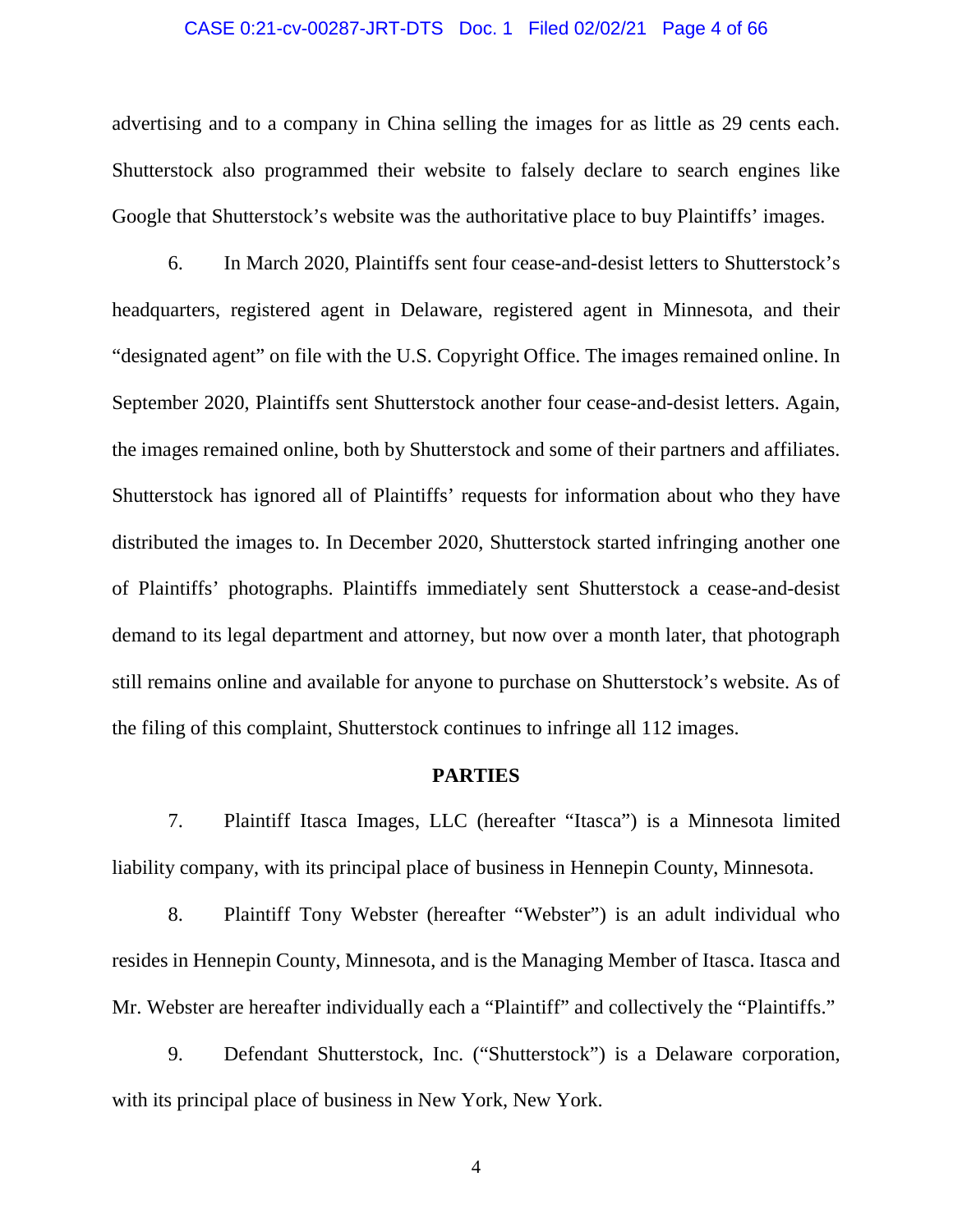### CASE 0:21-cv-00287-JRT-DTS Doc. 1 Filed 02/02/21 Page 4 of 66

advertising and to a company in China selling the images for as little as 29 cents each. Shutterstock also programmed their website to falsely declare to search engines like Google that Shutterstock's website was the authoritative place to buy Plaintiffs' images.

6. In March 2020, Plaintiffs sent four cease-and-desist letters to Shutterstock's headquarters, registered agent in Delaware, registered agent in Minnesota, and their "designated agent" on file with the U.S. Copyright Office. The images remained online. In September 2020, Plaintiffs sent Shutterstock another four cease-and-desist letters. Again, the images remained online, both by Shutterstock and some of their partners and affiliates. Shutterstock has ignored all of Plaintiffs' requests for information about who they have distributed the images to. In December 2020, Shutterstock started infringing another one of Plaintiffs' photographs. Plaintiffs immediately sent Shutterstock a cease-and-desist demand to its legal department and attorney, but now over a month later, that photograph still remains online and available for anyone to purchase on Shutterstock's website. As of the filing of this complaint, Shutterstock continues to infringe all 112 images.

### **PARTIES**

7. Plaintiff Itasca Images, LLC (hereafter "Itasca") is a Minnesota limited liability company, with its principal place of business in Hennepin County, Minnesota.

8. Plaintiff Tony Webster (hereafter "Webster") is an adult individual who resides in Hennepin County, Minnesota, and is the Managing Member of Itasca. Itasca and Mr. Webster are hereafter individually each a "Plaintiff" and collectively the "Plaintiffs."

9. Defendant Shutterstock, Inc. ("Shutterstock") is a Delaware corporation, with its principal place of business in New York, New York.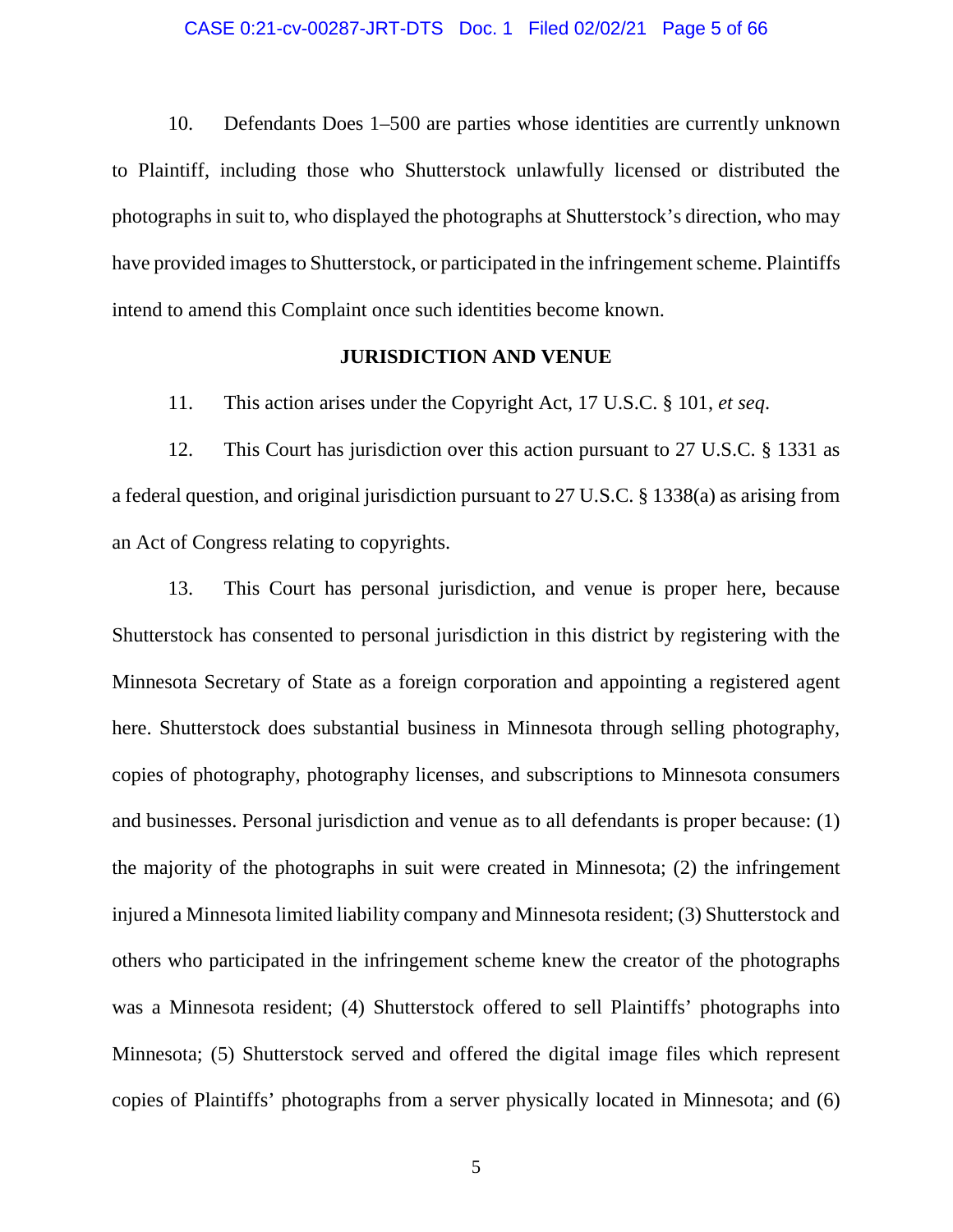10. Defendants Does 1–500 are parties whose identities are currently unknown to Plaintiff, including those who Shutterstock unlawfully licensed or distributed the photographs in suit to, who displayed the photographs at Shutterstock's direction, who may have provided images to Shutterstock, or participated in the infringement scheme. Plaintiffs intend to amend this Complaint once such identities become known.

### **JURISDICTION AND VENUE**

11. This action arises under the Copyright Act, 17 U.S.C. § 101, *et seq*.

12. This Court has jurisdiction over this action pursuant to 27 U.S.C. § 1331 as a federal question, and original jurisdiction pursuant to 27 U.S.C. § 1338(a) as arising from an Act of Congress relating to copyrights.

13. This Court has personal jurisdiction, and venue is proper here, because Shutterstock has consented to personal jurisdiction in this district by registering with the Minnesota Secretary of State as a foreign corporation and appointing a registered agent here. Shutterstock does substantial business in Minnesota through selling photography, copies of photography, photography licenses, and subscriptions to Minnesota consumers and businesses. Personal jurisdiction and venue as to all defendants is proper because: (1) the majority of the photographs in suit were created in Minnesota; (2) the infringement injured a Minnesota limited liability company and Minnesota resident; (3) Shutterstock and others who participated in the infringement scheme knew the creator of the photographs was a Minnesota resident; (4) Shutterstock offered to sell Plaintiffs' photographs into Minnesota; (5) Shutterstock served and offered the digital image files which represent copies of Plaintiffs' photographs from a server physically located in Minnesota; and (6)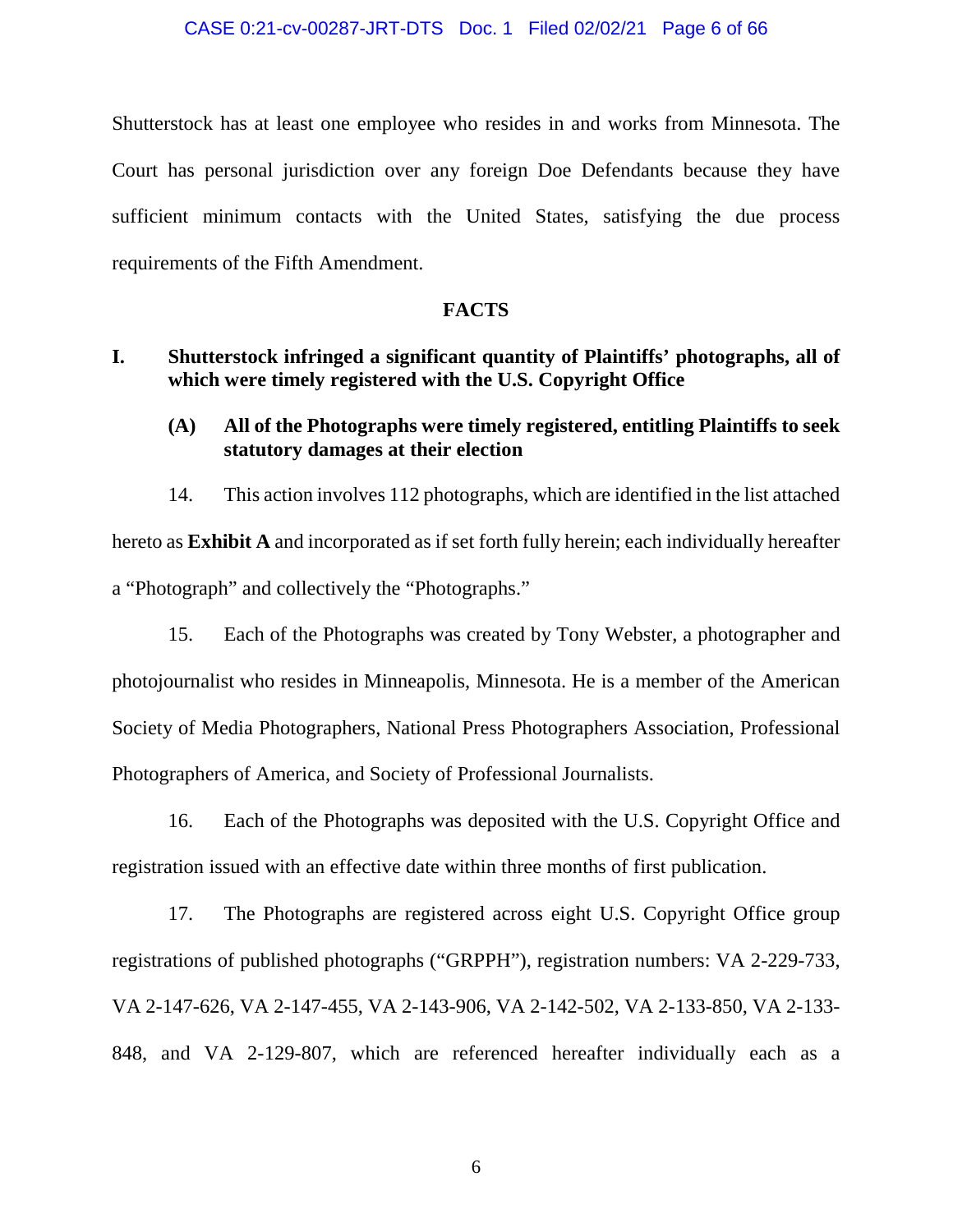Shutterstock has at least one employee who resides in and works from Minnesota. The Court has personal jurisdiction over any foreign Doe Defendants because they have sufficient minimum contacts with the United States, satisfying the due process requirements of the Fifth Amendment.

### **FACTS**

### **I. Shutterstock infringed a significant quantity of Plaintiffs' photographs, all of which were timely registered with the U.S. Copyright Office**

**(A) All of the Photographs were timely registered, entitling Plaintiffs to seek statutory damages at their election** 

14. This action involves 112 photographs, which are identified in the list attached hereto as **Exhibit A** and incorporated as if set forth fully herein; each individually hereafter a "Photograph" and collectively the "Photographs."

15. Each of the Photographs was created by Tony Webster, a photographer and photojournalist who resides in Minneapolis, Minnesota. He is a member of the American Society of Media Photographers, National Press Photographers Association, Professional Photographers of America, and Society of Professional Journalists.

16. Each of the Photographs was deposited with the U.S. Copyright Office and registration issued with an effective date within three months of first publication.

17. The Photographs are registered across eight U.S. Copyright Office group registrations of published photographs ("GRPPH"), registration numbers: VA 2-229-733, VA 2-147-626, VA 2-147-455, VA 2-143-906, VA 2-142-502, VA 2-133-850, VA 2-133- 848, and VA 2-129-807, which are referenced hereafter individually each as a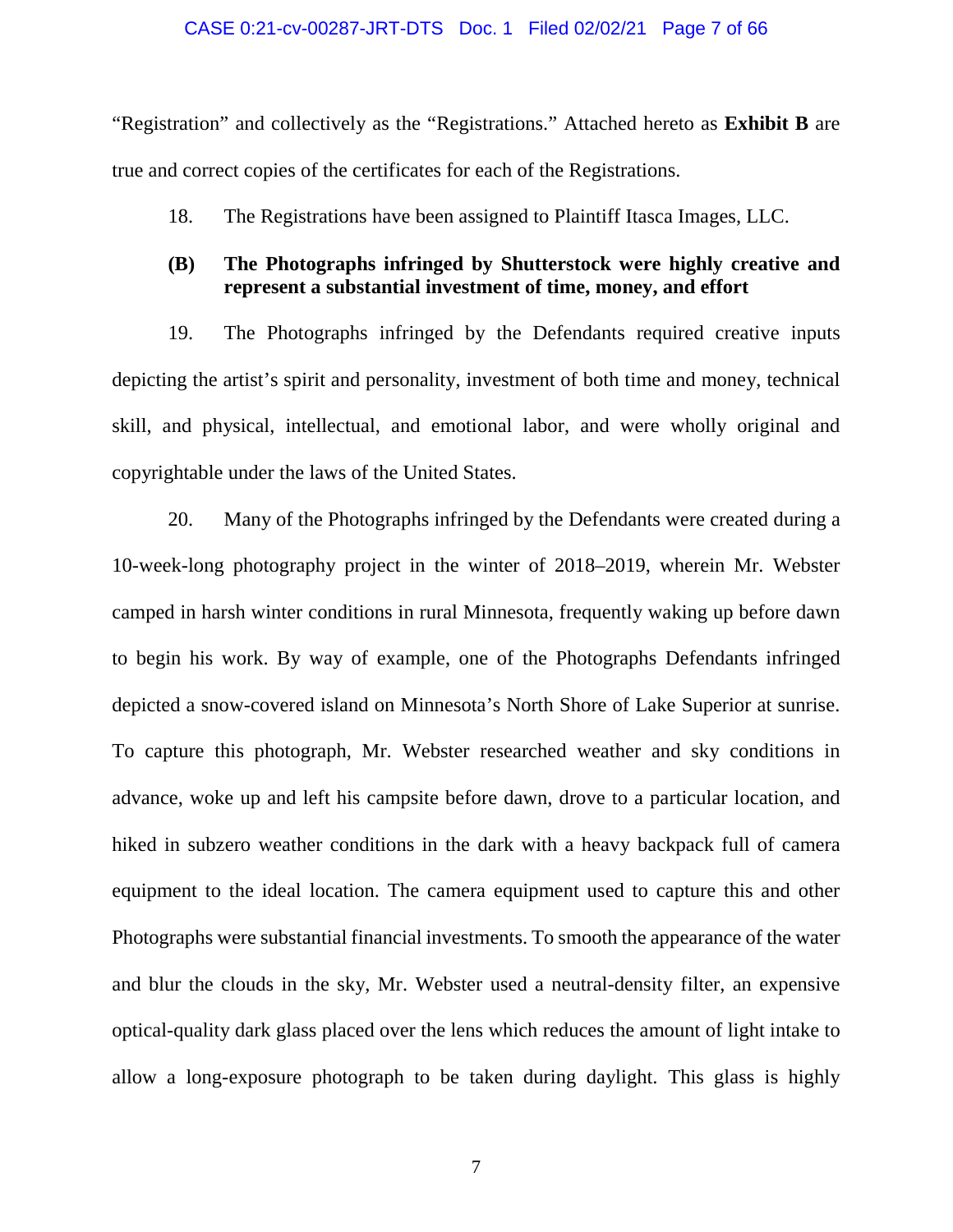#### CASE 0:21-cv-00287-JRT-DTS Doc. 1 Filed 02/02/21 Page 7 of 66

"Registration" and collectively as the "Registrations." Attached hereto as **Exhibit B** are true and correct copies of the certificates for each of the Registrations.

18. The Registrations have been assigned to Plaintiff Itasca Images, LLC.

### **(B) The Photographs infringed by Shutterstock were highly creative and represent a substantial investment of time, money, and effort**

19. The Photographs infringed by the Defendants required creative inputs depicting the artist's spirit and personality, investment of both time and money, technical skill, and physical, intellectual, and emotional labor, and were wholly original and copyrightable under the laws of the United States.

20. Many of the Photographs infringed by the Defendants were created during a 10-week-long photography project in the winter of 2018–2019, wherein Mr. Webster camped in harsh winter conditions in rural Minnesota, frequently waking up before dawn to begin his work. By way of example, one of the Photographs Defendants infringed depicted a snow-covered island on Minnesota's North Shore of Lake Superior at sunrise. To capture this photograph, Mr. Webster researched weather and sky conditions in advance, woke up and left his campsite before dawn, drove to a particular location, and hiked in subzero weather conditions in the dark with a heavy backpack full of camera equipment to the ideal location. The camera equipment used to capture this and other Photographs were substantial financial investments. To smooth the appearance of the water and blur the clouds in the sky, Mr. Webster used a neutral-density filter, an expensive optical-quality dark glass placed over the lens which reduces the amount of light intake to allow a long-exposure photograph to be taken during daylight. This glass is highly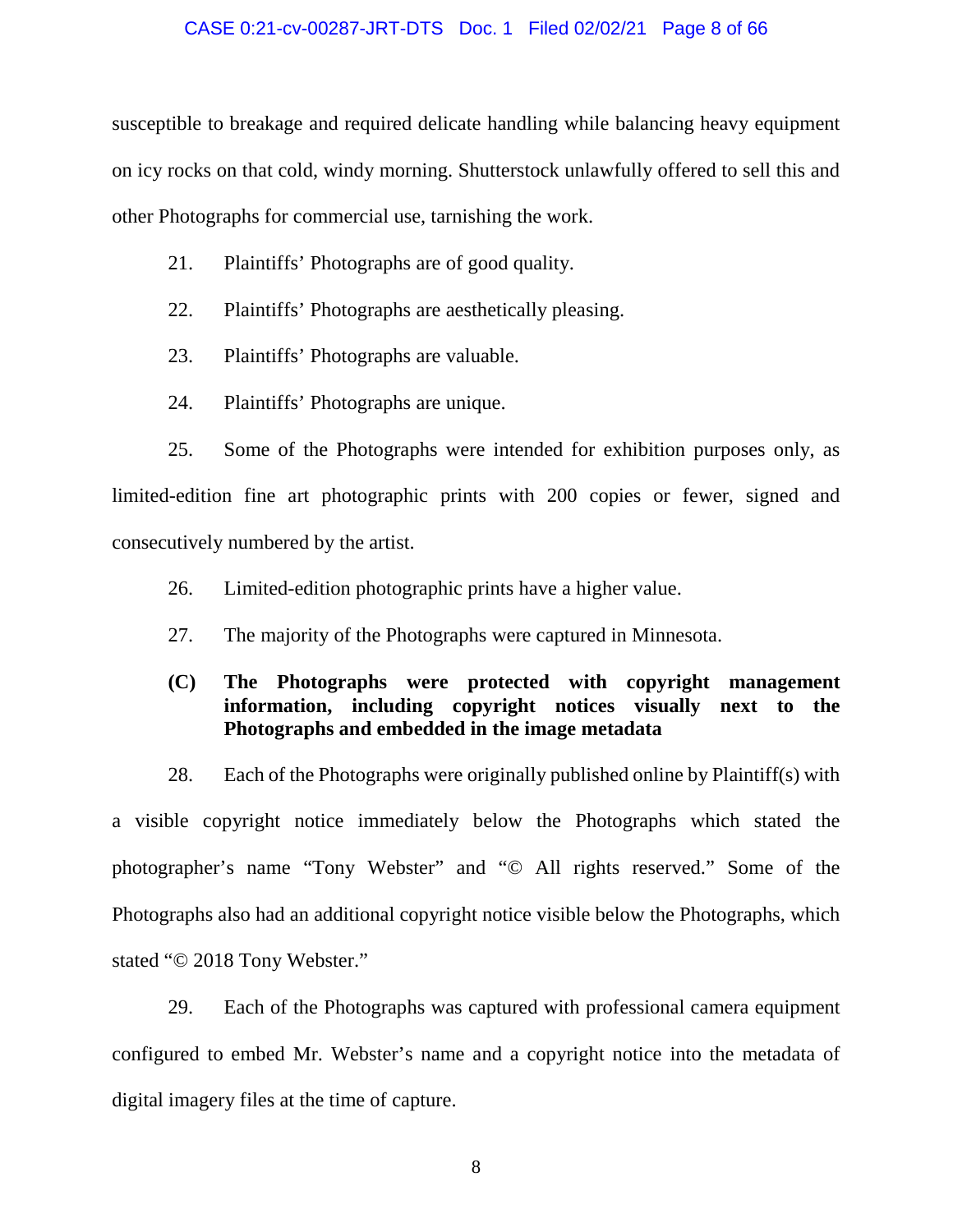#### CASE 0:21-cv-00287-JRT-DTS Doc. 1 Filed 02/02/21 Page 8 of 66

susceptible to breakage and required delicate handling while balancing heavy equipment on icy rocks on that cold, windy morning. Shutterstock unlawfully offered to sell this and other Photographs for commercial use, tarnishing the work.

- 21. Plaintiffs' Photographs are of good quality.
- 22. Plaintiffs' Photographs are aesthetically pleasing.
- 23. Plaintiffs' Photographs are valuable.
- 24. Plaintiffs' Photographs are unique.

25. Some of the Photographs were intended for exhibition purposes only, as limited-edition fine art photographic prints with 200 copies or fewer, signed and consecutively numbered by the artist.

- 26. Limited-edition photographic prints have a higher value.
- 27. The majority of the Photographs were captured in Minnesota.

### **(C) The Photographs were protected with copyright management information, including copyright notices visually next to the Photographs and embedded in the image metadata**

28. Each of the Photographs were originally published online by Plaintiff(s) with a visible copyright notice immediately below the Photographs which stated the photographer's name "Tony Webster" and "© All rights reserved." Some of the Photographs also had an additional copyright notice visible below the Photographs, which stated "© 2018 Tony Webster."

29. Each of the Photographs was captured with professional camera equipment configured to embed Mr. Webster's name and a copyright notice into the metadata of digital imagery files at the time of capture.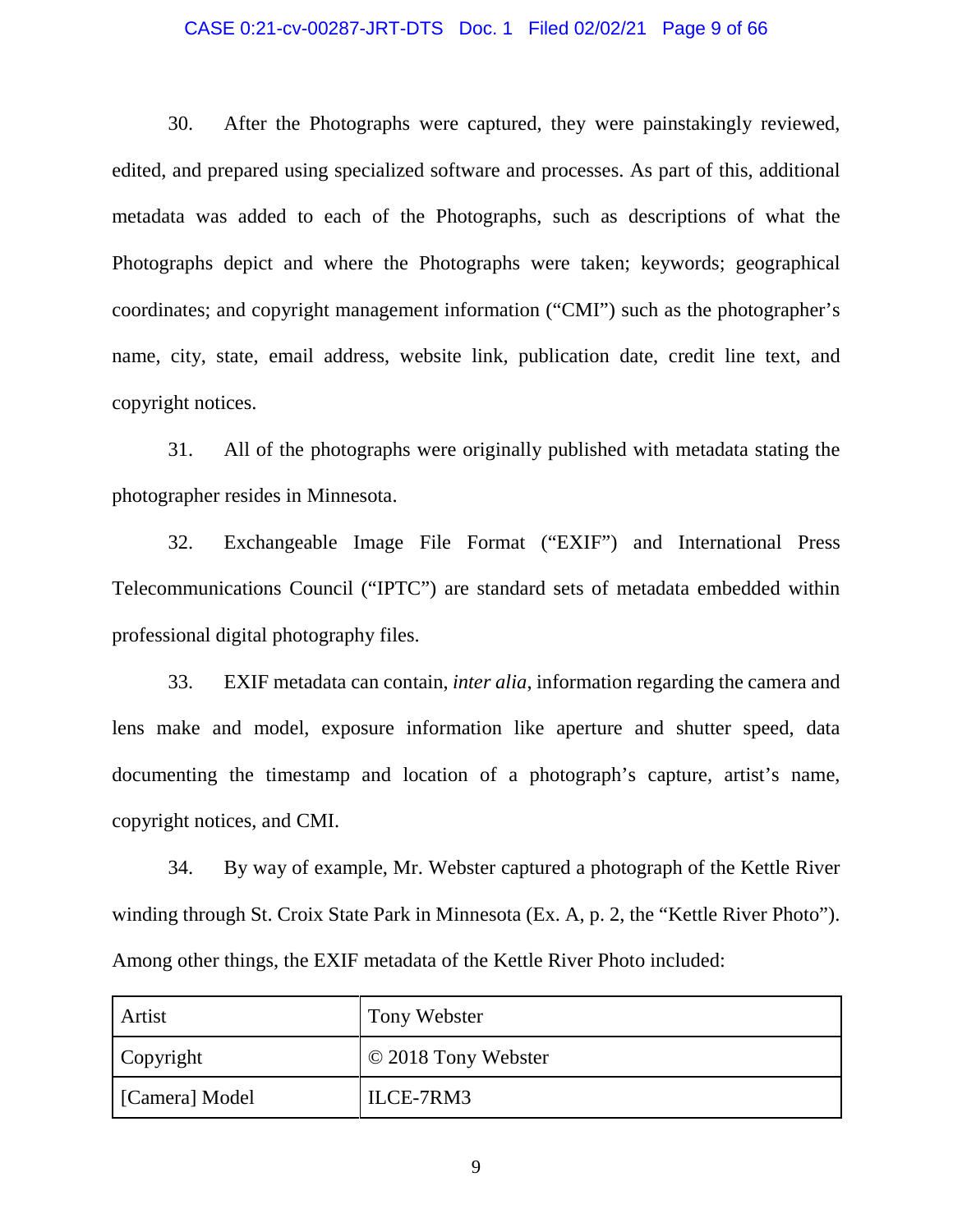### CASE 0:21-cv-00287-JRT-DTS Doc. 1 Filed 02/02/21 Page 9 of 66

30. After the Photographs were captured, they were painstakingly reviewed, edited, and prepared using specialized software and processes. As part of this, additional metadata was added to each of the Photographs, such as descriptions of what the Photographs depict and where the Photographs were taken; keywords; geographical coordinates; and copyright management information ("CMI") such as the photographer's name, city, state, email address, website link, publication date, credit line text, and copyright notices.

31. All of the photographs were originally published with metadata stating the photographer resides in Minnesota.

32. Exchangeable Image File Format ("EXIF") and International Press Telecommunications Council ("IPTC") are standard sets of metadata embedded within professional digital photography files.

33. EXIF metadata can contain, *inter alia*, information regarding the camera and lens make and model, exposure information like aperture and shutter speed, data documenting the timestamp and location of a photograph's capture, artist's name, copyright notices, and CMI.

34. By way of example, Mr. Webster captured a photograph of the Kettle River winding through St. Croix State Park in Minnesota (Ex. A, p. 2, the "Kettle River Photo"). Among other things, the EXIF metadata of the Kettle River Photo included:

| Artist         | Tony Webster        |
|----------------|---------------------|
| Copyright      | © 2018 Tony Webster |
| [Camera] Model | ILCE-7RM3           |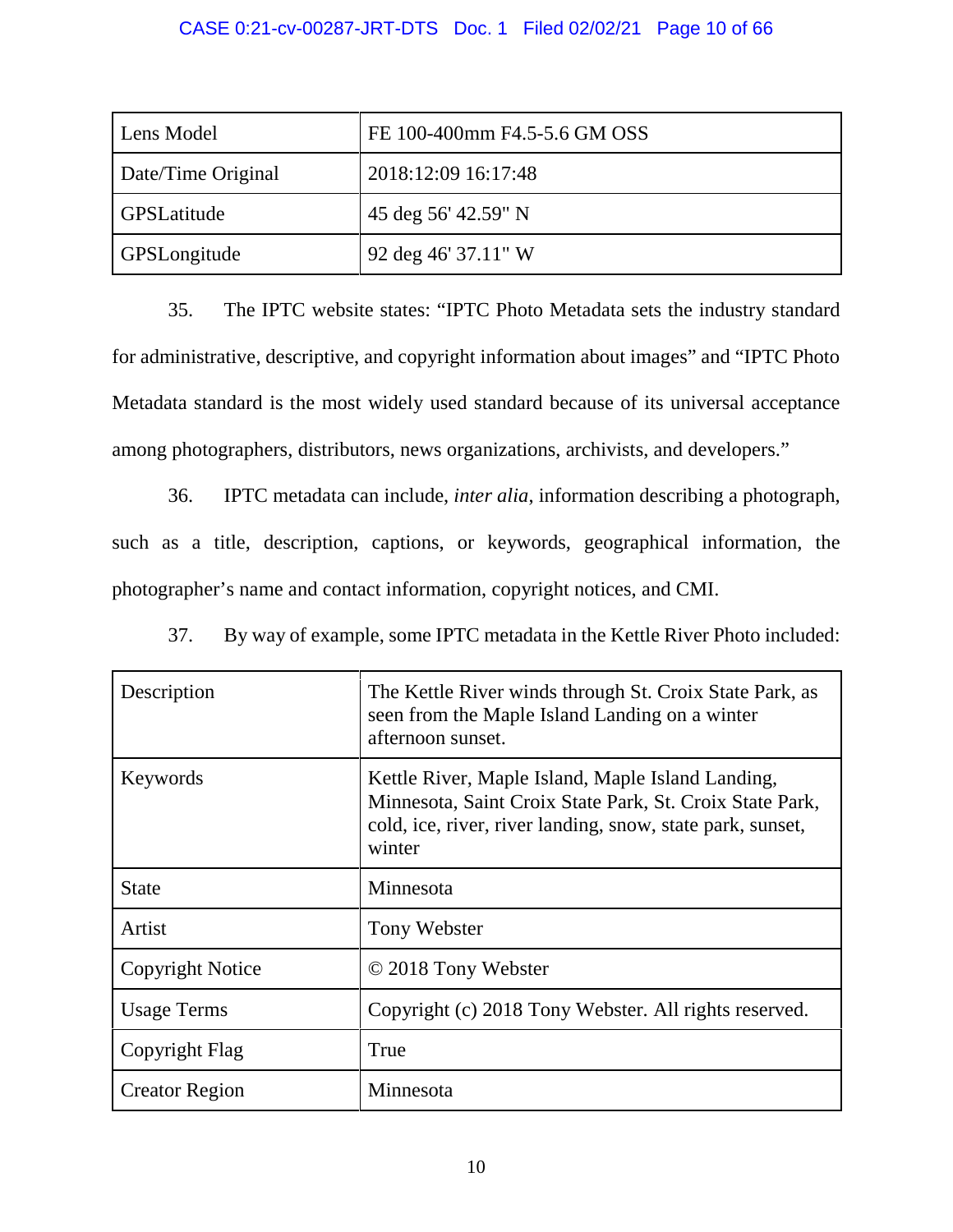### CASE 0:21-cv-00287-JRT-DTS Doc. 1 Filed 02/02/21 Page 10 of 66

| Lens Model          | FE 100-400mm F4.5-5.6 GM OSS |
|---------------------|------------------------------|
| Date/Time Original  | 2018:12:09 16:17:48          |
| GPSLatitude         | 45 deg 56' 42.59" N          |
| <b>GPSLongitude</b> | 92 deg 46' 37.11" W          |

35. The IPTC website states: "IPTC Photo Metadata sets the industry standard for administrative, descriptive, and copyright information about images" and "IPTC Photo Metadata standard is the most widely used standard because of its universal acceptance among photographers, distributors, news organizations, archivists, and developers."

36. IPTC metadata can include, *inter alia*, information describing a photograph, such as a title, description, captions, or keywords, geographical information, the photographer's name and contact information, copyright notices, and CMI.

37. By way of example, some IPTC metadata in the Kettle River Photo included:

| Description           | The Kettle River winds through St. Croix State Park, as<br>seen from the Maple Island Landing on a winter<br>afternoon sunset.                                                        |
|-----------------------|---------------------------------------------------------------------------------------------------------------------------------------------------------------------------------------|
| Keywords              | Kettle River, Maple Island, Maple Island Landing,<br>Minnesota, Saint Croix State Park, St. Croix State Park,<br>cold, ice, river, river landing, snow, state park, sunset,<br>winter |
| <b>State</b>          | Minnesota                                                                                                                                                                             |
| Artist                | Tony Webster                                                                                                                                                                          |
| Copyright Notice      | © 2018 Tony Webster                                                                                                                                                                   |
| <b>Usage Terms</b>    | Copyright (c) 2018 Tony Webster. All rights reserved.                                                                                                                                 |
| Copyright Flag        | True                                                                                                                                                                                  |
| <b>Creator Region</b> | Minnesota                                                                                                                                                                             |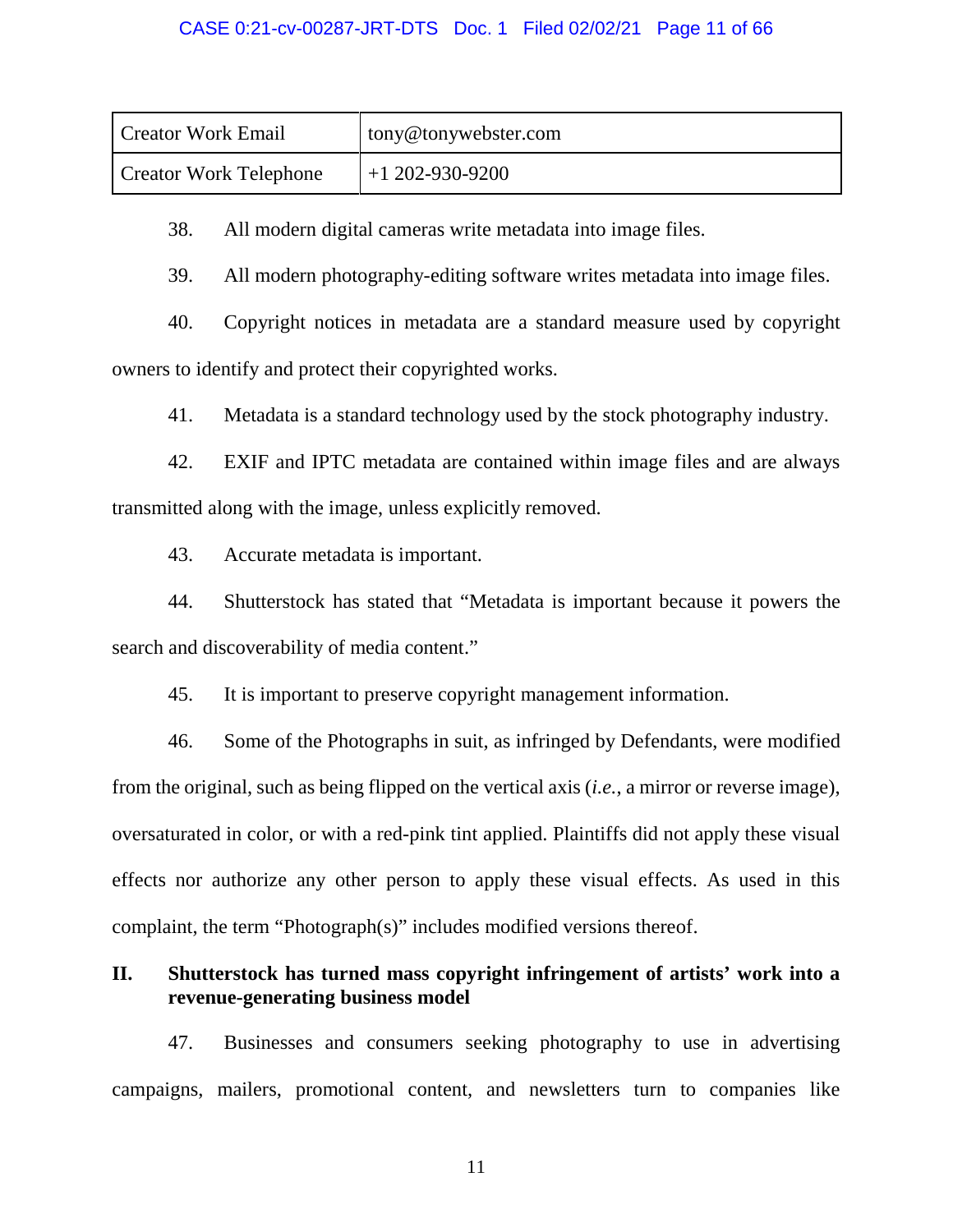### CASE 0:21-cv-00287-JRT-DTS Doc. 1 Filed 02/02/21 Page 11 of 66

| Creator Work Email            | tony@tonywebster.com |
|-------------------------------|----------------------|
| <b>Creator Work Telephone</b> | $+1$ 202-930-9200    |

38. All modern digital cameras write metadata into image files.

39. All modern photography-editing software writes metadata into image files.

40. Copyright notices in metadata are a standard measure used by copyright owners to identify and protect their copyrighted works.

41. Metadata is a standard technology used by the stock photography industry.

42. EXIF and IPTC metadata are contained within image files and are always transmitted along with the image, unless explicitly removed.

43. Accurate metadata is important.

44. Shutterstock has stated that "Metadata is important because it powers the search and discoverability of media content."

45. It is important to preserve copyright management information.

46. Some of the Photographs in suit, as infringed by Defendants, were modified from the original, such as being flipped on the vertical axis (*i.e.*, a mirror or reverse image), oversaturated in color, or with a red-pink tint applied. Plaintiffs did not apply these visual effects nor authorize any other person to apply these visual effects. As used in this complaint, the term "Photograph(s)" includes modified versions thereof.

### **II. Shutterstock has turned mass copyright infringement of artists' work into a revenue-generating business model**

47. Businesses and consumers seeking photography to use in advertising campaigns, mailers, promotional content, and newsletters turn to companies like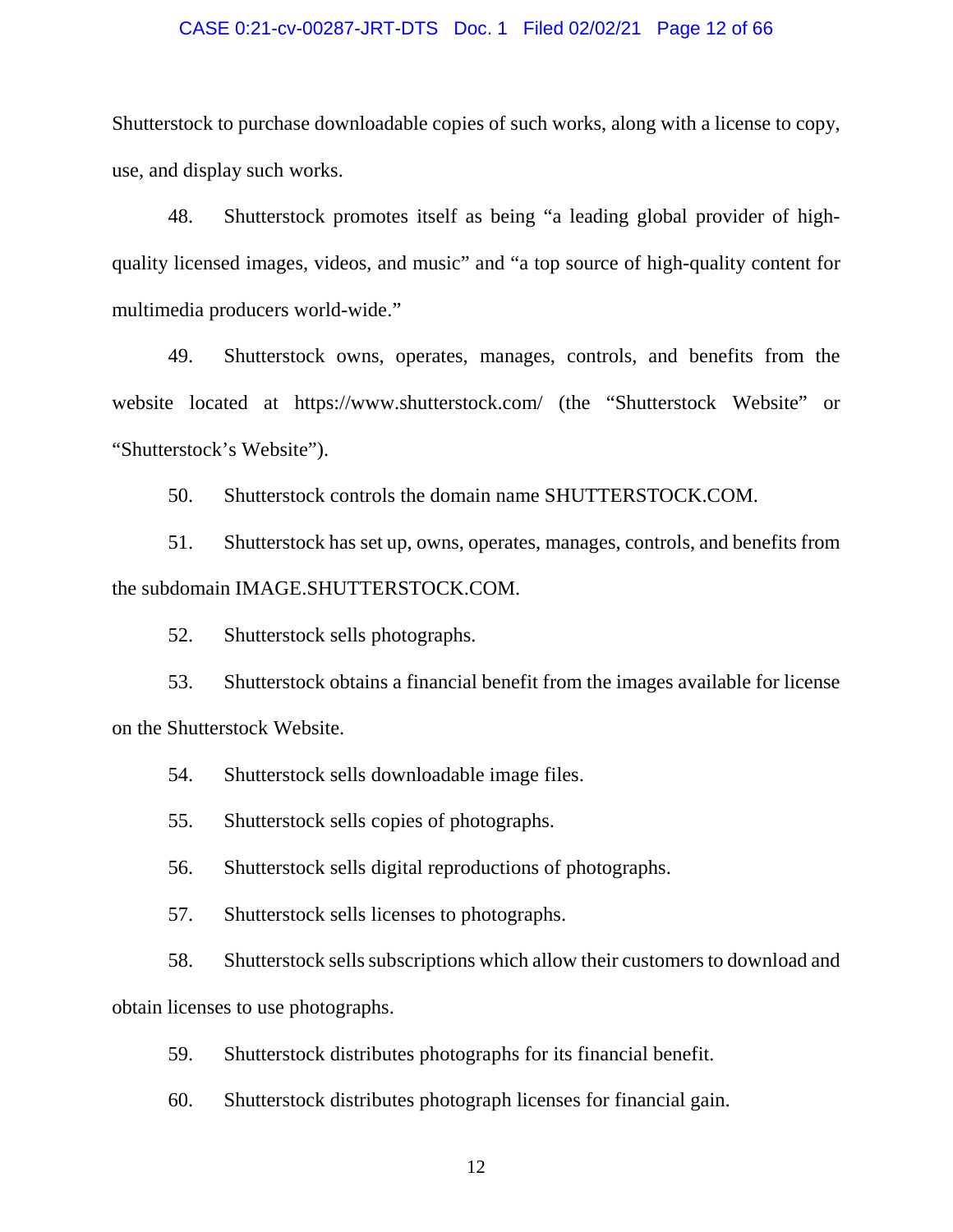#### CASE 0:21-cv-00287-JRT-DTS Doc. 1 Filed 02/02/21 Page 12 of 66

Shutterstock to purchase downloadable copies of such works, along with a license to copy, use, and display such works.

48. Shutterstock promotes itself as being "a leading global provider of highquality licensed images, videos, and music" and "a top source of high-quality content for multimedia producers world-wide."

49. Shutterstock owns, operates, manages, controls, and benefits from the website located at https://www.shutterstock.com/ (the "Shutterstock Website" or "Shutterstock's Website").

50. Shutterstock controls the domain name SHUTTERSTOCK.COM.

51. Shutterstock has set up, owns, operates, manages, controls, and benefits from the subdomain IMAGE.SHUTTERSTOCK.COM.

52. Shutterstock sells photographs.

53. Shutterstock obtains a financial benefit from the images available for license on the Shutterstock Website.

54. Shutterstock sells downloadable image files.

55. Shutterstock sells copies of photographs.

56. Shutterstock sells digital reproductions of photographs.

57. Shutterstock sells licenses to photographs.

58. Shutterstock sells subscriptions which allow their customers to download and obtain licenses to use photographs.

59. Shutterstock distributes photographs for its financial benefit.

60. Shutterstock distributes photograph licenses for financial gain.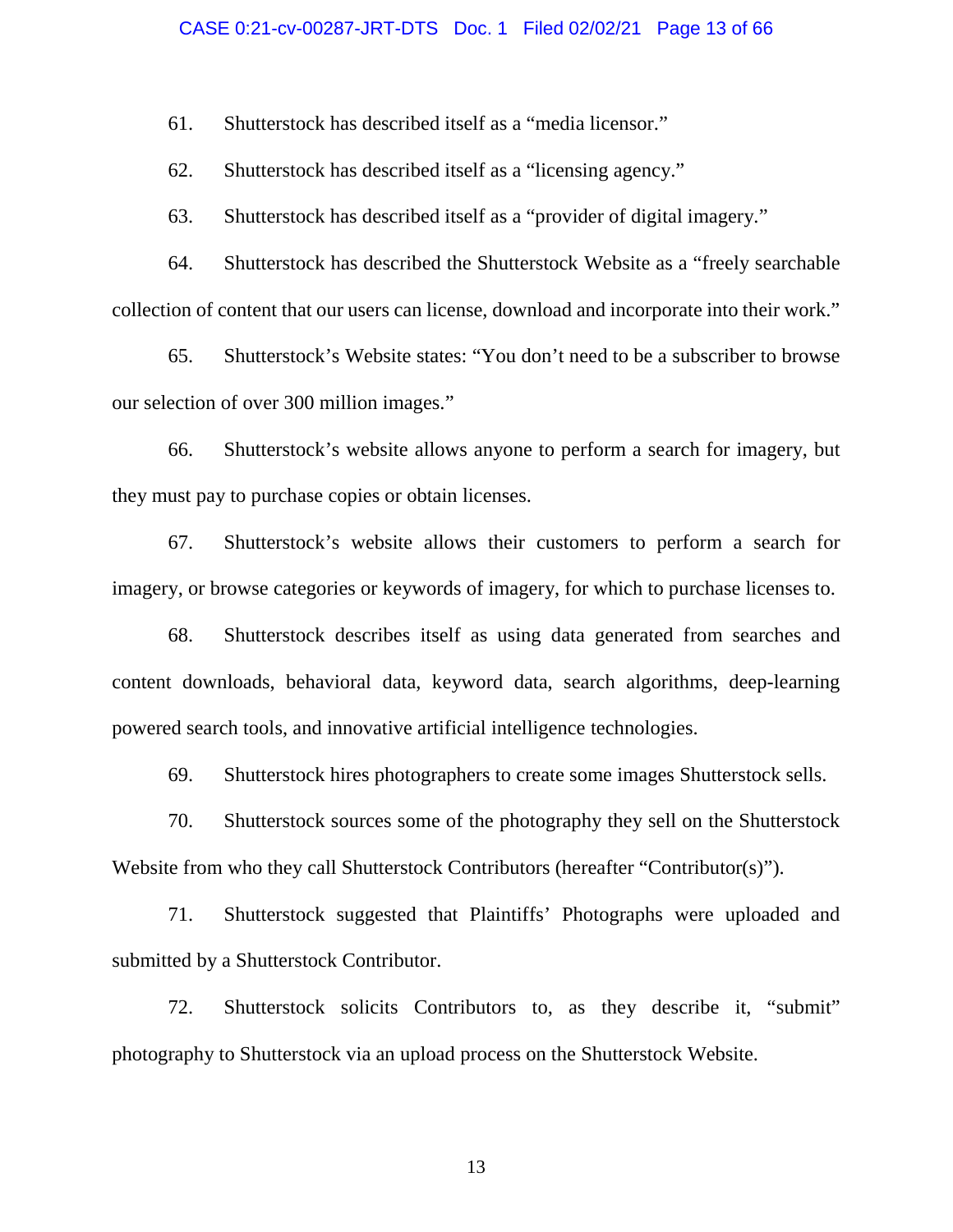#### CASE 0:21-cv-00287-JRT-DTS Doc. 1 Filed 02/02/21 Page 13 of 66

61. Shutterstock has described itself as a "media licensor."

62. Shutterstock has described itself as a "licensing agency."

63. Shutterstock has described itself as a "provider of digital imagery."

64. Shutterstock has described the Shutterstock Website as a "freely searchable collection of content that our users can license, download and incorporate into their work."

65. Shutterstock's Website states: "You don't need to be a subscriber to browse our selection of over 300 million images."

66. Shutterstock's website allows anyone to perform a search for imagery, but they must pay to purchase copies or obtain licenses.

67. Shutterstock's website allows their customers to perform a search for imagery, or browse categories or keywords of imagery, for which to purchase licenses to.

68. Shutterstock describes itself as using data generated from searches and content downloads, behavioral data, keyword data, search algorithms, deep-learning powered search tools, and innovative artificial intelligence technologies.

69. Shutterstock hires photographers to create some images Shutterstock sells.

70. Shutterstock sources some of the photography they sell on the Shutterstock Website from who they call Shutterstock Contributors (hereafter "Contributor(s)").

71. Shutterstock suggested that Plaintiffs' Photographs were uploaded and submitted by a Shutterstock Contributor.

72. Shutterstock solicits Contributors to, as they describe it, "submit" photography to Shutterstock via an upload process on the Shutterstock Website.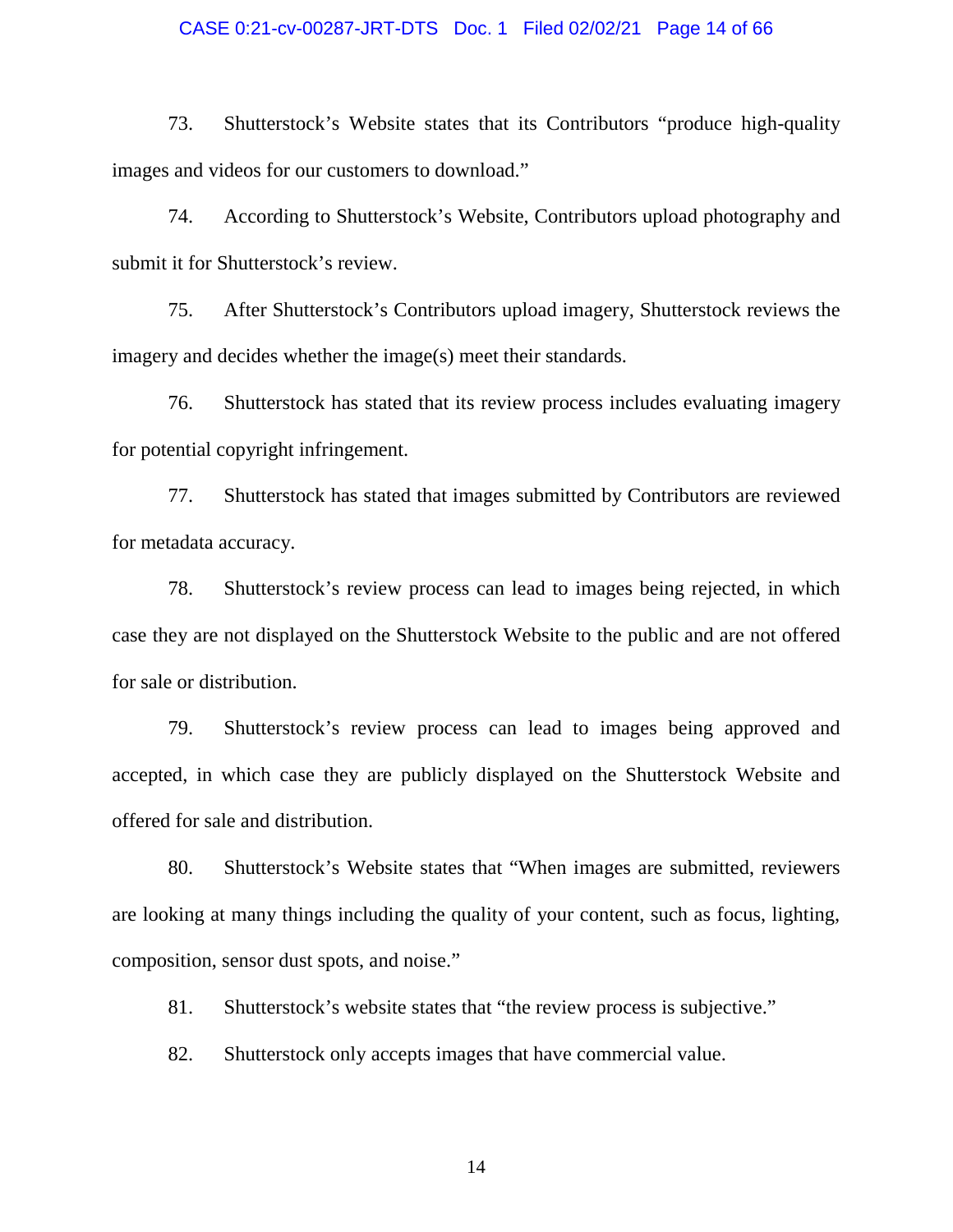#### CASE 0:21-cv-00287-JRT-DTS Doc. 1 Filed 02/02/21 Page 14 of 66

73. Shutterstock's Website states that its Contributors "produce high-quality images and videos for our customers to download."

74. According to Shutterstock's Website, Contributors upload photography and submit it for Shutterstock's review.

75. After Shutterstock's Contributors upload imagery, Shutterstock reviews the imagery and decides whether the image(s) meet their standards.

76. Shutterstock has stated that its review process includes evaluating imagery for potential copyright infringement.

77. Shutterstock has stated that images submitted by Contributors are reviewed for metadata accuracy.

78. Shutterstock's review process can lead to images being rejected, in which case they are not displayed on the Shutterstock Website to the public and are not offered for sale or distribution.

79. Shutterstock's review process can lead to images being approved and accepted, in which case they are publicly displayed on the Shutterstock Website and offered for sale and distribution.

80. Shutterstock's Website states that "When images are submitted, reviewers are looking at many things including the quality of your content, such as focus, lighting, composition, sensor dust spots, and noise."

81. Shutterstock's website states that "the review process is subjective."

82. Shutterstock only accepts images that have commercial value.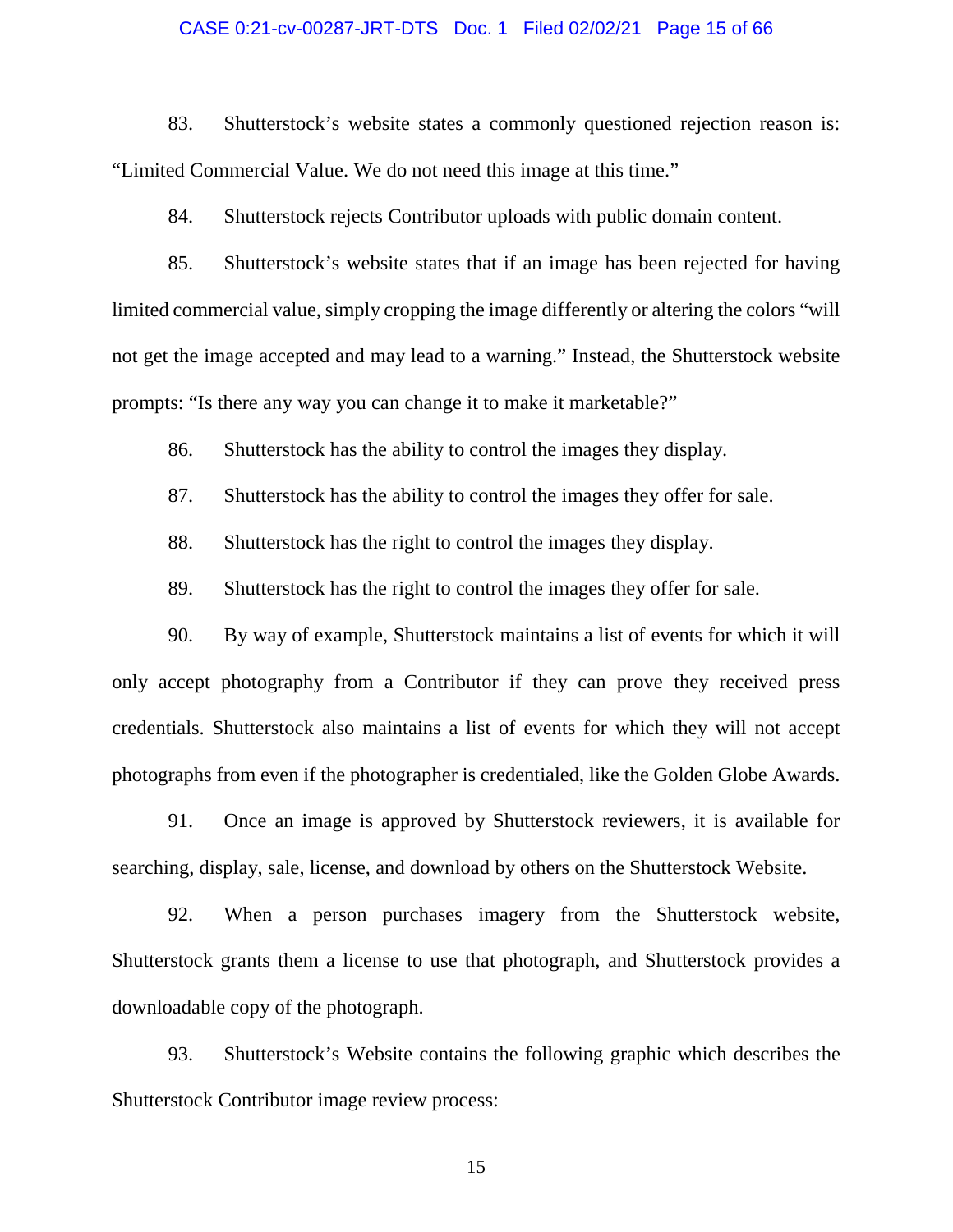### CASE 0:21-cv-00287-JRT-DTS Doc. 1 Filed 02/02/21 Page 15 of 66

83. Shutterstock's website states a commonly questioned rejection reason is: "Limited Commercial Value. We do not need this image at this time."

84. Shutterstock rejects Contributor uploads with public domain content.

85. Shutterstock's website states that if an image has been rejected for having limited commercial value, simply cropping the image differently or altering the colors "will not get the image accepted and may lead to a warning." Instead, the Shutterstock website prompts: "Is there any way you can change it to make it marketable?"

86. Shutterstock has the ability to control the images they display.

- 87. Shutterstock has the ability to control the images they offer for sale.
- 88. Shutterstock has the right to control the images they display.
- 89. Shutterstock has the right to control the images they offer for sale.

90. By way of example, Shutterstock maintains a list of events for which it will only accept photography from a Contributor if they can prove they received press credentials. Shutterstock also maintains a list of events for which they will not accept photographs from even if the photographer is credentialed, like the Golden Globe Awards.

91. Once an image is approved by Shutterstock reviewers, it is available for searching, display, sale, license, and download by others on the Shutterstock Website.

92. When a person purchases imagery from the Shutterstock website, Shutterstock grants them a license to use that photograph, and Shutterstock provides a downloadable copy of the photograph.

93. Shutterstock's Website contains the following graphic which describes the Shutterstock Contributor image review process: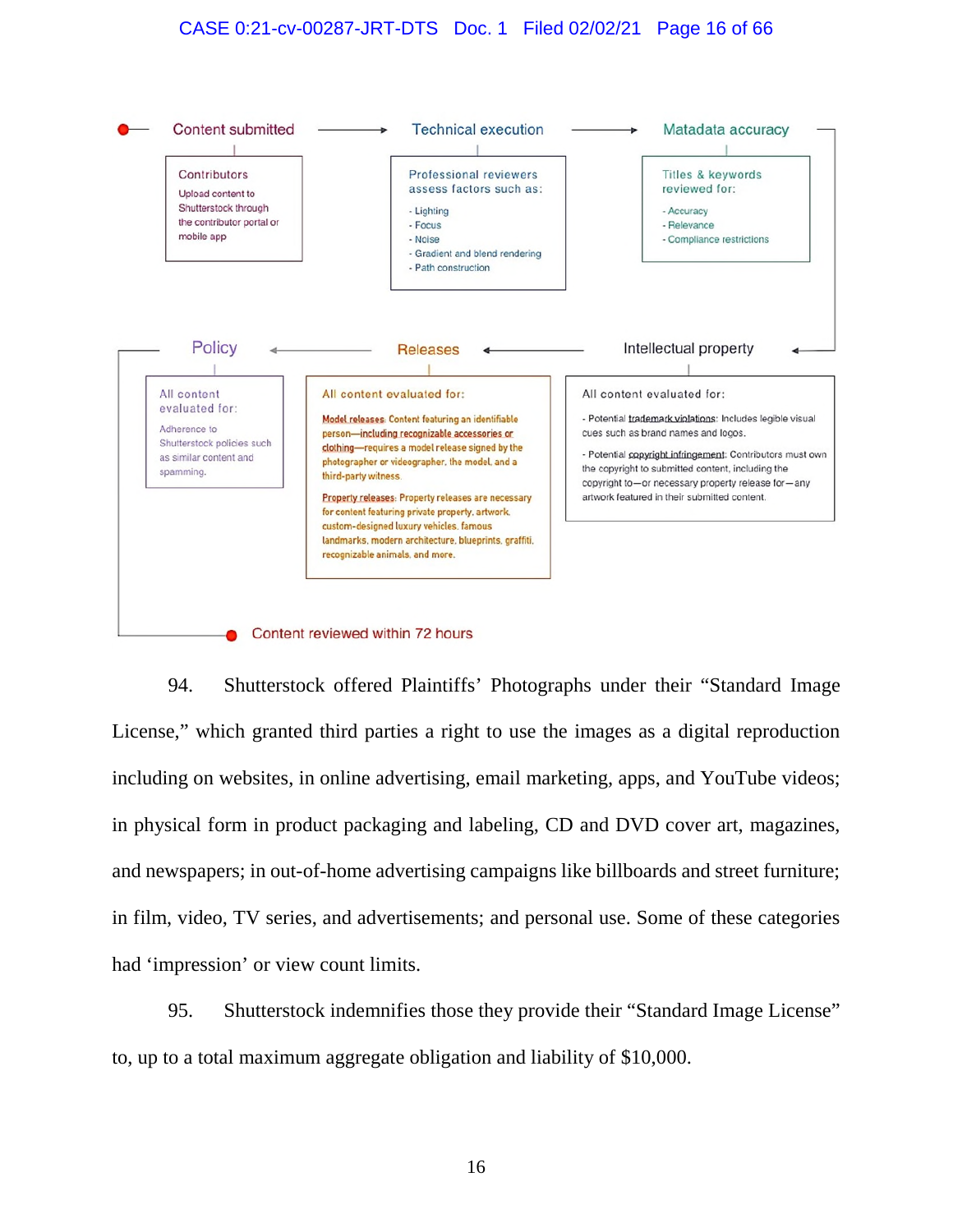### CASE 0:21-cv-00287-JRT-DTS Doc. 1 Filed 02/02/21 Page 16 of 66



94. Shutterstock offered Plaintiffs' Photographs under their "Standard Image License," which granted third parties a right to use the images as a digital reproduction including on websites, in online advertising, email marketing, apps, and YouTube videos; in physical form in product packaging and labeling, CD and DVD cover art, magazines, and newspapers; in out-of-home advertising campaigns like billboards and street furniture; in film, video, TV series, and advertisements; and personal use. Some of these categories had 'impression' or view count limits.

95. Shutterstock indemnifies those they provide their "Standard Image License" to, up to a total maximum aggregate obligation and liability of \$10,000.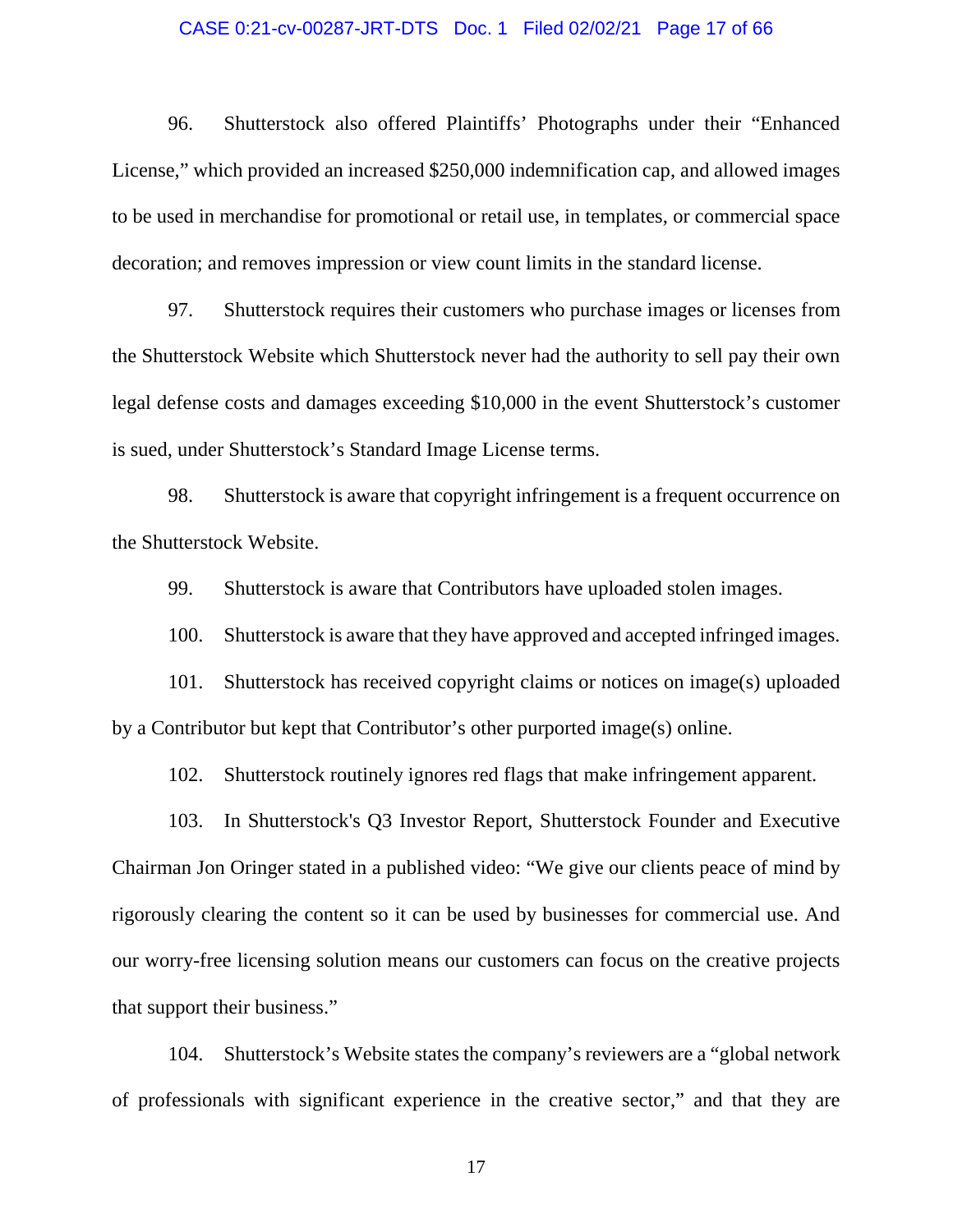### CASE 0:21-cv-00287-JRT-DTS Doc. 1 Filed 02/02/21 Page 17 of 66

96. Shutterstock also offered Plaintiffs' Photographs under their "Enhanced License," which provided an increased \$250,000 indemnification cap, and allowed images to be used in merchandise for promotional or retail use, in templates, or commercial space decoration; and removes impression or view count limits in the standard license.

97. Shutterstock requires their customers who purchase images or licenses from the Shutterstock Website which Shutterstock never had the authority to sell pay their own legal defense costs and damages exceeding \$10,000 in the event Shutterstock's customer is sued, under Shutterstock's Standard Image License terms.

98. Shutterstock is aware that copyright infringement is a frequent occurrence on the Shutterstock Website.

99. Shutterstock is aware that Contributors have uploaded stolen images.

100. Shutterstock is aware that they have approved and accepted infringed images.

101. Shutterstock has received copyright claims or notices on image(s) uploaded by a Contributor but kept that Contributor's other purported image(s) online.

102. Shutterstock routinely ignores red flags that make infringement apparent.

103. In Shutterstock's Q3 Investor Report, Shutterstock Founder and Executive Chairman Jon Oringer stated in a published video: "We give our clients peace of mind by rigorously clearing the content so it can be used by businesses for commercial use. And our worry-free licensing solution means our customers can focus on the creative projects that support their business."

104. Shutterstock's Website states the company's reviewers are a "global network of professionals with significant experience in the creative sector," and that they are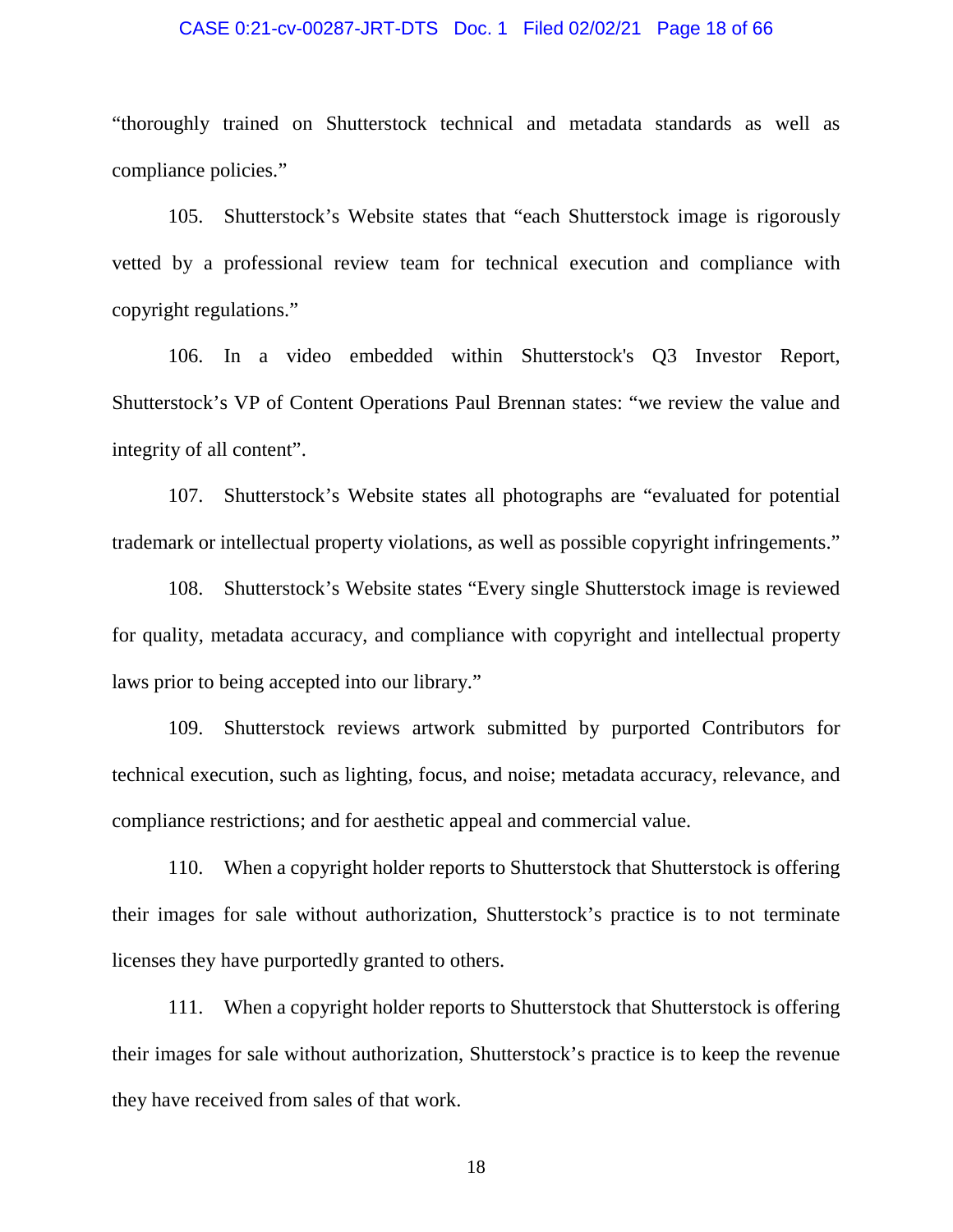#### CASE 0:21-cv-00287-JRT-DTS Doc. 1 Filed 02/02/21 Page 18 of 66

"thoroughly trained on Shutterstock technical and metadata standards as well as compliance policies."

105. Shutterstock's Website states that "each Shutterstock image is rigorously vetted by a professional review team for technical execution and compliance with copyright regulations."

106. In a video embedded within Shutterstock's Q3 Investor Report, Shutterstock's VP of Content Operations Paul Brennan states: "we review the value and integrity of all content".

107. Shutterstock's Website states all photographs are "evaluated for potential trademark or intellectual property violations, as well as possible copyright infringements."

108. Shutterstock's Website states "Every single Shutterstock image is reviewed for quality, metadata accuracy, and compliance with copyright and intellectual property laws prior to being accepted into our library."

109. Shutterstock reviews artwork submitted by purported Contributors for technical execution, such as lighting, focus, and noise; metadata accuracy, relevance, and compliance restrictions; and for aesthetic appeal and commercial value.

110. When a copyright holder reports to Shutterstock that Shutterstock is offering their images for sale without authorization, Shutterstock's practice is to not terminate licenses they have purportedly granted to others.

111. When a copyright holder reports to Shutterstock that Shutterstock is offering their images for sale without authorization, Shutterstock's practice is to keep the revenue they have received from sales of that work.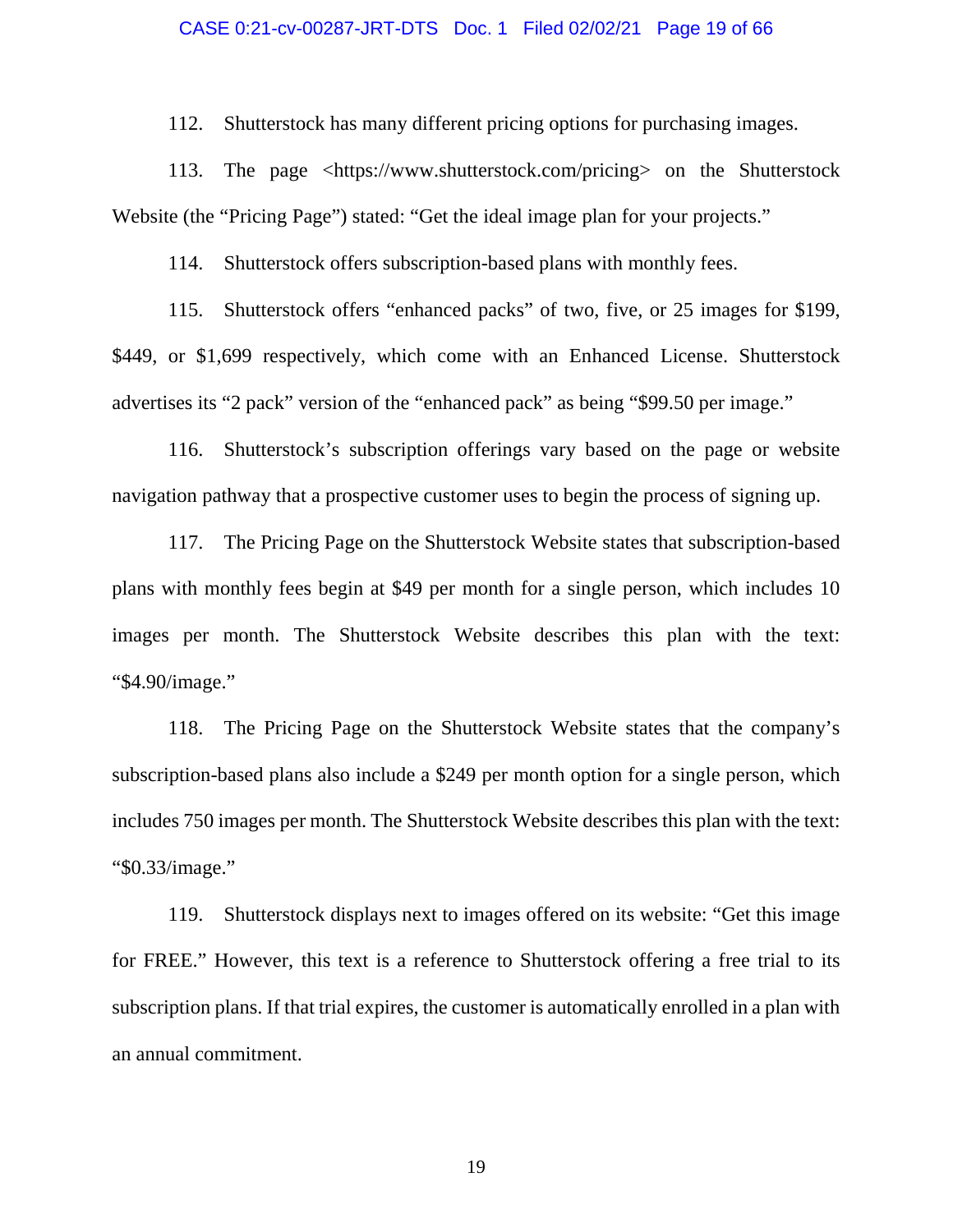### CASE 0:21-cv-00287-JRT-DTS Doc. 1 Filed 02/02/21 Page 19 of 66

112. Shutterstock has many different pricing options for purchasing images.

113. The page <https://www.shutterstock.com/pricing> on the Shutterstock Website (the "Pricing Page") stated: "Get the ideal image plan for your projects."

114. Shutterstock offers subscription-based plans with monthly fees.

115. Shutterstock offers "enhanced packs" of two, five, or 25 images for \$199, \$449, or \$1,699 respectively, which come with an Enhanced License. Shutterstock advertises its "2 pack" version of the "enhanced pack" as being "\$99.50 per image."

116. Shutterstock's subscription offerings vary based on the page or website navigation pathway that a prospective customer uses to begin the process of signing up.

117. The Pricing Page on the Shutterstock Website states that subscription-based plans with monthly fees begin at \$49 per month for a single person, which includes 10 images per month. The Shutterstock Website describes this plan with the text: "\$4.90/image."

118. The Pricing Page on the Shutterstock Website states that the company's subscription-based plans also include a \$249 per month option for a single person, which includes 750 images per month. The Shutterstock Website describes this plan with the text: "\$0.33/image."

119. Shutterstock displays next to images offered on its website: "Get this image for FREE." However, this text is a reference to Shutterstock offering a free trial to its subscription plans. If that trial expires, the customer is automatically enrolled in a plan with an annual commitment.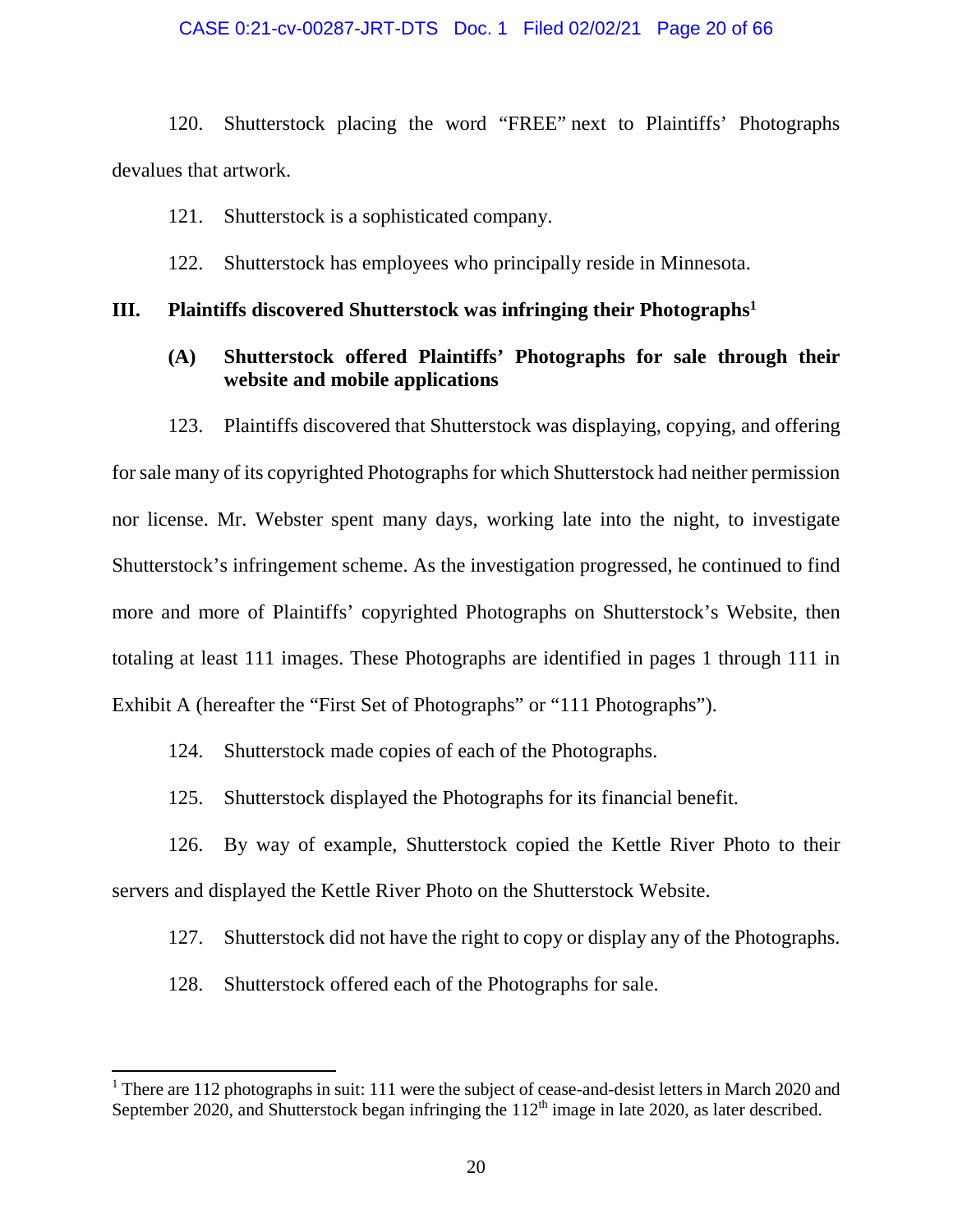### CASE 0:21-cv-00287-JRT-DTS Doc. 1 Filed 02/02/21 Page 20 of 66

120. Shutterstock placing the word "FREE" next to Plaintiffs' Photographs devalues that artwork.

121. Shutterstock is a sophisticated company.

122. Shutterstock has employees who principally reside in Minnesota.

### **III. Plaintiffs discovered Shutterstock was infringing their Photographs<sup>1</sup>**

### **(A) Shutterstock offered Plaintiffs' Photographs for sale through their website and mobile applications**

123. Plaintiffs discovered that Shutterstock was displaying, copying, and offering for sale many of its copyrighted Photographs for which Shutterstock had neither permission nor license. Mr. Webster spent many days, working late into the night, to investigate Shutterstock's infringement scheme. As the investigation progressed, he continued to find more and more of Plaintiffs' copyrighted Photographs on Shutterstock's Website, then totaling at least 111 images. These Photographs are identified in pages 1 through 111 in Exhibit A (hereafter the "First Set of Photographs" or "111 Photographs").

124. Shutterstock made copies of each of the Photographs.

125. Shutterstock displayed the Photographs for its financial benefit.

126. By way of example, Shutterstock copied the Kettle River Photo to their servers and displayed the Kettle River Photo on the Shutterstock Website.

127. Shutterstock did not have the right to copy or display any of the Photographs.

128. Shutterstock offered each of the Photographs for sale.

<sup>&</sup>lt;sup>1</sup> There are 112 photographs in suit: 111 were the subject of cease-and-desist letters in March 2020 and September 2020, and Shutterstock began infringing the  $112<sup>th</sup>$  image in late 2020, as later described.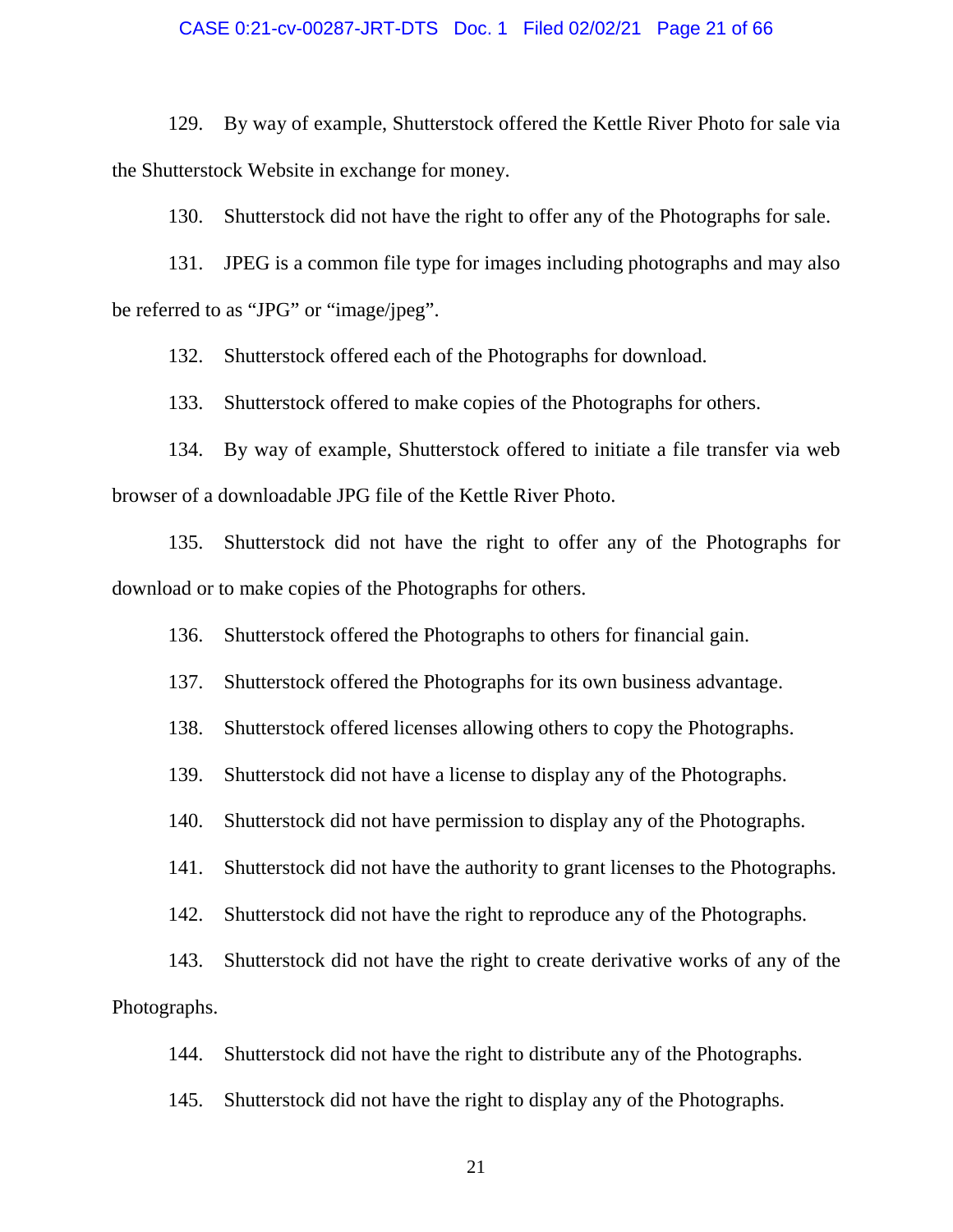#### CASE 0:21-cv-00287-JRT-DTS Doc. 1 Filed 02/02/21 Page 21 of 66

129. By way of example, Shutterstock offered the Kettle River Photo for sale via the Shutterstock Website in exchange for money.

130. Shutterstock did not have the right to offer any of the Photographs for sale.

131. JPEG is a common file type for images including photographs and may also be referred to as "JPG" or "image/jpeg".

132. Shutterstock offered each of the Photographs for download.

133. Shutterstock offered to make copies of the Photographs for others.

134. By way of example, Shutterstock offered to initiate a file transfer via web browser of a downloadable JPG file of the Kettle River Photo.

135. Shutterstock did not have the right to offer any of the Photographs for download or to make copies of the Photographs for others.

136. Shutterstock offered the Photographs to others for financial gain.

137. Shutterstock offered the Photographs for its own business advantage.

138. Shutterstock offered licenses allowing others to copy the Photographs.

139. Shutterstock did not have a license to display any of the Photographs.

140. Shutterstock did not have permission to display any of the Photographs.

141. Shutterstock did not have the authority to grant licenses to the Photographs.

142. Shutterstock did not have the right to reproduce any of the Photographs.

143. Shutterstock did not have the right to create derivative works of any of the Photographs.

144. Shutterstock did not have the right to distribute any of the Photographs.

145. Shutterstock did not have the right to display any of the Photographs.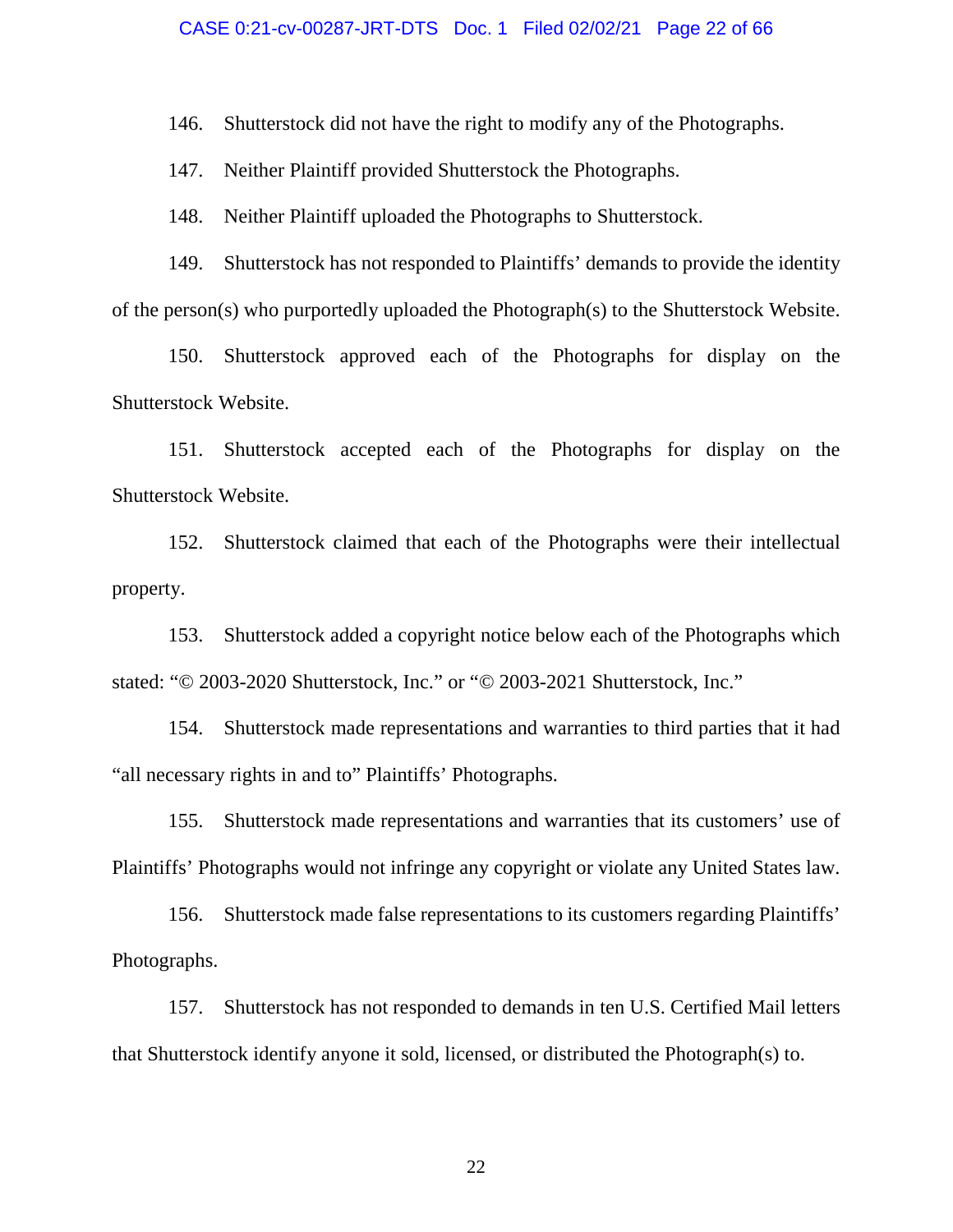#### CASE 0:21-cv-00287-JRT-DTS Doc. 1 Filed 02/02/21 Page 22 of 66

146. Shutterstock did not have the right to modify any of the Photographs.

147. Neither Plaintiff provided Shutterstock the Photographs.

148. Neither Plaintiff uploaded the Photographs to Shutterstock.

149. Shutterstock has not responded to Plaintiffs' demands to provide the identity of the person(s) who purportedly uploaded the Photograph(s) to the Shutterstock Website.

150. Shutterstock approved each of the Photographs for display on the Shutterstock Website.

151. Shutterstock accepted each of the Photographs for display on the Shutterstock Website.

152. Shutterstock claimed that each of the Photographs were their intellectual property.

153. Shutterstock added a copyright notice below each of the Photographs which stated: "© 2003-2020 Shutterstock, Inc." or "© 2003-2021 Shutterstock, Inc."

154. Shutterstock made representations and warranties to third parties that it had "all necessary rights in and to" Plaintiffs' Photographs.

155. Shutterstock made representations and warranties that its customers' use of Plaintiffs' Photographs would not infringe any copyright or violate any United States law.

156. Shutterstock made false representations to its customers regarding Plaintiffs' Photographs.

157. Shutterstock has not responded to demands in ten U.S. Certified Mail letters that Shutterstock identify anyone it sold, licensed, or distributed the Photograph(s) to.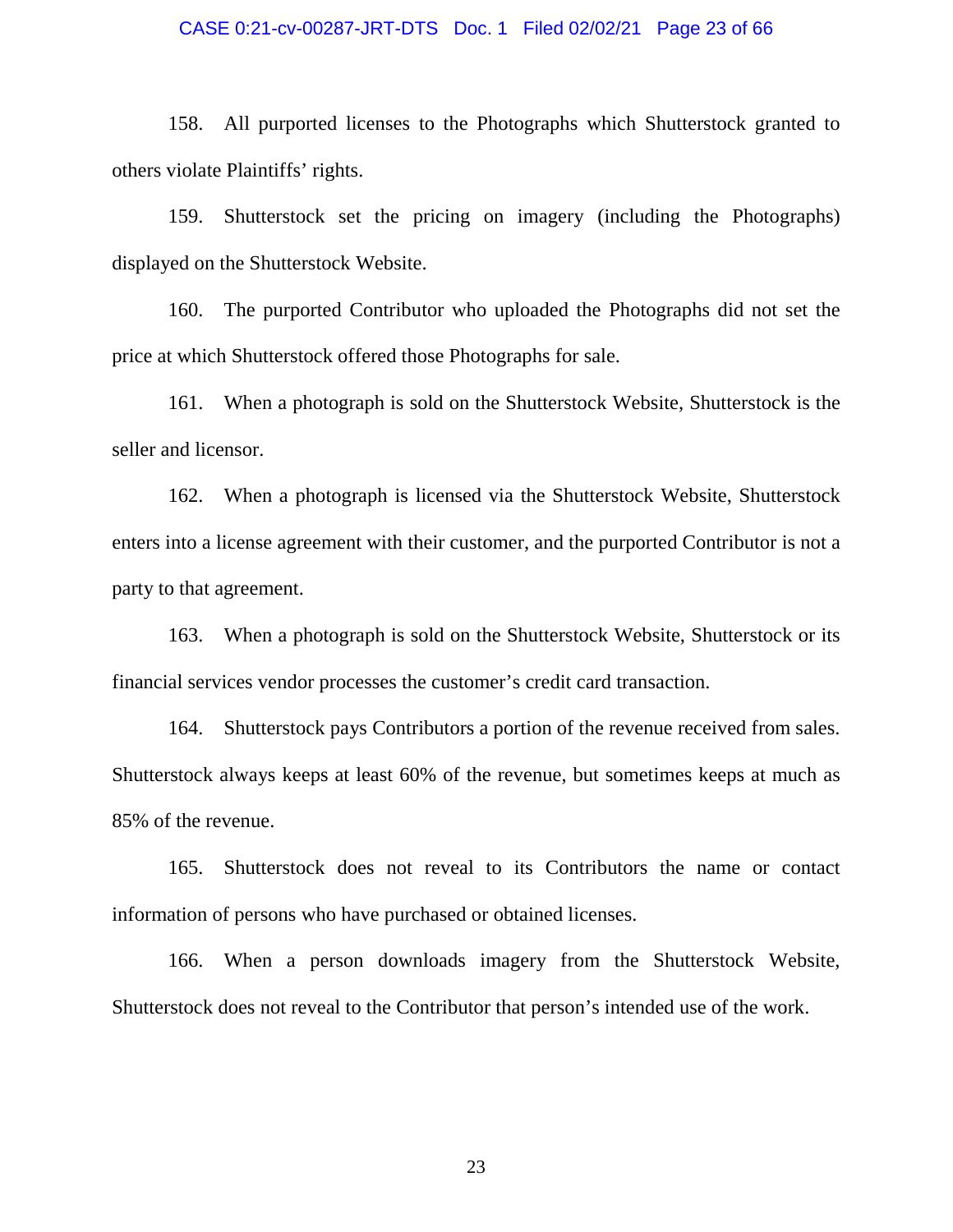#### CASE 0:21-cv-00287-JRT-DTS Doc. 1 Filed 02/02/21 Page 23 of 66

158. All purported licenses to the Photographs which Shutterstock granted to others violate Plaintiffs' rights.

159. Shutterstock set the pricing on imagery (including the Photographs) displayed on the Shutterstock Website.

160. The purported Contributor who uploaded the Photographs did not set the price at which Shutterstock offered those Photographs for sale.

161. When a photograph is sold on the Shutterstock Website, Shutterstock is the seller and licensor.

162. When a photograph is licensed via the Shutterstock Website, Shutterstock enters into a license agreement with their customer, and the purported Contributor is not a party to that agreement.

163. When a photograph is sold on the Shutterstock Website, Shutterstock or its financial services vendor processes the customer's credit card transaction.

164. Shutterstock pays Contributors a portion of the revenue received from sales. Shutterstock always keeps at least 60% of the revenue, but sometimes keeps at much as 85% of the revenue.

165. Shutterstock does not reveal to its Contributors the name or contact information of persons who have purchased or obtained licenses.

166. When a person downloads imagery from the Shutterstock Website, Shutterstock does not reveal to the Contributor that person's intended use of the work.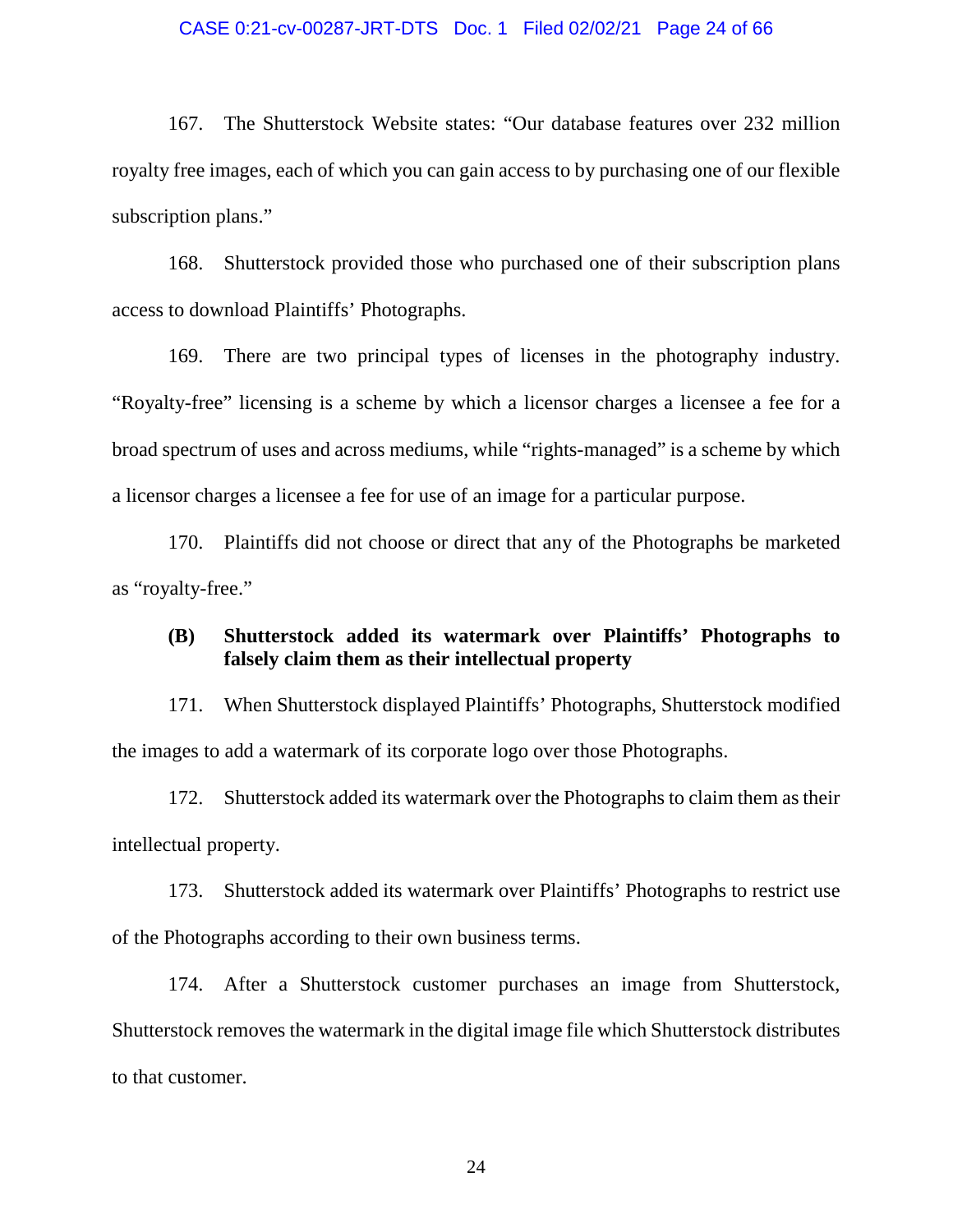#### CASE 0:21-cv-00287-JRT-DTS Doc. 1 Filed 02/02/21 Page 24 of 66

167. The Shutterstock Website states: "Our database features over 232 million royalty free images, each of which you can gain access to by purchasing one of our flexible subscription plans."

168. Shutterstock provided those who purchased one of their subscription plans access to download Plaintiffs' Photographs.

169. There are two principal types of licenses in the photography industry. "Royalty-free" licensing is a scheme by which a licensor charges a licensee a fee for a broad spectrum of uses and across mediums, while "rights-managed" is a scheme by which a licensor charges a licensee a fee for use of an image for a particular purpose.

170. Plaintiffs did not choose or direct that any of the Photographs be marketed as "royalty-free."

### **(B) Shutterstock added its watermark over Plaintiffs' Photographs to falsely claim them as their intellectual property**

171. When Shutterstock displayed Plaintiffs' Photographs, Shutterstock modified the images to add a watermark of its corporate logo over those Photographs.

172. Shutterstock added its watermark over the Photographs to claim them as their intellectual property.

173. Shutterstock added its watermark over Plaintiffs' Photographs to restrict use of the Photographs according to their own business terms.

174. After a Shutterstock customer purchases an image from Shutterstock, Shutterstock removes the watermark in the digital image file which Shutterstock distributes to that customer.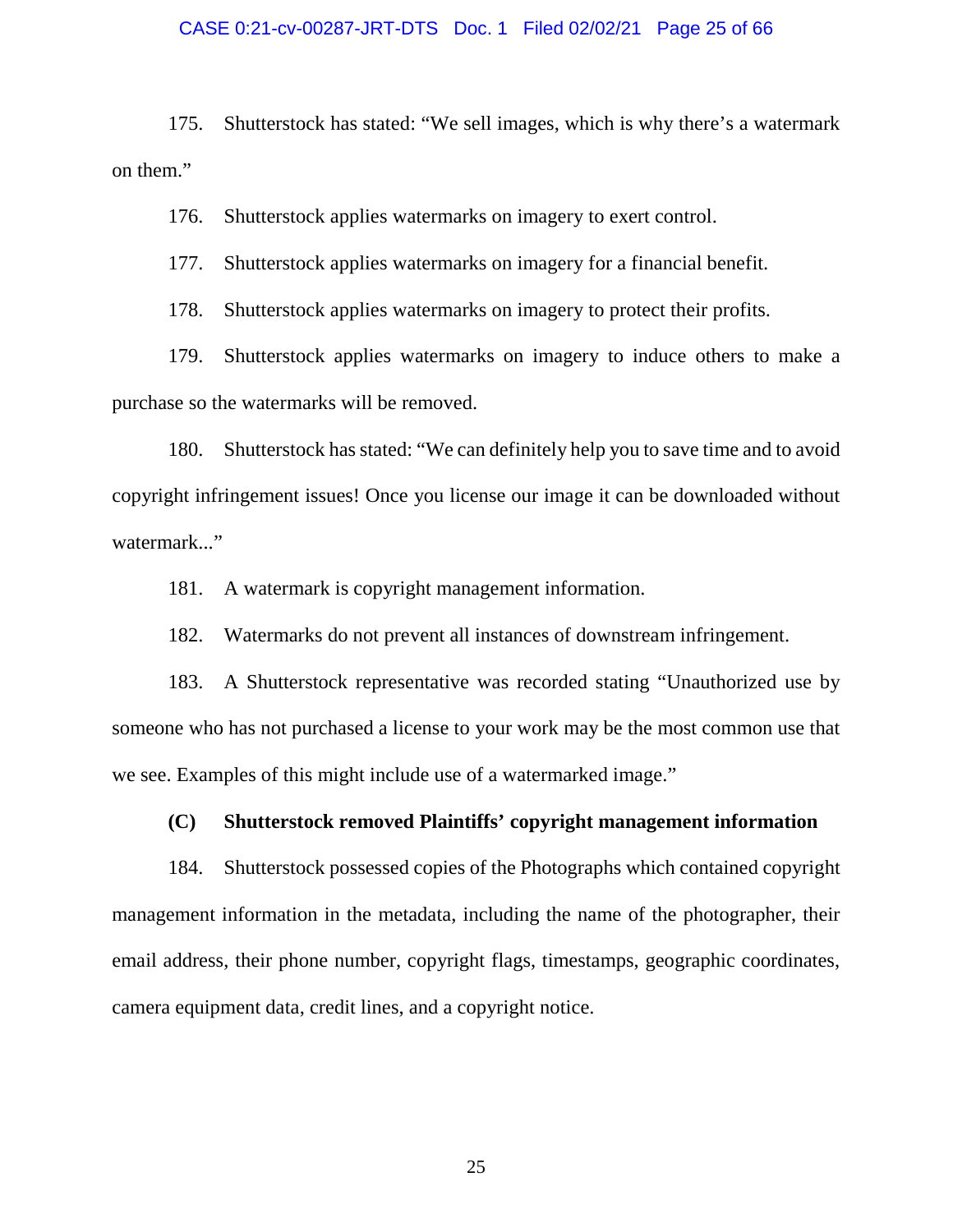#### CASE 0:21-cv-00287-JRT-DTS Doc. 1 Filed 02/02/21 Page 25 of 66

175. Shutterstock has stated: "We sell images, which is why there's a watermark on them."

176. Shutterstock applies watermarks on imagery to exert control.

177. Shutterstock applies watermarks on imagery for a financial benefit.

178. Shutterstock applies watermarks on imagery to protect their profits.

179. Shutterstock applies watermarks on imagery to induce others to make a purchase so the watermarks will be removed.

180. Shutterstock has stated: "We can definitely help you to save time and to avoid copyright infringement issues! Once you license our image it can be downloaded without watermark..."

181. A watermark is copyright management information.

182. Watermarks do not prevent all instances of downstream infringement.

183. A Shutterstock representative was recorded stating "Unauthorized use by someone who has not purchased a license to your work may be the most common use that we see. Examples of this might include use of a watermarked image."

### **(C) Shutterstock removed Plaintiffs' copyright management information**

184. Shutterstock possessed copies of the Photographs which contained copyright management information in the metadata, including the name of the photographer, their email address, their phone number, copyright flags, timestamps, geographic coordinates, camera equipment data, credit lines, and a copyright notice.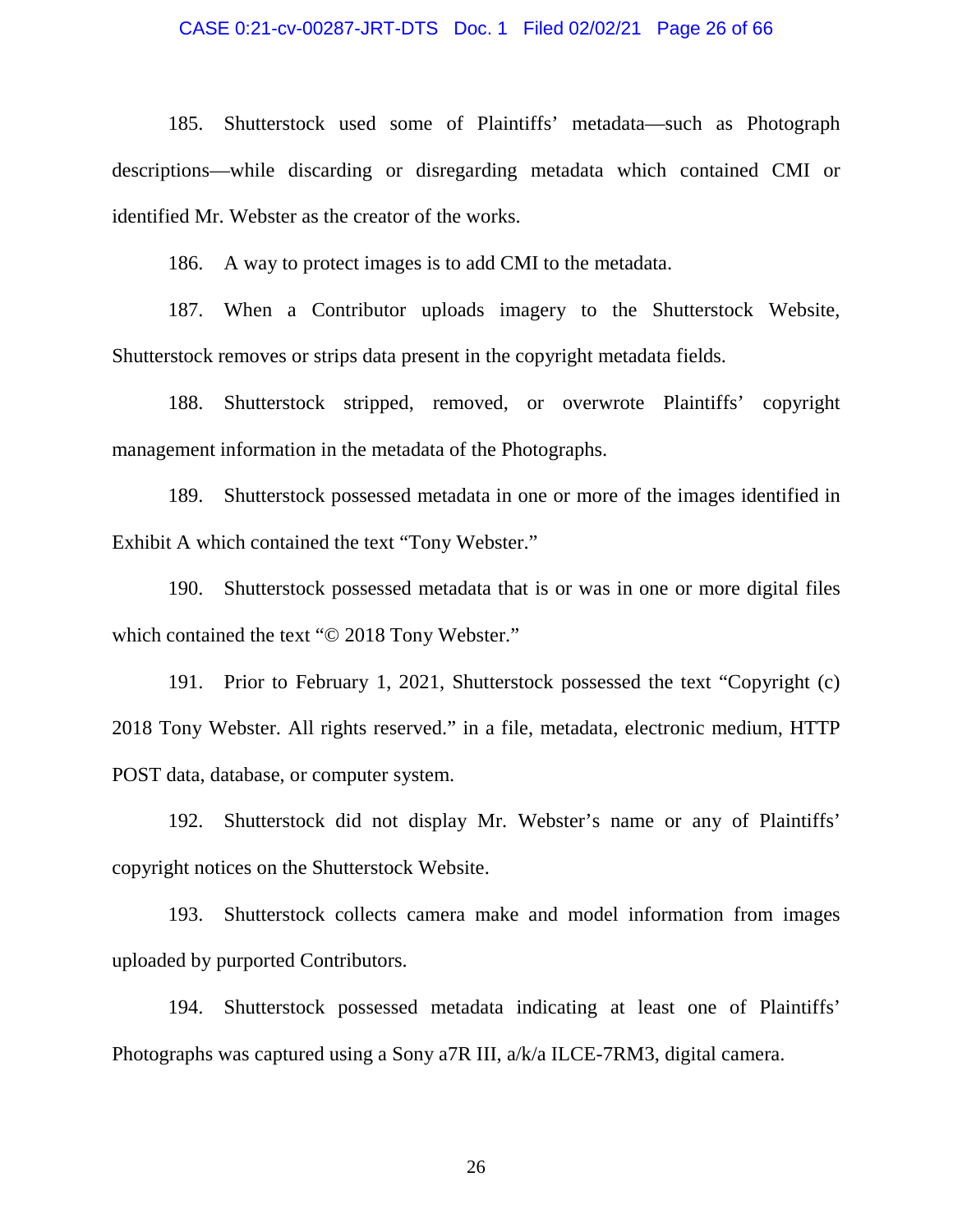#### CASE 0:21-cv-00287-JRT-DTS Doc. 1 Filed 02/02/21 Page 26 of 66

185. Shutterstock used some of Plaintiffs' metadata—such as Photograph descriptions—while discarding or disregarding metadata which contained CMI or identified Mr. Webster as the creator of the works.

186. A way to protect images is to add CMI to the metadata.

187. When a Contributor uploads imagery to the Shutterstock Website, Shutterstock removes or strips data present in the copyright metadata fields.

188. Shutterstock stripped, removed, or overwrote Plaintiffs' copyright management information in the metadata of the Photographs.

189. Shutterstock possessed metadata in one or more of the images identified in Exhibit A which contained the text "Tony Webster."

190. Shutterstock possessed metadata that is or was in one or more digital files which contained the text "© 2018 Tony Webster."

191. Prior to February 1, 2021, Shutterstock possessed the text "Copyright (c) 2018 Tony Webster. All rights reserved." in a file, metadata, electronic medium, HTTP POST data, database, or computer system.

192. Shutterstock did not display Mr. Webster's name or any of Plaintiffs' copyright notices on the Shutterstock Website.

193. Shutterstock collects camera make and model information from images uploaded by purported Contributors.

194. Shutterstock possessed metadata indicating at least one of Plaintiffs' Photographs was captured using a Sony a7R III, a/k/a ILCE-7RM3, digital camera.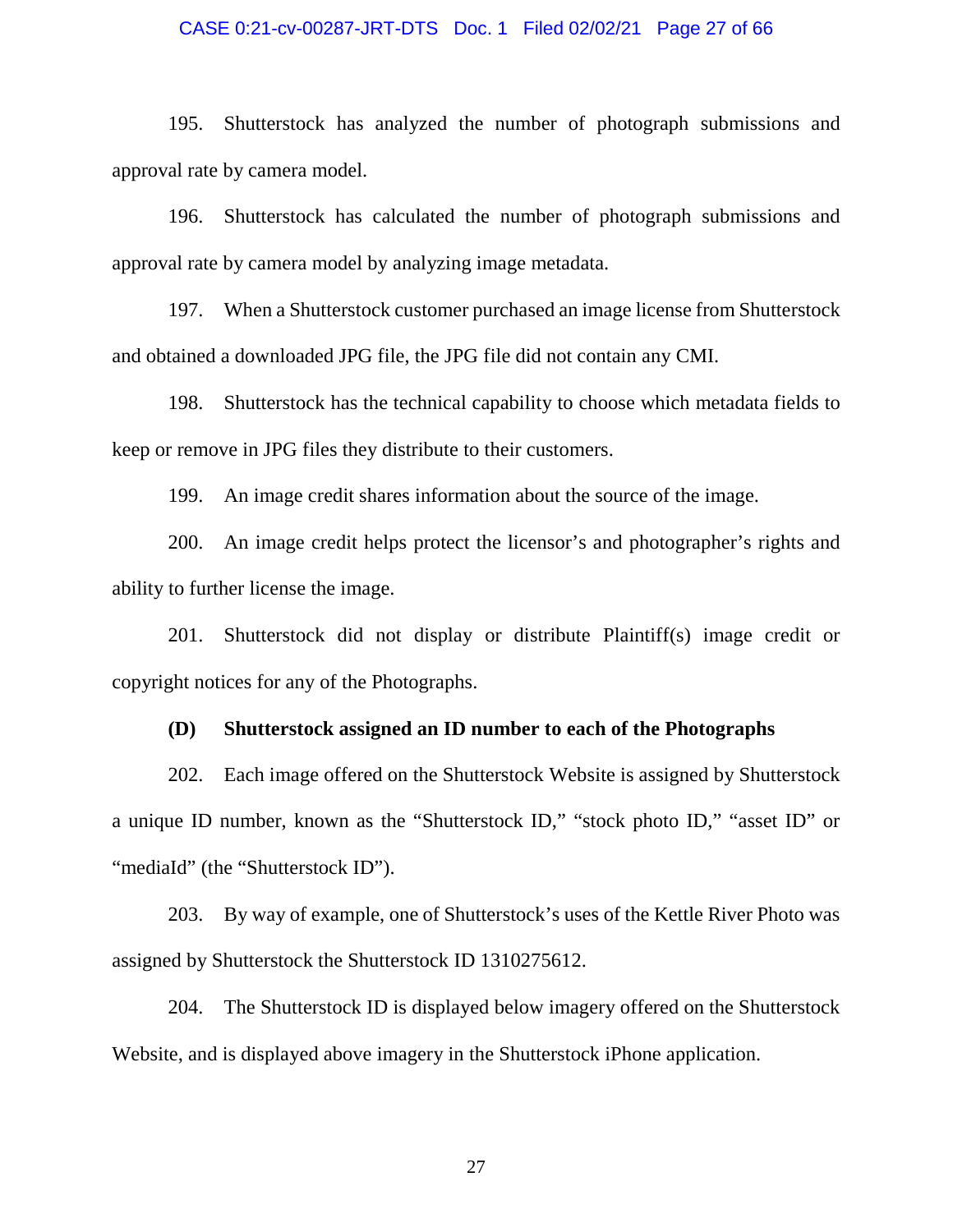#### CASE 0:21-cv-00287-JRT-DTS Doc. 1 Filed 02/02/21 Page 27 of 66

195. Shutterstock has analyzed the number of photograph submissions and approval rate by camera model.

196. Shutterstock has calculated the number of photograph submissions and approval rate by camera model by analyzing image metadata.

197. When a Shutterstock customer purchased an image license from Shutterstock and obtained a downloaded JPG file, the JPG file did not contain any CMI.

198. Shutterstock has the technical capability to choose which metadata fields to keep or remove in JPG files they distribute to their customers.

199. An image credit shares information about the source of the image.

200. An image credit helps protect the licensor's and photographer's rights and ability to further license the image.

201. Shutterstock did not display or distribute Plaintiff(s) image credit or copyright notices for any of the Photographs.

#### **(D) Shutterstock assigned an ID number to each of the Photographs**

202. Each image offered on the Shutterstock Website is assigned by Shutterstock a unique ID number, known as the "Shutterstock ID," "stock photo ID," "asset ID" or "mediaId" (the "Shutterstock ID").

203. By way of example, one of Shutterstock's uses of the Kettle River Photo was assigned by Shutterstock the Shutterstock ID 1310275612.

204. The Shutterstock ID is displayed below imagery offered on the Shutterstock Website, and is displayed above imagery in the Shutterstock iPhone application.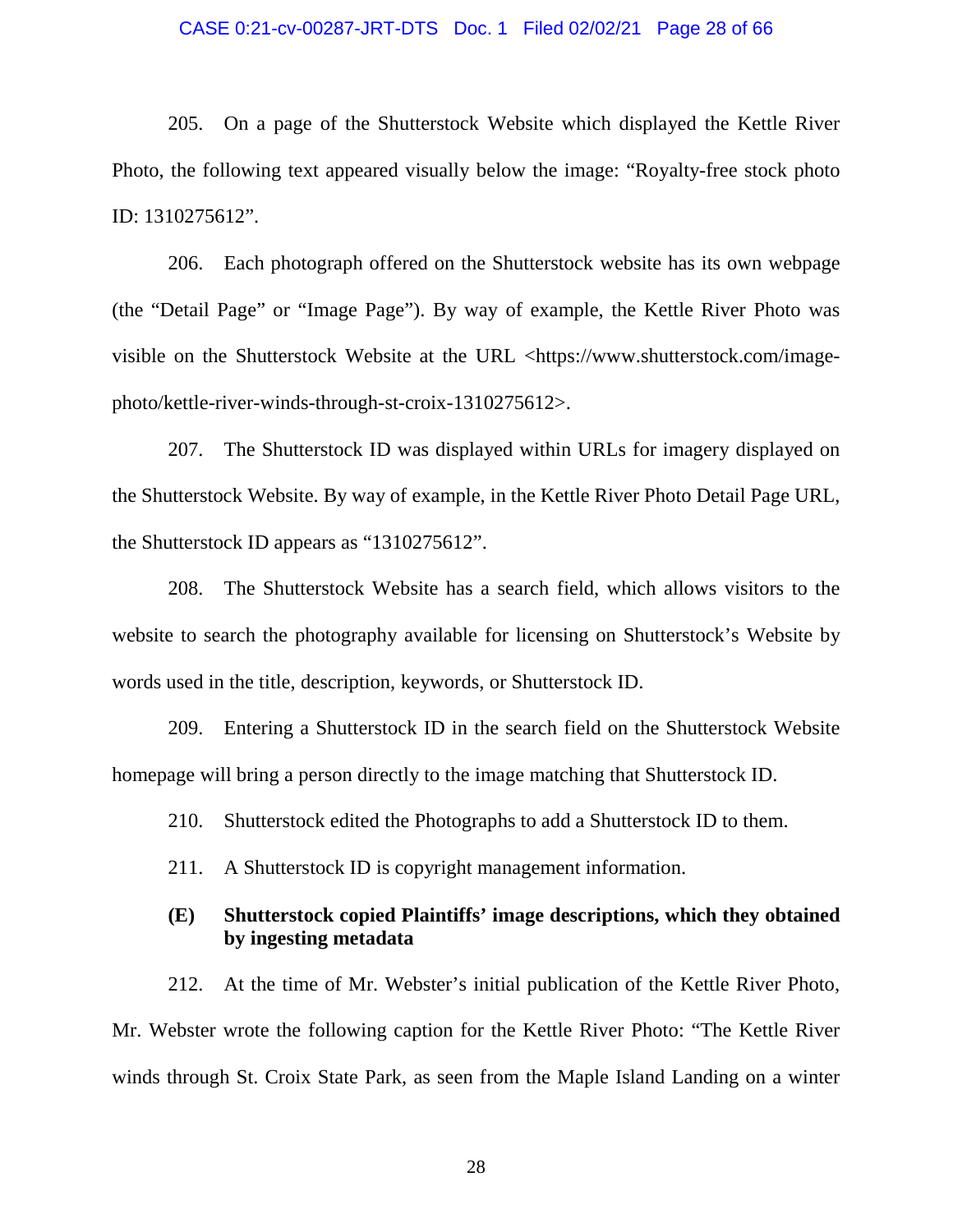#### CASE 0:21-cv-00287-JRT-DTS Doc. 1 Filed 02/02/21 Page 28 of 66

205. On a page of the Shutterstock Website which displayed the Kettle River Photo, the following text appeared visually below the image: "Royalty-free stock photo ID: 1310275612".

206. Each photograph offered on the Shutterstock website has its own webpage (the "Detail Page" or "Image Page"). By way of example, the Kettle River Photo was visible on the Shutterstock Website at the URL <https://www.shutterstock.com/imagephoto/kettle-river-winds-through-st-croix-1310275612>.

207. The Shutterstock ID was displayed within URLs for imagery displayed on the Shutterstock Website. By way of example, in the Kettle River Photo Detail Page URL, the Shutterstock ID appears as "1310275612".

208. The Shutterstock Website has a search field, which allows visitors to the website to search the photography available for licensing on Shutterstock's Website by words used in the title, description, keywords, or Shutterstock ID.

209. Entering a Shutterstock ID in the search field on the Shutterstock Website homepage will bring a person directly to the image matching that Shutterstock ID.

210. Shutterstock edited the Photographs to add a Shutterstock ID to them.

211. A Shutterstock ID is copyright management information.

### **(E) Shutterstock copied Plaintiffs' image descriptions, which they obtained by ingesting metadata**

212. At the time of Mr. Webster's initial publication of the Kettle River Photo, Mr. Webster wrote the following caption for the Kettle River Photo: "The Kettle River winds through St. Croix State Park, as seen from the Maple Island Landing on a winter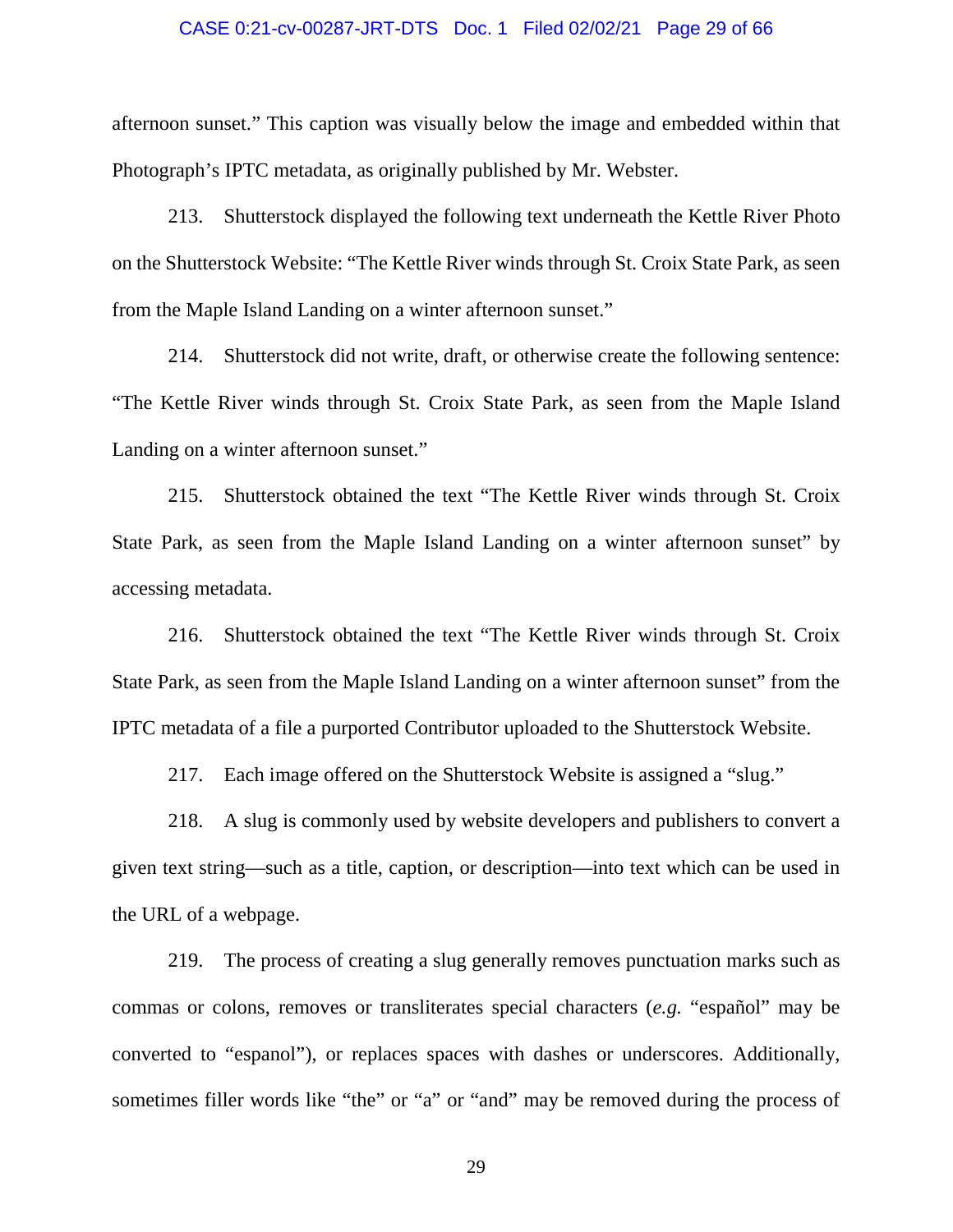### CASE 0:21-cv-00287-JRT-DTS Doc. 1 Filed 02/02/21 Page 29 of 66

afternoon sunset." This caption was visually below the image and embedded within that Photograph's IPTC metadata, as originally published by Mr. Webster.

213. Shutterstock displayed the following text underneath the Kettle River Photo on the Shutterstock Website: "The Kettle River winds through St. Croix State Park, as seen from the Maple Island Landing on a winter afternoon sunset."

214. Shutterstock did not write, draft, or otherwise create the following sentence: "The Kettle River winds through St. Croix State Park, as seen from the Maple Island Landing on a winter afternoon sunset."

215. Shutterstock obtained the text "The Kettle River winds through St. Croix State Park, as seen from the Maple Island Landing on a winter afternoon sunset" by accessing metadata.

216. Shutterstock obtained the text "The Kettle River winds through St. Croix State Park, as seen from the Maple Island Landing on a winter afternoon sunset" from the IPTC metadata of a file a purported Contributor uploaded to the Shutterstock Website.

217. Each image offered on the Shutterstock Website is assigned a "slug."

218. A slug is commonly used by website developers and publishers to convert a given text string—such as a title, caption, or description—into text which can be used in the URL of a webpage.

219. The process of creating a slug generally removes punctuation marks such as commas or colons, removes or transliterates special characters (*e.g.* "español" may be converted to "espanol"), or replaces spaces with dashes or underscores. Additionally, sometimes filler words like "the" or "a" or "and" may be removed during the process of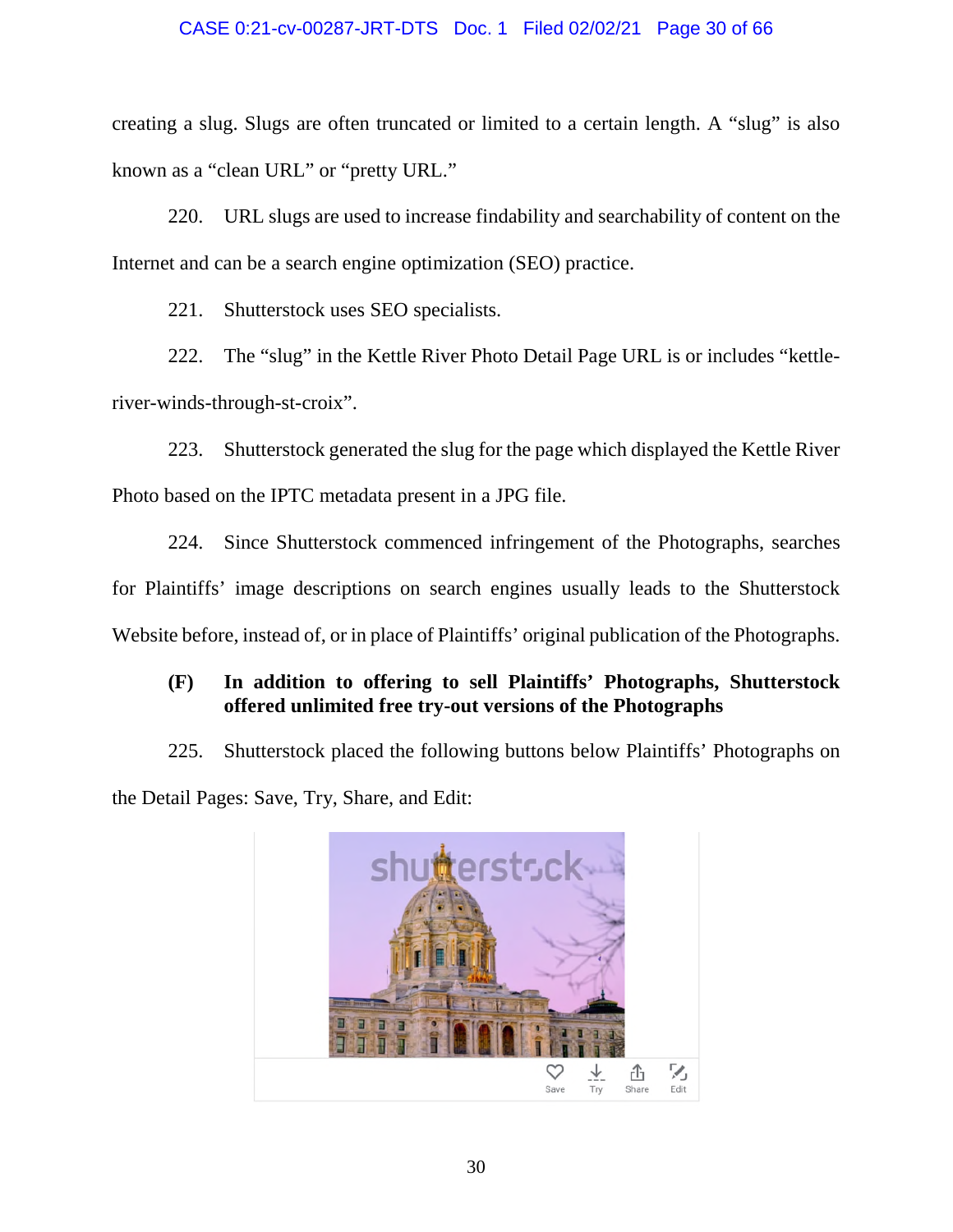### CASE 0:21-cv-00287-JRT-DTS Doc. 1 Filed 02/02/21 Page 30 of 66

creating a slug. Slugs are often truncated or limited to a certain length. A "slug" is also known as a "clean URL" or "pretty URL."

220. URL slugs are used to increase findability and searchability of content on the Internet and can be a search engine optimization (SEO) practice.

221. Shutterstock uses SEO specialists.

222. The "slug" in the Kettle River Photo Detail Page URL is or includes "kettleriver-winds-through-st-croix".

223. Shutterstock generated the slug for the page which displayed the Kettle River Photo based on the IPTC metadata present in a JPG file.

224. Since Shutterstock commenced infringement of the Photographs, searches for Plaintiffs' image descriptions on search engines usually leads to the Shutterstock Website before, instead of, or in place of Plaintiffs' original publication of the Photographs.

### **(F) In addition to offering to sell Plaintiffs' Photographs, Shutterstock offered unlimited free try-out versions of the Photographs**

225. Shutterstock placed the following buttons below Plaintiffs' Photographs on the Detail Pages: Save, Try, Share, and Edit:

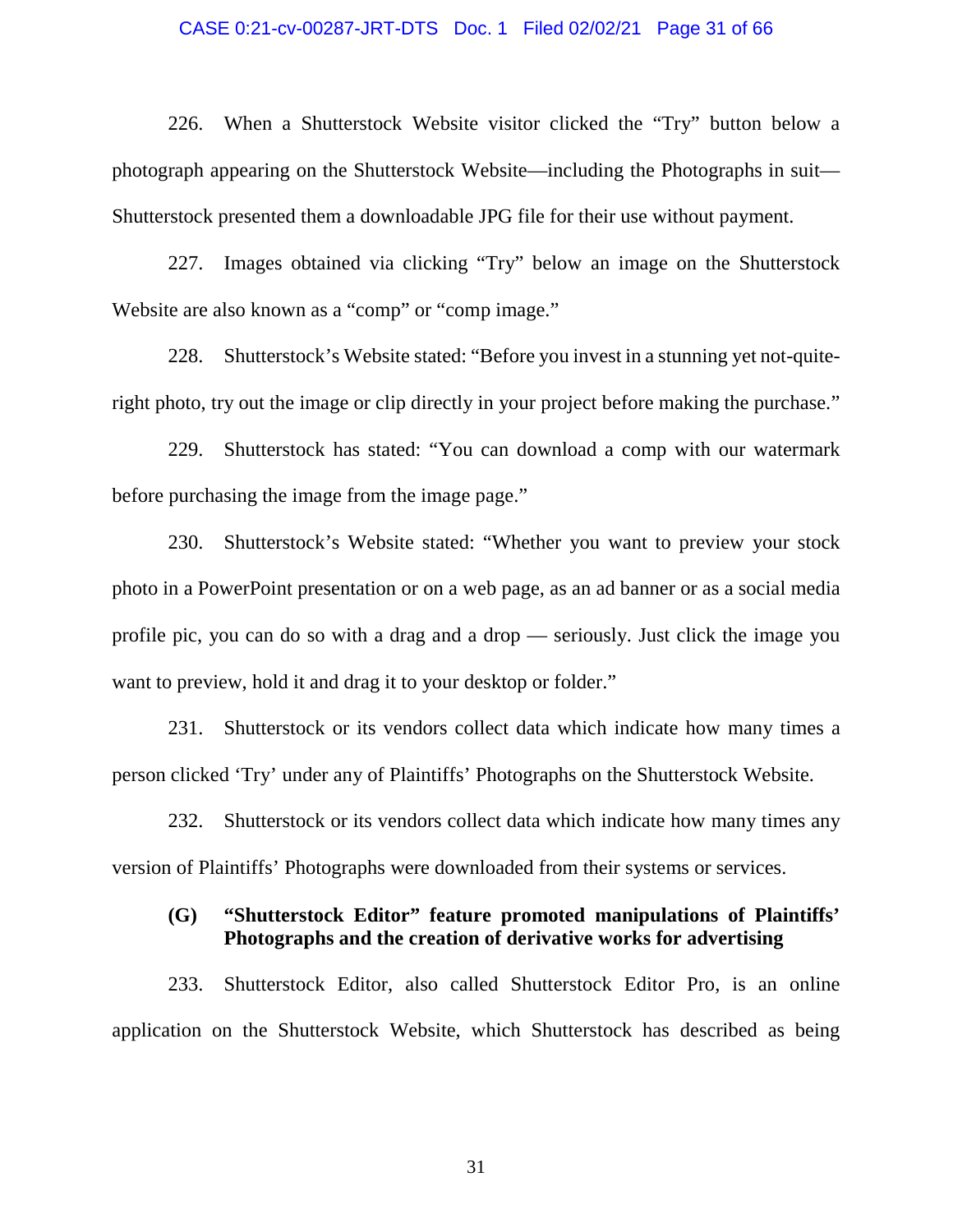#### CASE 0:21-cv-00287-JRT-DTS Doc. 1 Filed 02/02/21 Page 31 of 66

226. When a Shutterstock Website visitor clicked the "Try" button below a photograph appearing on the Shutterstock Website—including the Photographs in suit— Shutterstock presented them a downloadable JPG file for their use without payment.

227. Images obtained via clicking "Try" below an image on the Shutterstock Website are also known as a "comp" or "comp image."

228. Shutterstock's Website stated: "Before you invest in a stunning yet not-quiteright photo, try out the image or clip directly in your project before making the purchase."

229. Shutterstock has stated: "You can download a comp with our watermark before purchasing the image from the image page."

230. Shutterstock's Website stated: "Whether you want to preview your stock photo in a PowerPoint presentation or on a web page, as an ad banner or as a social media profile pic, you can do so with a drag and a drop — seriously. Just click the image you want to preview, hold it and drag it to your desktop or folder."

231. Shutterstock or its vendors collect data which indicate how many times a person clicked 'Try' under any of Plaintiffs' Photographs on the Shutterstock Website.

232. Shutterstock or its vendors collect data which indicate how many times any version of Plaintiffs' Photographs were downloaded from their systems or services.

### **(G) "Shutterstock Editor" feature promoted manipulations of Plaintiffs' Photographs and the creation of derivative works for advertising**

233. Shutterstock Editor, also called Shutterstock Editor Pro, is an online application on the Shutterstock Website, which Shutterstock has described as being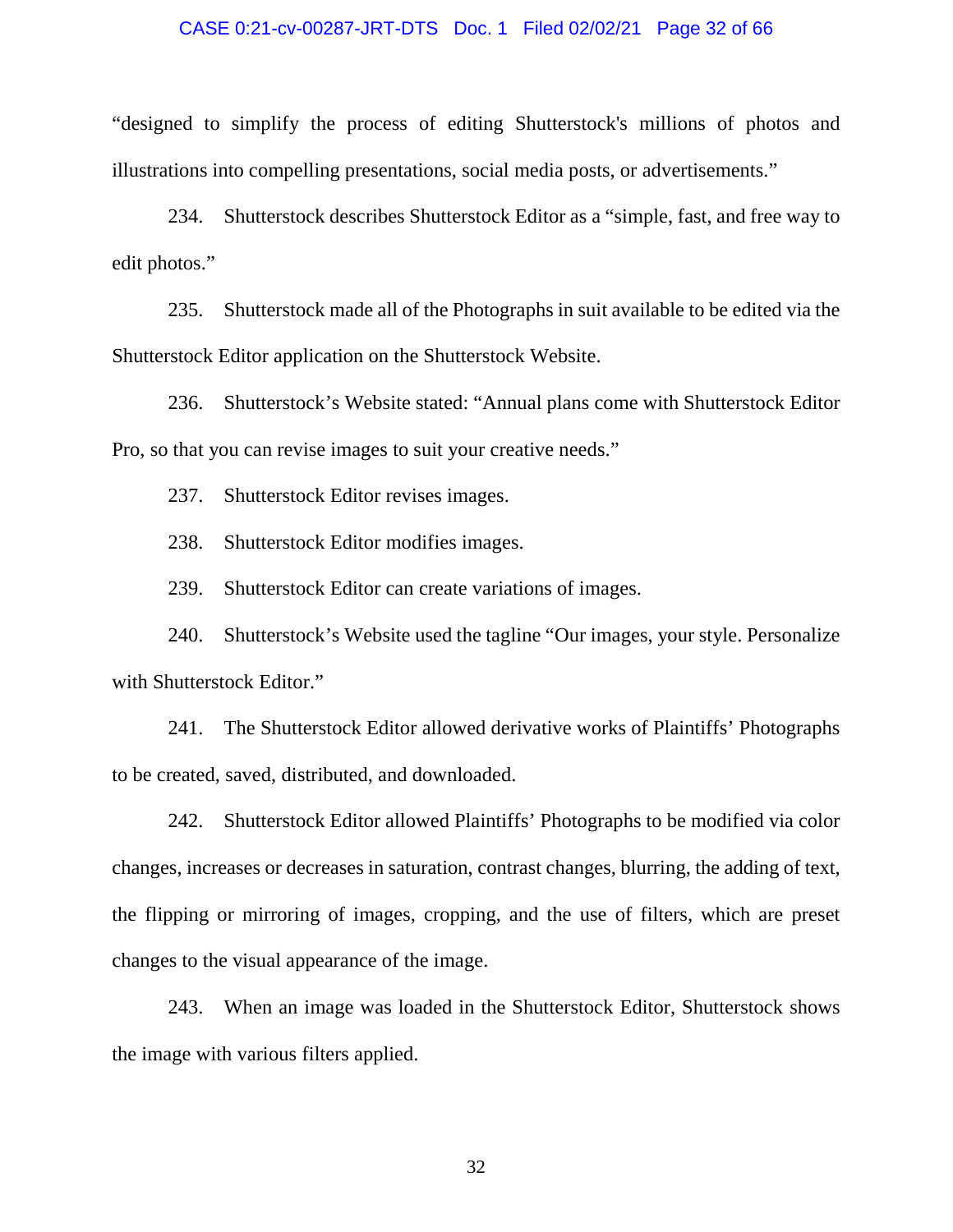#### CASE 0:21-cv-00287-JRT-DTS Doc. 1 Filed 02/02/21 Page 32 of 66

"designed to simplify the process of editing Shutterstock's millions of photos and illustrations into compelling presentations, social media posts, or advertisements."

234. Shutterstock describes Shutterstock Editor as a "simple, fast, and free way to edit photos."

235. Shutterstock made all of the Photographs in suit available to be edited via the Shutterstock Editor application on the Shutterstock Website.

236. Shutterstock's Website stated: "Annual plans come with Shutterstock Editor Pro, so that you can revise images to suit your creative needs."

237. Shutterstock Editor revises images.

238. Shutterstock Editor modifies images.

239. Shutterstock Editor can create variations of images.

240. Shutterstock's Website used the tagline "Our images, your style. Personalize with Shutterstock Editor."

241. The Shutterstock Editor allowed derivative works of Plaintiffs' Photographs to be created, saved, distributed, and downloaded.

242. Shutterstock Editor allowed Plaintiffs' Photographs to be modified via color changes, increases or decreases in saturation, contrast changes, blurring, the adding of text, the flipping or mirroring of images, cropping, and the use of filters, which are preset changes to the visual appearance of the image.

243. When an image was loaded in the Shutterstock Editor, Shutterstock shows the image with various filters applied.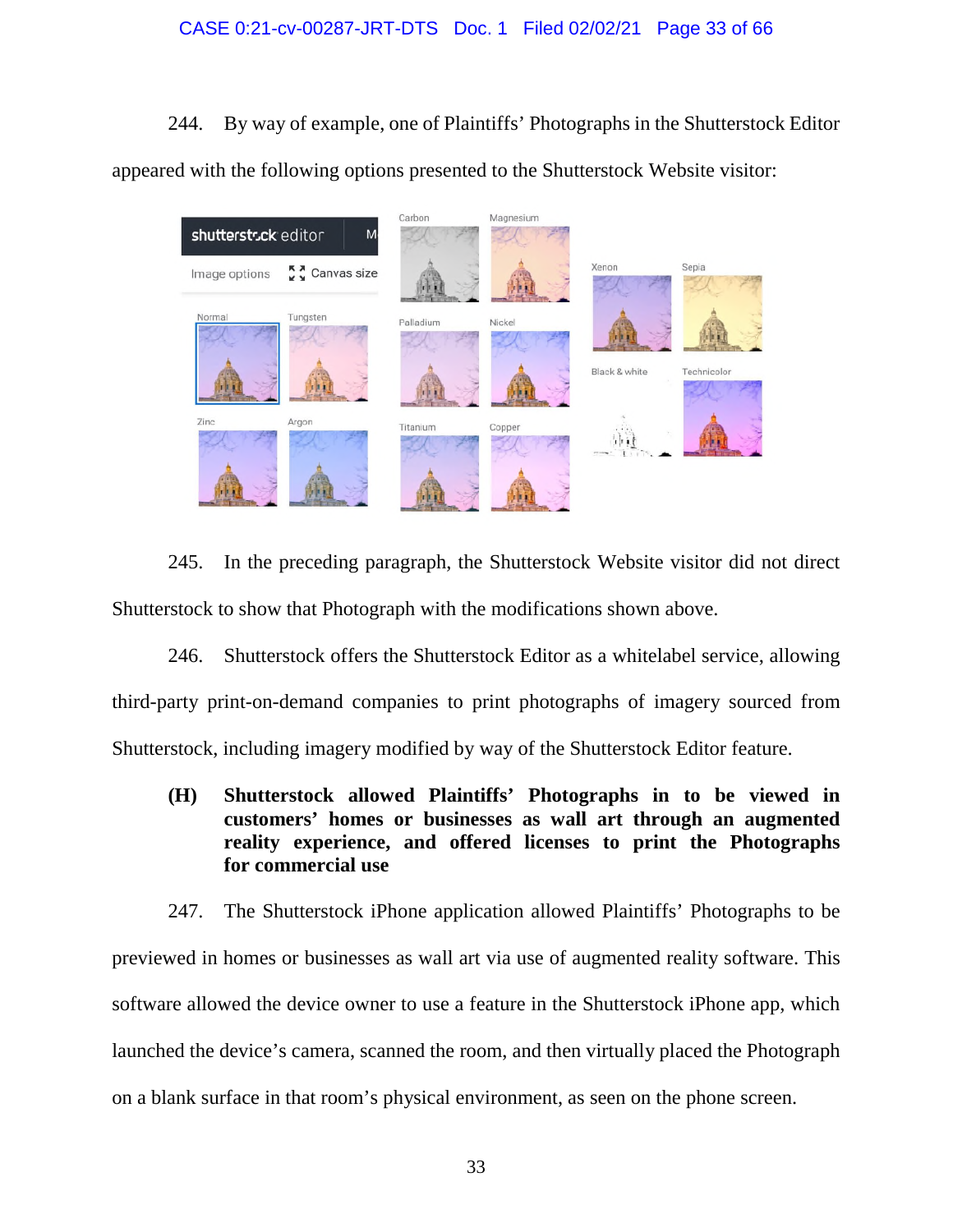### CASE 0:21-cv-00287-JRT-DTS Doc. 1 Filed 02/02/21 Page 33 of 66

244. By way of example, one of Plaintiffs' Photographs in the Shutterstock Editor appeared with the following options presented to the Shutterstock Website visitor:



245. In the preceding paragraph, the Shutterstock Website visitor did not direct Shutterstock to show that Photograph with the modifications shown above.

246. Shutterstock offers the Shutterstock Editor as a whitelabel service, allowing third-party print-on-demand companies to print photographs of imagery sourced from Shutterstock, including imagery modified by way of the Shutterstock Editor feature.

**(H) Shutterstock allowed Plaintiffs' Photographs in to be viewed in customers' homes or businesses as wall art through an augmented reality experience, and offered licenses to print the Photographs for commercial use** 

247. The Shutterstock iPhone application allowed Plaintiffs' Photographs to be previewed in homes or businesses as wall art via use of augmented reality software. This software allowed the device owner to use a feature in the Shutterstock iPhone app, which launched the device's camera, scanned the room, and then virtually placed the Photograph on a blank surface in that room's physical environment, as seen on the phone screen.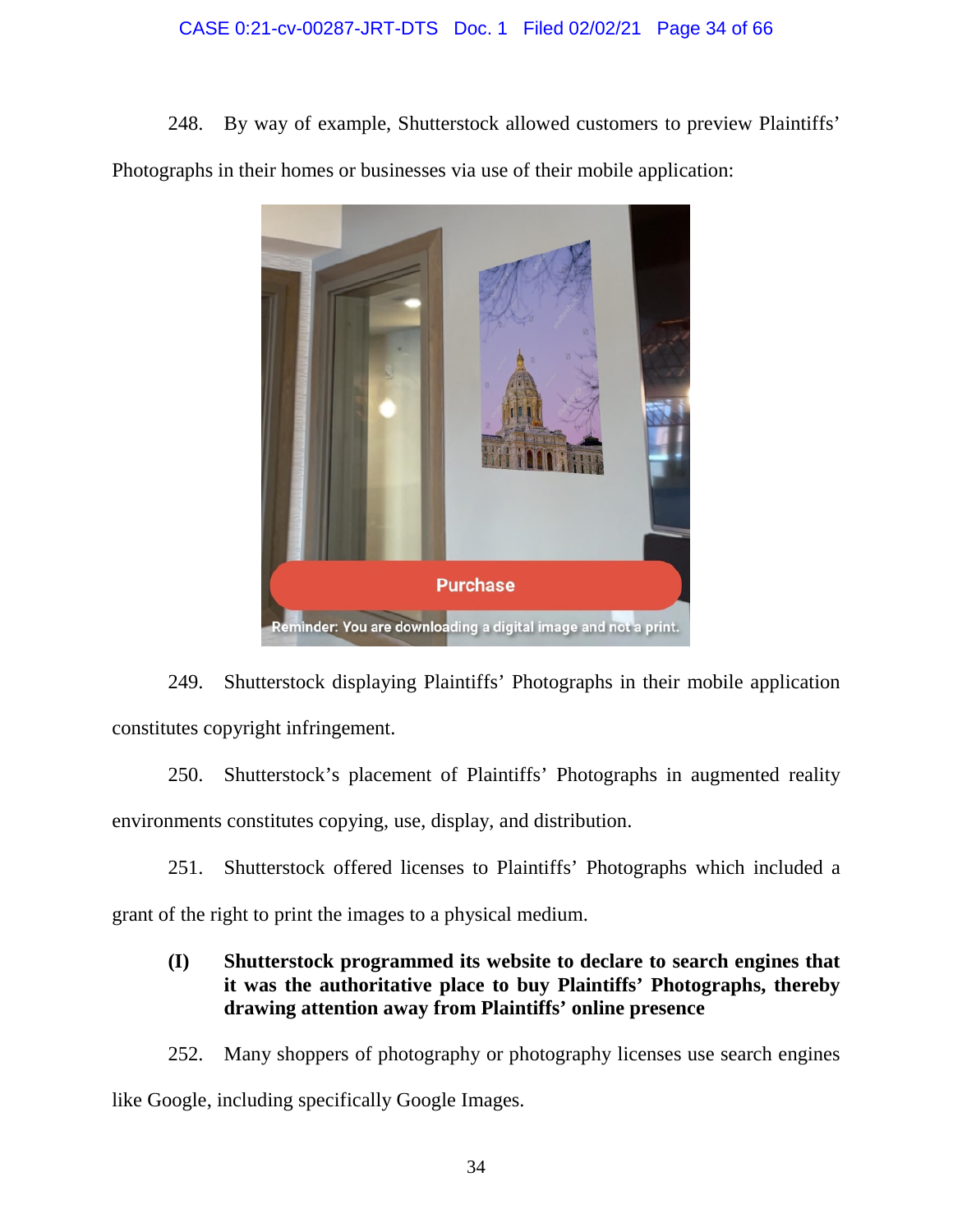### CASE 0:21-cv-00287-JRT-DTS Doc. 1 Filed 02/02/21 Page 34 of 66

248. By way of example, Shutterstock allowed customers to preview Plaintiffs' Photographs in their homes or businesses via use of their mobile application:



249. Shutterstock displaying Plaintiffs' Photographs in their mobile application constitutes copyright infringement.

250. Shutterstock's placement of Plaintiffs' Photographs in augmented reality environments constitutes copying, use, display, and distribution.

251. Shutterstock offered licenses to Plaintiffs' Photographs which included a grant of the right to print the images to a physical medium.

### **(I) Shutterstock programmed its website to declare to search engines that it was the authoritative place to buy Plaintiffs' Photographs, thereby drawing attention away from Plaintiffs' online presence**

252. Many shoppers of photography or photography licenses use search engines like Google, including specifically Google Images.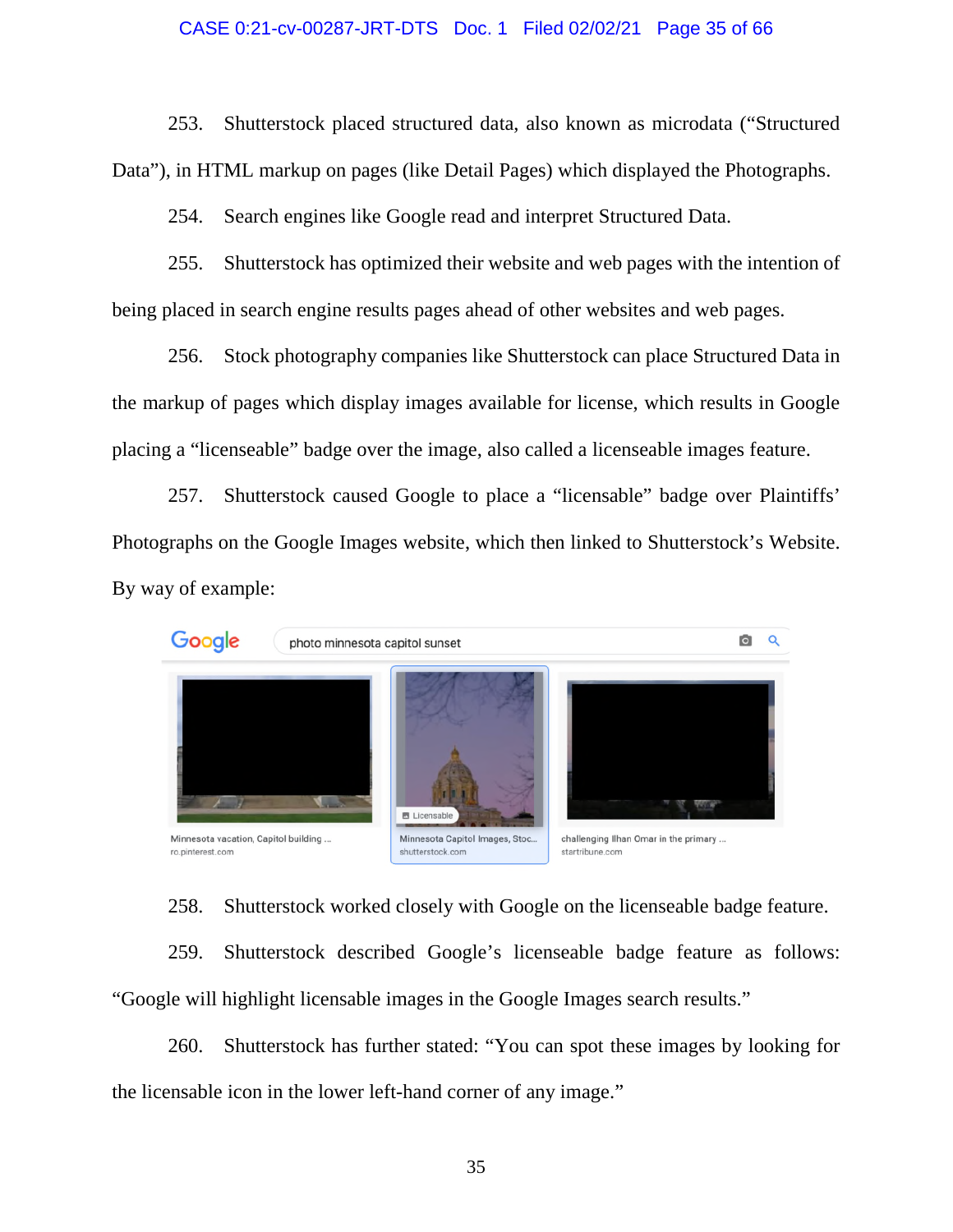#### CASE 0:21-cv-00287-JRT-DTS Doc. 1 Filed 02/02/21 Page 35 of 66

253. Shutterstock placed structured data, also known as microdata ("Structured Data"), in HTML markup on pages (like Detail Pages) which displayed the Photographs.

254. Search engines like Google read and interpret Structured Data.

255. Shutterstock has optimized their website and web pages with the intention of being placed in search engine results pages ahead of other websites and web pages.

256. Stock photography companies like Shutterstock can place Structured Data in the markup of pages which display images available for license, which results in Google placing a "licenseable" badge over the image, also called a licenseable images feature.

257. Shutterstock caused Google to place a "licensable" badge over Plaintiffs' Photographs on the Google Images website, which then linked to Shutterstock's Website. By way of example:



258. Shutterstock worked closely with Google on the licenseable badge feature.

259. Shutterstock described Google's licenseable badge feature as follows: "Google will highlight licensable images in the Google Images search results."

260. Shutterstock has further stated: "You can spot these images by looking for the licensable icon in the lower left-hand corner of any image."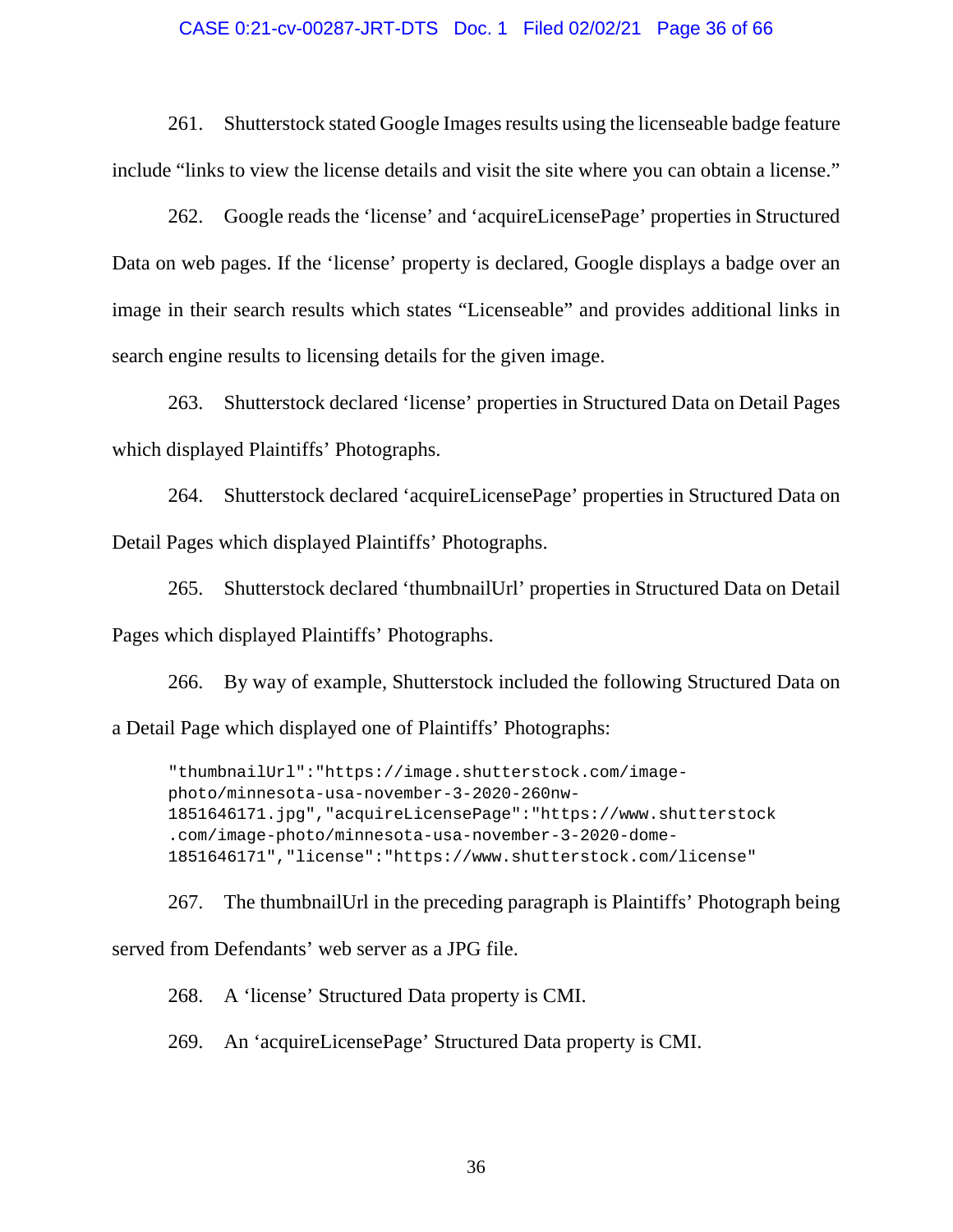#### CASE 0:21-cv-00287-JRT-DTS Doc. 1 Filed 02/02/21 Page 36 of 66

261. Shutterstock stated Google Images results using the licenseable badge feature include "links to view the license details and visit the site where you can obtain a license."

262. Google reads the 'license' and 'acquireLicensePage' properties in Structured Data on web pages. If the 'license' property is declared, Google displays a badge over an image in their search results which states "Licenseable" and provides additional links in search engine results to licensing details for the given image.

263. Shutterstock declared 'license' properties in Structured Data on Detail Pages which displayed Plaintiffs' Photographs.

264. Shutterstock declared 'acquireLicensePage' properties in Structured Data on Detail Pages which displayed Plaintiffs' Photographs.

265. Shutterstock declared 'thumbnailUrl' properties in Structured Data on Detail Pages which displayed Plaintiffs' Photographs.

266. By way of example, Shutterstock included the following Structured Data on a Detail Page which displayed one of Plaintiffs' Photographs:

"thumbnailUrl":"https://image.shutterstock.com/imagephoto/minnesota-usa-november-3-2020-260nw-1851646171.jpg","acquireLicensePage":"https://www.shutterstock .com/image-photo/minnesota-usa-november-3-2020-dome-1851646171","license":"https://www.shutterstock.com/license"

267. The thumbnailUrl in the preceding paragraph is Plaintiffs' Photograph being served from Defendants' web server as a JPG file.

268. A 'license' Structured Data property is CMI.

269. An 'acquireLicensePage' Structured Data property is CMI.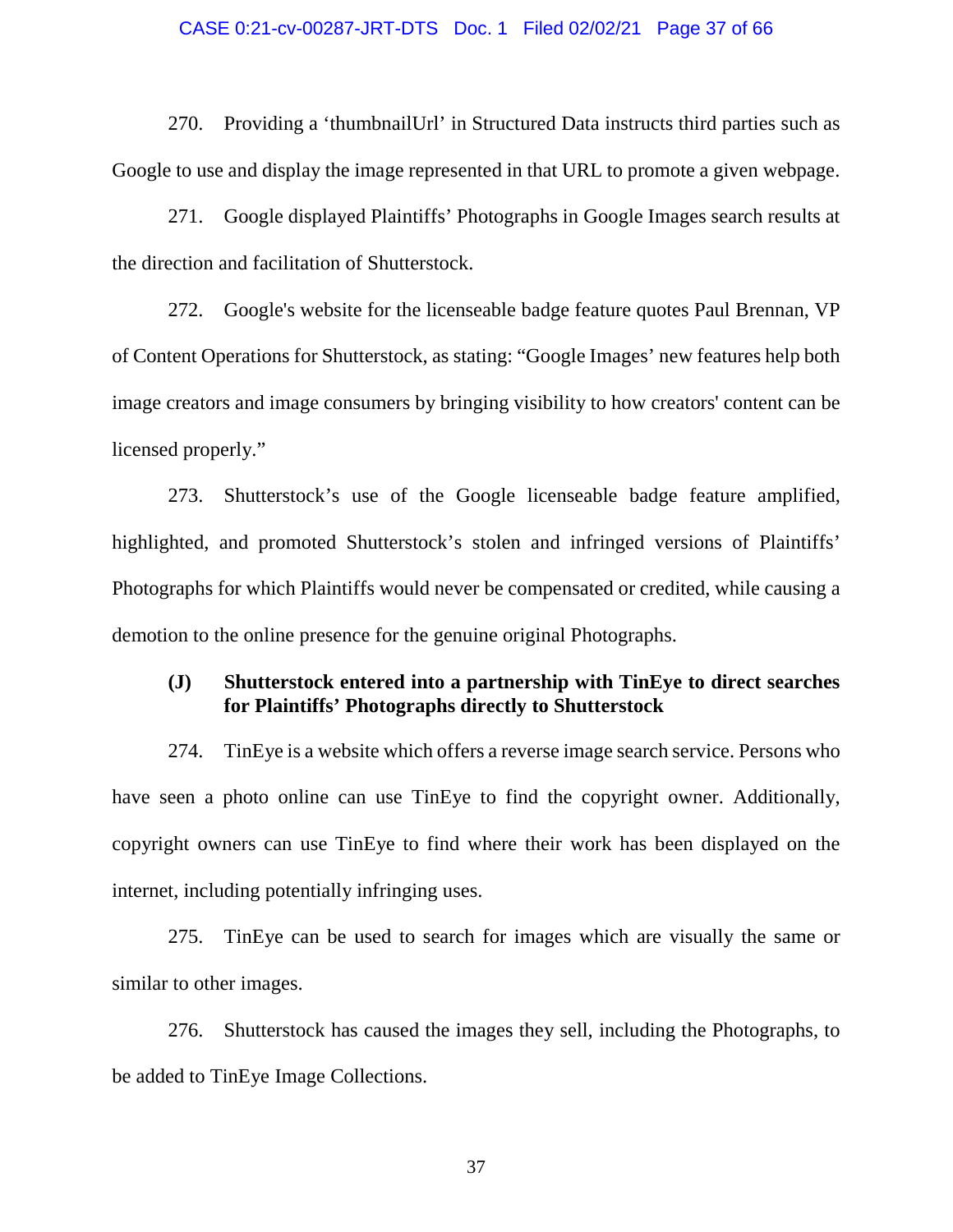#### CASE 0:21-cv-00287-JRT-DTS Doc. 1 Filed 02/02/21 Page 37 of 66

270. Providing a 'thumbnailUrl' in Structured Data instructs third parties such as Google to use and display the image represented in that URL to promote a given webpage.

271. Google displayed Plaintiffs' Photographs in Google Images search results at the direction and facilitation of Shutterstock.

272. Google's website for the licenseable badge feature quotes Paul Brennan, VP of Content Operations for Shutterstock, as stating: "Google Images' new features help both image creators and image consumers by bringing visibility to how creators' content can be licensed properly."

273. Shutterstock's use of the Google licenseable badge feature amplified, highlighted, and promoted Shutterstock's stolen and infringed versions of Plaintiffs' Photographs for which Plaintiffs would never be compensated or credited, while causing a demotion to the online presence for the genuine original Photographs.

### **(J) Shutterstock entered into a partnership with TinEye to direct searches for Plaintiffs' Photographs directly to Shutterstock**

274. TinEye is a website which offers a reverse image search service. Persons who have seen a photo online can use TinEye to find the copyright owner. Additionally, copyright owners can use TinEye to find where their work has been displayed on the internet, including potentially infringing uses.

275. TinEye can be used to search for images which are visually the same or similar to other images.

276. Shutterstock has caused the images they sell, including the Photographs, to be added to TinEye Image Collections.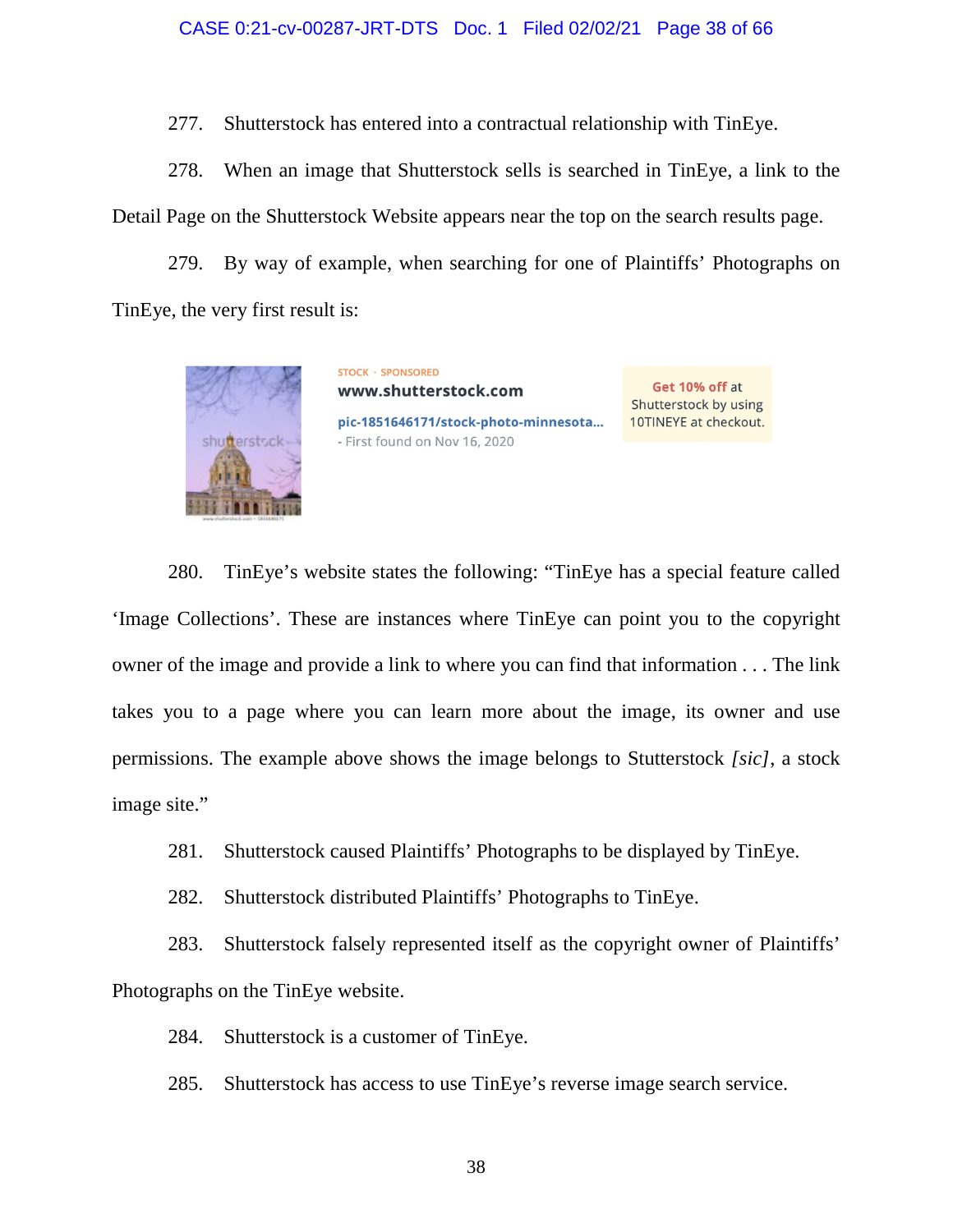277. Shutterstock has entered into a contractual relationship with TinEye.

278. When an image that Shutterstock sells is searched in TinEye, a link to the Detail Page on the Shutterstock Website appears near the top on the search results page.

279. By way of example, when searching for one of Plaintiffs' Photographs on TinEye, the very first result is:



www.shutterstock.com pic-1851646171/stock-photo-minnesota... - First found on Nov 16, 2020

**STOCK · SPONSORED** 

Get 10% off at Shutterstock by using 10TINEYE at checkout.

280. TinEye's website states the following: "TinEye has a special feature called 'Image Collections'. These are instances where TinEye can point you to the copyright owner of the image and provide a link to where you can find that information . . . The link takes you to a page where you can learn more about the image, its owner and use permissions. The example above shows the image belongs to Stutterstock *[sic]*, a stock image site."

281. Shutterstock caused Plaintiffs' Photographs to be displayed by TinEye.

282. Shutterstock distributed Plaintiffs' Photographs to TinEye.

283. Shutterstock falsely represented itself as the copyright owner of Plaintiffs' Photographs on the TinEye website.

284. Shutterstock is a customer of TinEye.

285. Shutterstock has access to use TinEye's reverse image search service.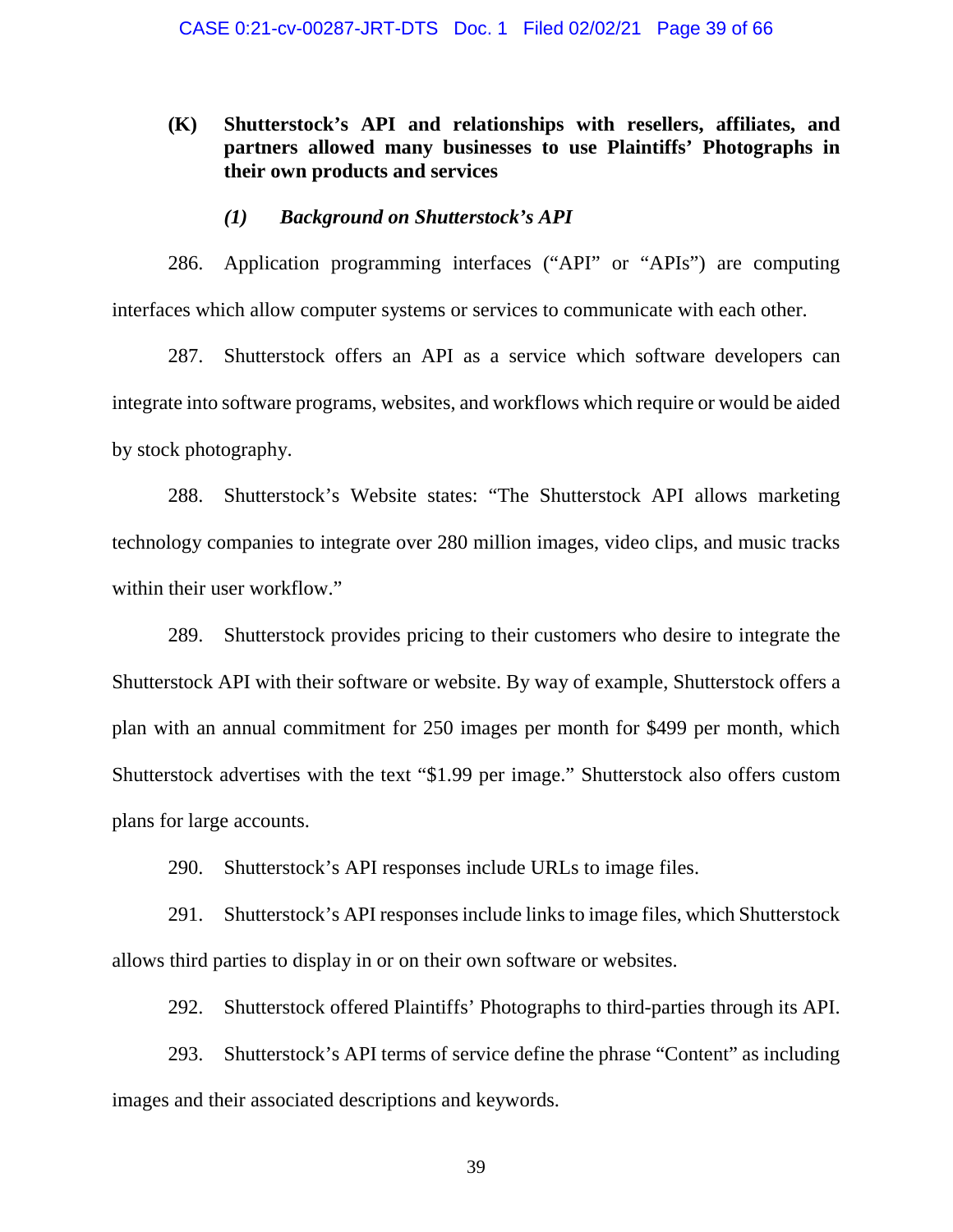### **(K) Shutterstock's API and relationships with resellers, affiliates, and partners allowed many businesses to use Plaintiffs' Photographs in their own products and services**

### *(1) Background on Shutterstock's API*

286. Application programming interfaces ("API" or "APIs") are computing interfaces which allow computer systems or services to communicate with each other.

287. Shutterstock offers an API as a service which software developers can integrate into software programs, websites, and workflows which require or would be aided by stock photography.

288. Shutterstock's Website states: "The Shutterstock API allows marketing technology companies to integrate over 280 million images, video clips, and music tracks within their user workflow."

289. Shutterstock provides pricing to their customers who desire to integrate the Shutterstock API with their software or website. By way of example, Shutterstock offers a plan with an annual commitment for 250 images per month for \$499 per month, which Shutterstock advertises with the text "\$1.99 per image." Shutterstock also offers custom plans for large accounts.

290. Shutterstock's API responses include URLs to image files.

291. Shutterstock's API responses include links to image files, which Shutterstock allows third parties to display in or on their own software or websites.

292. Shutterstock offered Plaintiffs' Photographs to third-parties through its API.

293. Shutterstock's API terms of service define the phrase "Content" as including images and their associated descriptions and keywords.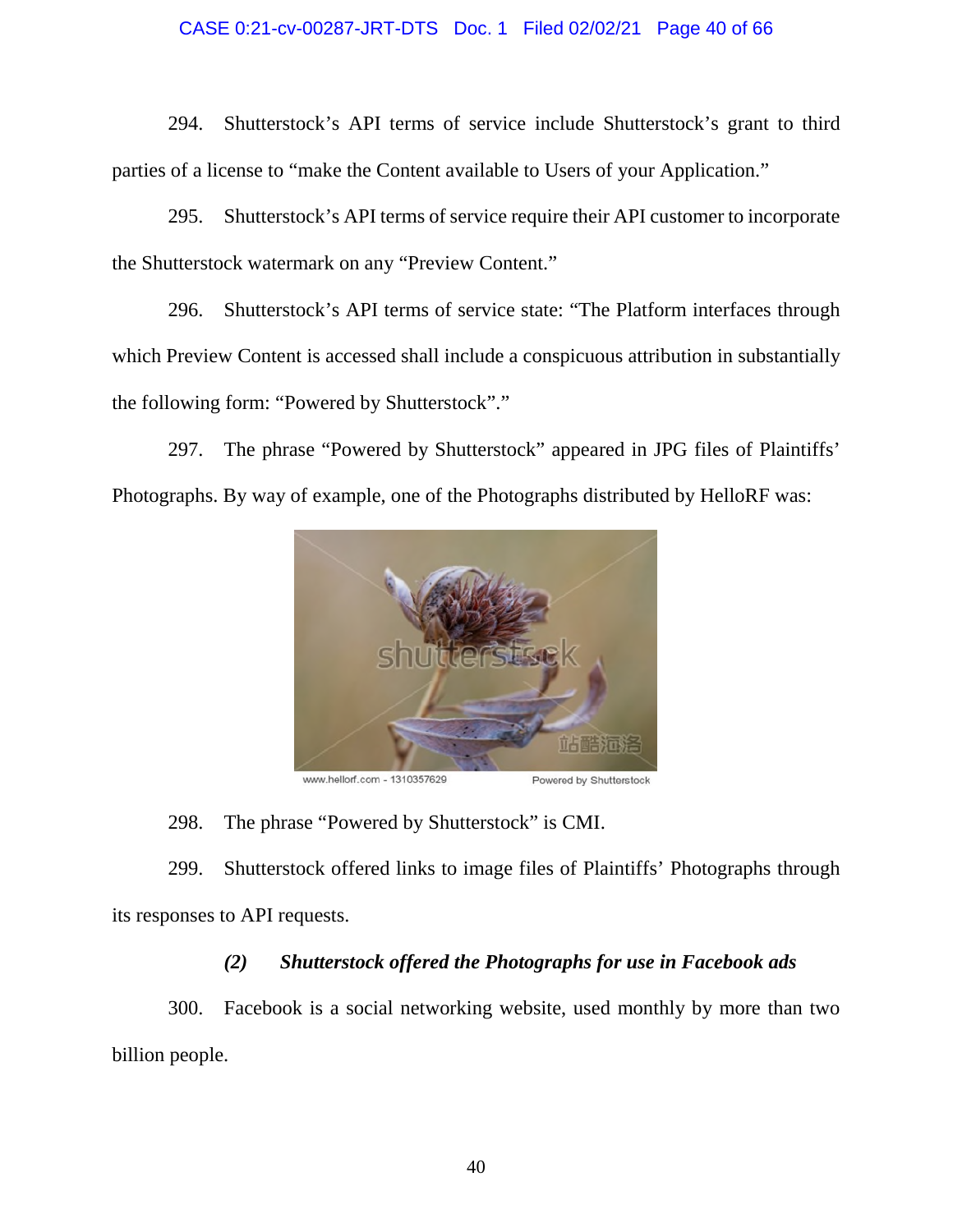### CASE 0:21-cv-00287-JRT-DTS Doc. 1 Filed 02/02/21 Page 40 of 66

294. Shutterstock's API terms of service include Shutterstock's grant to third parties of a license to "make the Content available to Users of your Application."

295. Shutterstock's API terms of service require their API customer to incorporate the Shutterstock watermark on any "Preview Content."

296. Shutterstock's API terms of service state: "The Platform interfaces through which Preview Content is accessed shall include a conspicuous attribution in substantially the following form: "Powered by Shutterstock"."

297. The phrase "Powered by Shutterstock" appeared in JPG files of Plaintiffs' Photographs. By way of example, one of the Photographs distributed by HelloRF was:



www.hellorf.com - 1310357629

Powered by Shutterstock

298. The phrase "Powered by Shutterstock" is CMI.

299. Shutterstock offered links to image files of Plaintiffs' Photographs through its responses to API requests.

# *(2) Shutterstock offered the Photographs for use in Facebook ads*

300. Facebook is a social networking website, used monthly by more than two billion people.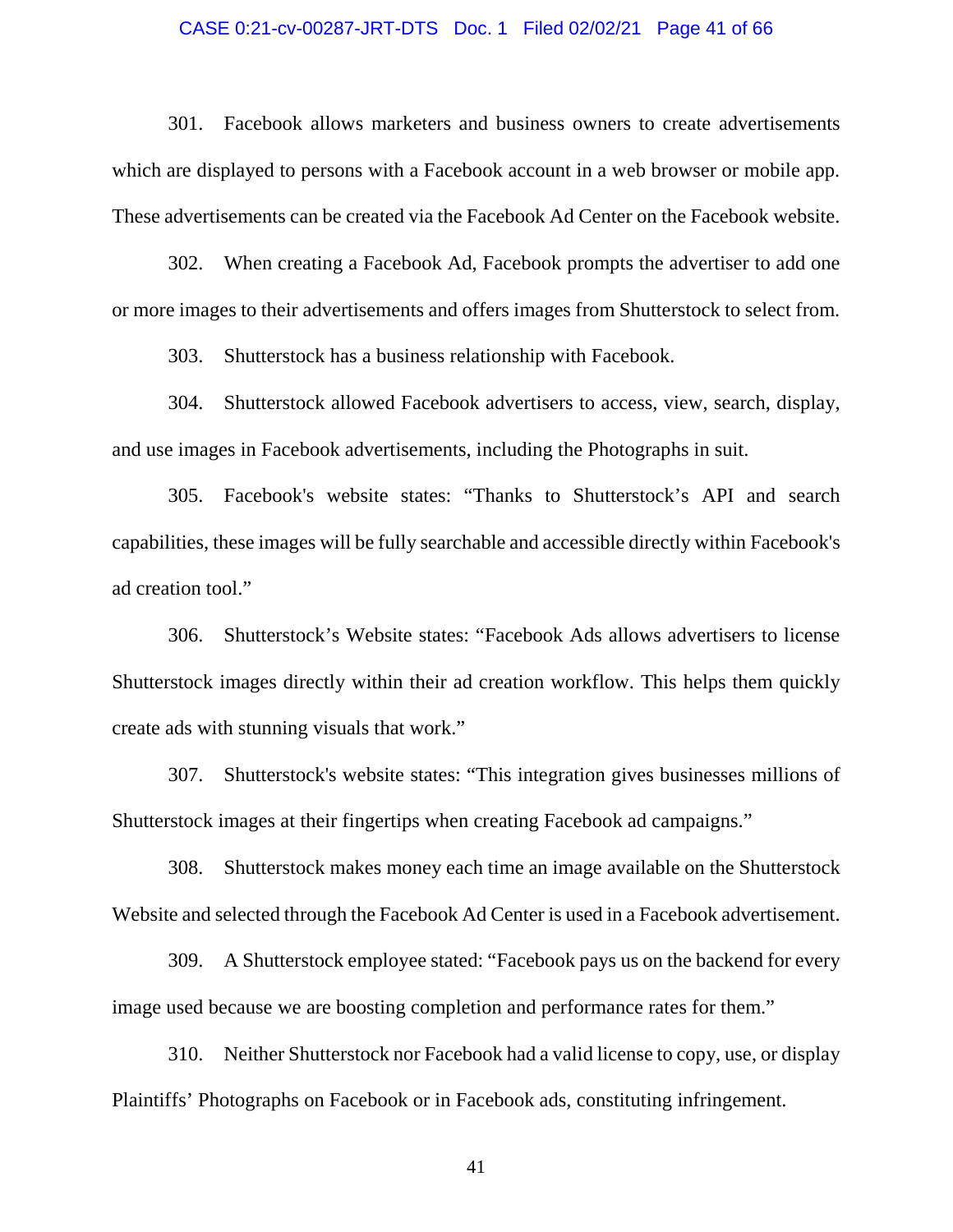### CASE 0:21-cv-00287-JRT-DTS Doc. 1 Filed 02/02/21 Page 41 of 66

301. Facebook allows marketers and business owners to create advertisements which are displayed to persons with a Facebook account in a web browser or mobile app. These advertisements can be created via the Facebook Ad Center on the Facebook website.

302. When creating a Facebook Ad, Facebook prompts the advertiser to add one or more images to their advertisements and offers images from Shutterstock to select from.

303. Shutterstock has a business relationship with Facebook.

304. Shutterstock allowed Facebook advertisers to access, view, search, display, and use images in Facebook advertisements, including the Photographs in suit.

305. Facebook's website states: "Thanks to Shutterstock's API and search capabilities, these images will be fully searchable and accessible directly within Facebook's ad creation tool."

306. Shutterstock's Website states: "Facebook Ads allows advertisers to license Shutterstock images directly within their ad creation workflow. This helps them quickly create ads with stunning visuals that work."

307. Shutterstock's website states: "This integration gives businesses millions of Shutterstock images at their fingertips when creating Facebook ad campaigns."

308. Shutterstock makes money each time an image available on the Shutterstock Website and selected through the Facebook Ad Center is used in a Facebook advertisement.

309. A Shutterstock employee stated: "Facebook pays us on the backend for every image used because we are boosting completion and performance rates for them."

310. Neither Shutterstock nor Facebook had a valid license to copy, use, or display Plaintiffs' Photographs on Facebook or in Facebook ads, constituting infringement.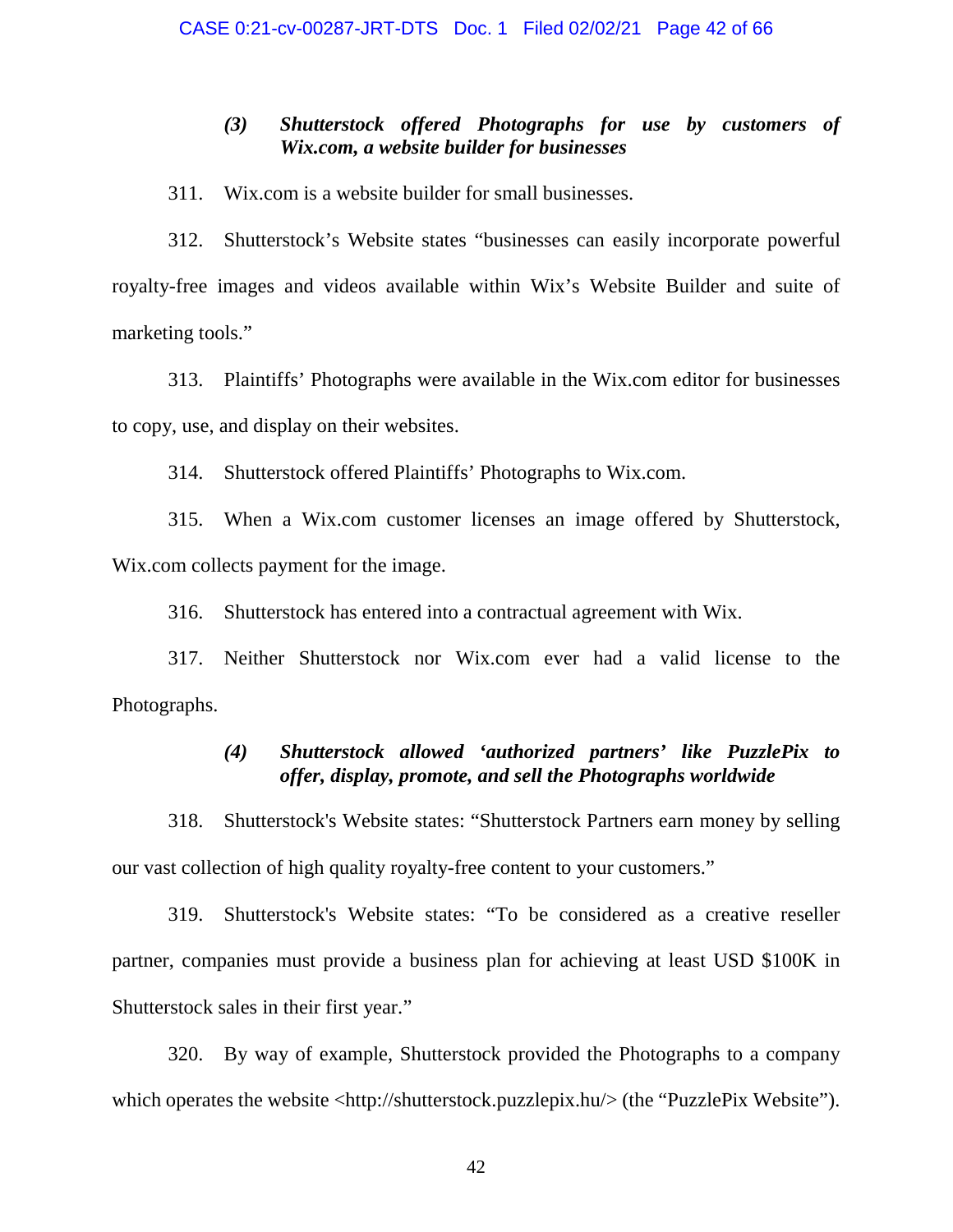### *(3) Shutterstock offered Photographs for use by customers of Wix.com, a website builder for businesses*

311. Wix.com is a website builder for small businesses.

312. Shutterstock's Website states "businesses can easily incorporate powerful royalty-free images and videos available within Wix's Website Builder and suite of marketing tools."

313. Plaintiffs' Photographs were available in the Wix.com editor for businesses to copy, use, and display on their websites.

314. Shutterstock offered Plaintiffs' Photographs to Wix.com.

315. When a Wix.com customer licenses an image offered by Shutterstock, Wix.com collects payment for the image.

316. Shutterstock has entered into a contractual agreement with Wix.

317. Neither Shutterstock nor Wix.com ever had a valid license to the Photographs.

### *(4) Shutterstock allowed 'authorized partners' like PuzzlePix to offer, display, promote, and sell the Photographs worldwide*

318. Shutterstock's Website states: "Shutterstock Partners earn money by selling our vast collection of high quality royalty-free content to your customers."

319. Shutterstock's Website states: "To be considered as a creative reseller partner, companies must provide a business plan for achieving at least USD \$100K in Shutterstock sales in their first year."

320. By way of example, Shutterstock provided the Photographs to a company which operates the website <http://shutterstock.puzzlepix.hu/> (the "PuzzlePix Website").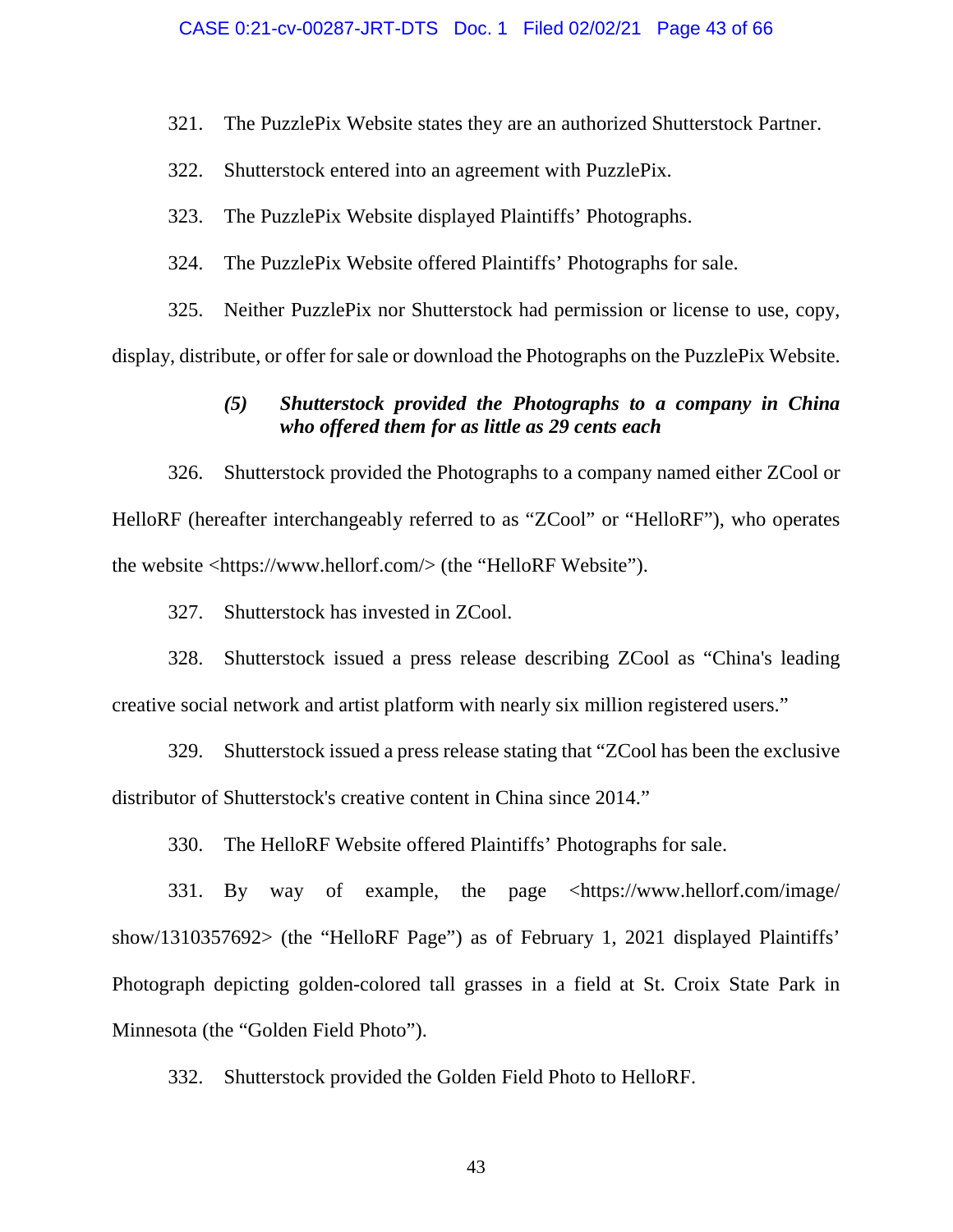321. The PuzzlePix Website states they are an authorized Shutterstock Partner.

322. Shutterstock entered into an agreement with PuzzlePix.

323. The PuzzlePix Website displayed Plaintiffs' Photographs.

324. The PuzzlePix Website offered Plaintiffs' Photographs for sale.

325. Neither PuzzlePix nor Shutterstock had permission or license to use, copy, display, distribute, or offer for sale or download the Photographs on the PuzzlePix Website.

### *(5) Shutterstock provided the Photographs to a company in China who offered them for as little as 29 cents each*

326. Shutterstock provided the Photographs to a company named either ZCool or HelloRF (hereafter interchangeably referred to as "ZCool" or "HelloRF"), who operates the website <https://www.hellorf.com/> (the "HelloRF Website").

327. Shutterstock has invested in ZCool.

328. Shutterstock issued a press release describing ZCool as "China's leading creative social network and artist platform with nearly six million registered users."

329. Shutterstock issued a press release stating that "ZCool has been the exclusive distributor of Shutterstock's creative content in China since 2014."

330. The HelloRF Website offered Plaintiffs' Photographs for sale.

331. By way of example, the page <https://www.hellorf.com/image/ show/1310357692> (the "HelloRF Page") as of February 1, 2021 displayed Plaintiffs' Photograph depicting golden-colored tall grasses in a field at St. Croix State Park in Minnesota (the "Golden Field Photo").

332. Shutterstock provided the Golden Field Photo to HelloRF.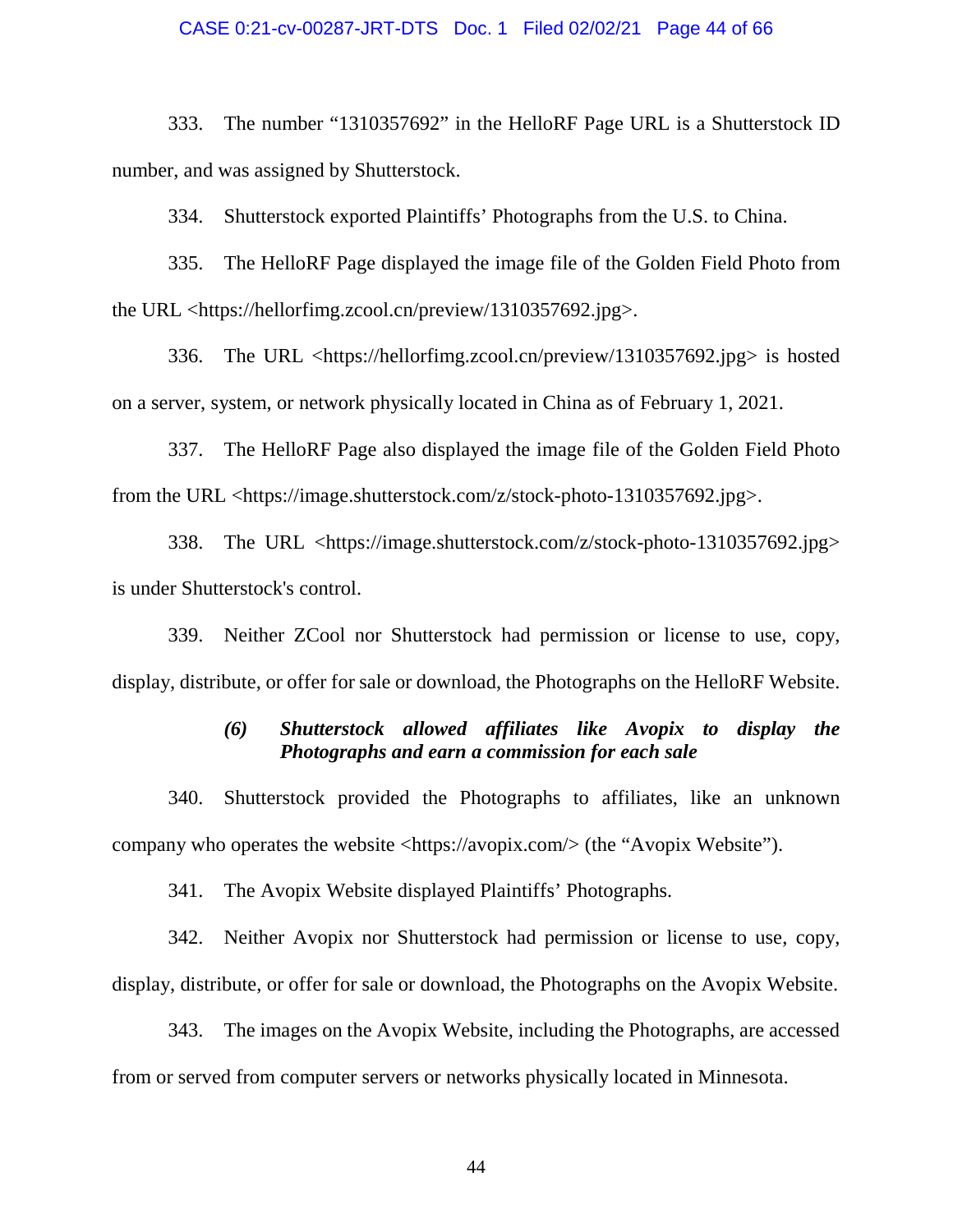#### CASE 0:21-cv-00287-JRT-DTS Doc. 1 Filed 02/02/21 Page 44 of 66

333. The number "1310357692" in the HelloRF Page URL is a Shutterstock ID number, and was assigned by Shutterstock.

334. Shutterstock exported Plaintiffs' Photographs from the U.S. to China.

335. The HelloRF Page displayed the image file of the Golden Field Photo from the URL <https://hellorfimg.zcool.cn/preview/1310357692.jpg>.

336. The URL <https://hellorfimg.zcool.cn/preview/1310357692.jpg> is hosted on a server, system, or network physically located in China as of February 1, 2021.

337. The HelloRF Page also displayed the image file of the Golden Field Photo from the URL <https://image.shutterstock.com/z/stock-photo-1310357692.jpg>.

338. The URL <https://image.shutterstock.com/z/stock-photo-1310357692.jpg> is under Shutterstock's control.

339. Neither ZCool nor Shutterstock had permission or license to use, copy, display, distribute, or offer for sale or download, the Photographs on the HelloRF Website.

### *(6) Shutterstock allowed affiliates like Avopix to display the Photographs and earn a commission for each sale*

340. Shutterstock provided the Photographs to affiliates, like an unknown company who operates the website <https://avopix.com/> (the "Avopix Website").

341. The Avopix Website displayed Plaintiffs' Photographs.

342. Neither Avopix nor Shutterstock had permission or license to use, copy, display, distribute, or offer for sale or download, the Photographs on the Avopix Website.

343. The images on the Avopix Website, including the Photographs, are accessed from or served from computer servers or networks physically located in Minnesota.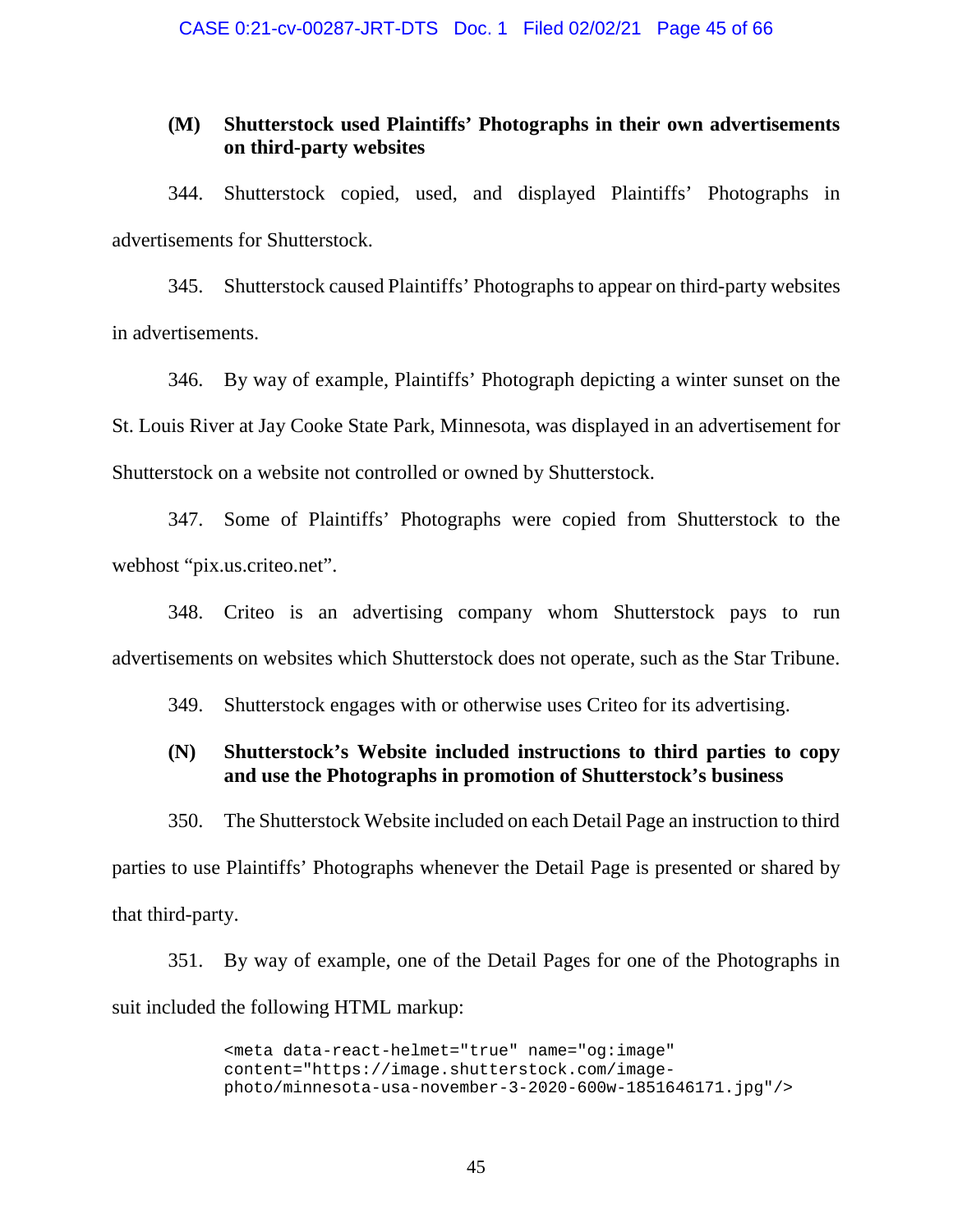### **(M) Shutterstock used Plaintiffs' Photographs in their own advertisements on third-party websites**

344. Shutterstock copied, used, and displayed Plaintiffs' Photographs in advertisements for Shutterstock.

345. Shutterstock caused Plaintiffs' Photographs to appear on third-party websites in advertisements.

346. By way of example, Plaintiffs' Photograph depicting a winter sunset on the St. Louis River at Jay Cooke State Park, Minnesota, was displayed in an advertisement for Shutterstock on a website not controlled or owned by Shutterstock.

347. Some of Plaintiffs' Photographs were copied from Shutterstock to the webhost "pix.us.criteo.net".

348. Criteo is an advertising company whom Shutterstock pays to run advertisements on websites which Shutterstock does not operate, such as the Star Tribune.

349. Shutterstock engages with or otherwise uses Criteo for its advertising.

### **(N) Shutterstock's Website included instructions to third parties to copy and use the Photographs in promotion of Shutterstock's business**

350. The Shutterstock Website included on each Detail Page an instruction to third parties to use Plaintiffs' Photographs whenever the Detail Page is presented or shared by that third-party.

351. By way of example, one of the Detail Pages for one of the Photographs in suit included the following HTML markup:

> <meta data-react-helmet="true" name="og:image" content="https://image.shutterstock.com/imagephoto/minnesota-usa-november-3-2020-600w-1851646171.jpg"/>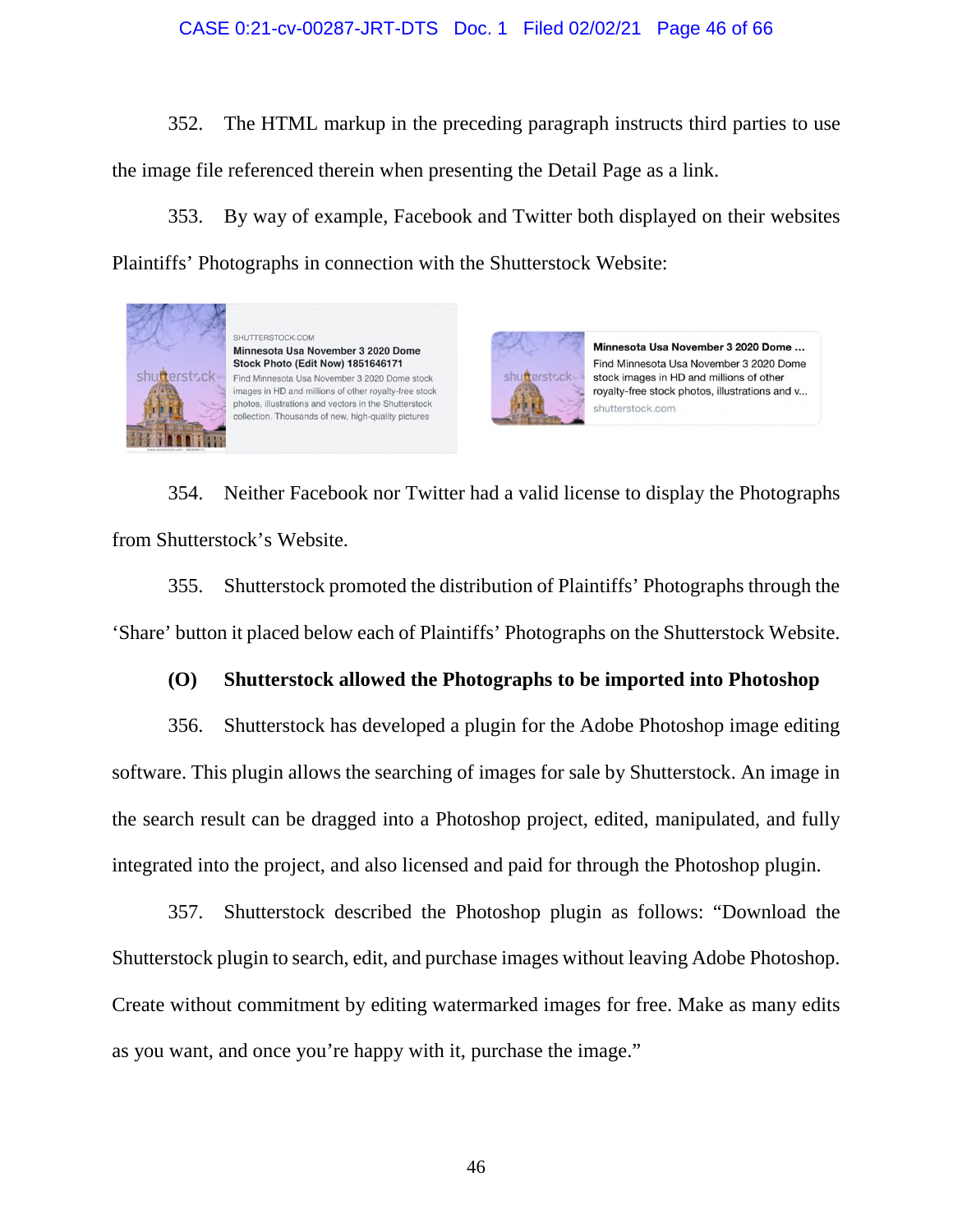### CASE 0:21-cv-00287-JRT-DTS Doc. 1 Filed 02/02/21 Page 46 of 66

352. The HTML markup in the preceding paragraph instructs third parties to use the image file referenced therein when presenting the Detail Page as a link.

353. By way of example, Facebook and Twitter both displayed on their websites Plaintiffs' Photographs in connection with the Shutterstock Website:



354. Neither Facebook nor Twitter had a valid license to display the Photographs from Shutterstock's Website.

355. Shutterstock promoted the distribution of Plaintiffs' Photographs through the 'Share' button it placed below each of Plaintiffs' Photographs on the Shutterstock Website.

### **(O) Shutterstock allowed the Photographs to be imported into Photoshop**

356. Shutterstock has developed a plugin for the Adobe Photoshop image editing software. This plugin allows the searching of images for sale by Shutterstock. An image in the search result can be dragged into a Photoshop project, edited, manipulated, and fully integrated into the project, and also licensed and paid for through the Photoshop plugin.

357. Shutterstock described the Photoshop plugin as follows: "Download the Shutterstock plugin to search, edit, and purchase images without leaving Adobe Photoshop. Create without commitment by editing watermarked images for free. Make as many edits as you want, and once you're happy with it, purchase the image."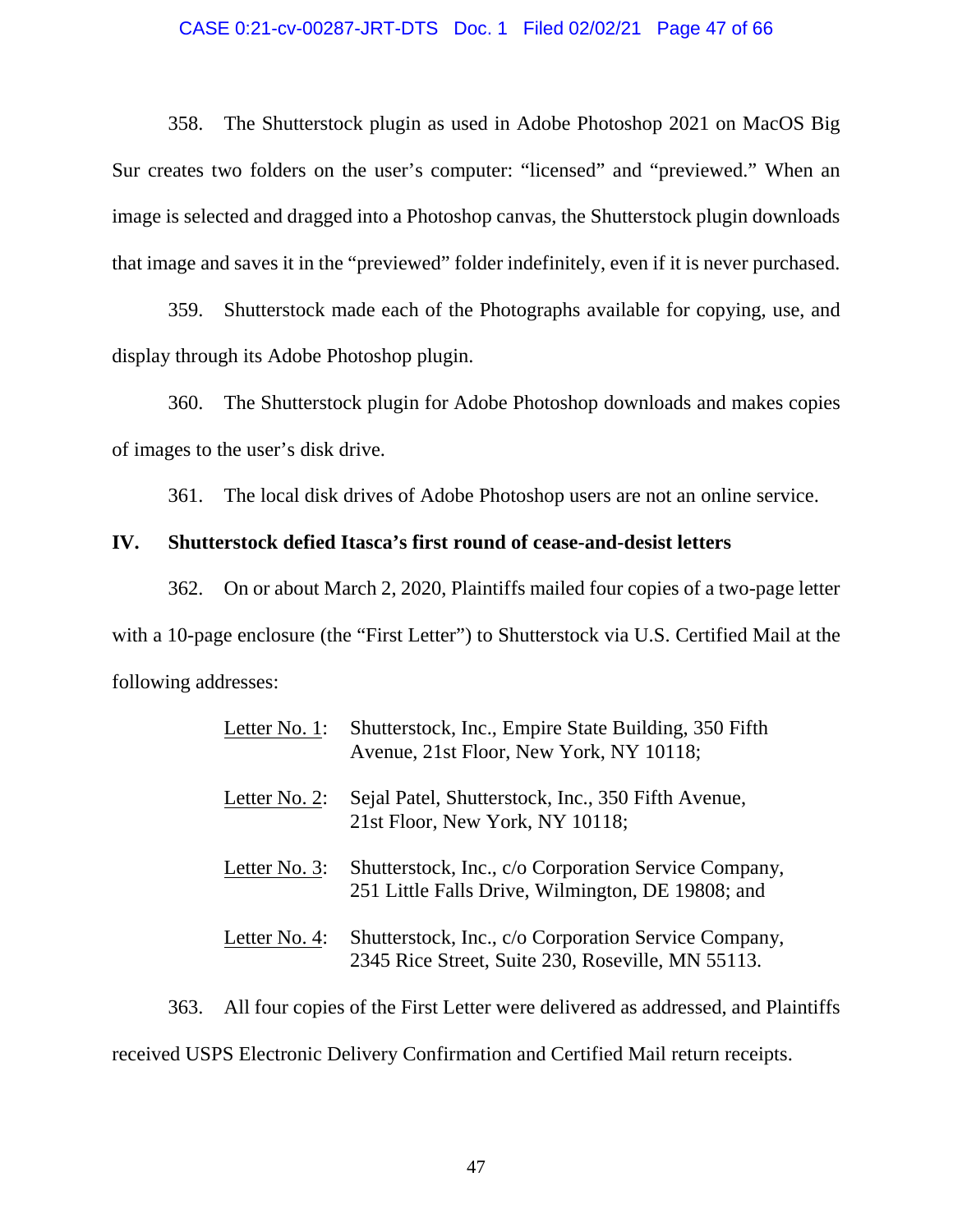#### CASE 0:21-cv-00287-JRT-DTS Doc. 1 Filed 02/02/21 Page 47 of 66

358. The Shutterstock plugin as used in Adobe Photoshop 2021 on MacOS Big Sur creates two folders on the user's computer: "licensed" and "previewed." When an image is selected and dragged into a Photoshop canvas, the Shutterstock plugin downloads that image and saves it in the "previewed" folder indefinitely, even if it is never purchased.

359. Shutterstock made each of the Photographs available for copying, use, and display through its Adobe Photoshop plugin.

360. The Shutterstock plugin for Adobe Photoshop downloads and makes copies of images to the user's disk drive.

361. The local disk drives of Adobe Photoshop users are not an online service.

### **IV. Shutterstock defied Itasca's first round of cease-and-desist letters**

362. On or about March 2, 2020, Plaintiffs mailed four copies of a two-page letter with a 10-page enclosure (the "First Letter") to Shutterstock via U.S. Certified Mail at the following addresses:

| Letter No. 1: | Shutterstock, Inc., Empire State Building, 350 Fifth<br>Avenue, 21st Floor, New York, NY 10118;           |
|---------------|-----------------------------------------------------------------------------------------------------------|
| Letter No. 2: | Sejal Patel, Shutterstock, Inc., 350 Fifth Avenue,<br>21st Floor, New York, NY 10118;                     |
| Letter No. 3: | Shutterstock, Inc., c/o Corporation Service Company,<br>251 Little Falls Drive, Wilmington, DE 19808; and |
| Letter No. 4: | Shutterstock, Inc., c/o Corporation Service Company,<br>2345 Rice Street, Suite 230, Roseville, MN 55113. |

363. All four copies of the First Letter were delivered as addressed, and Plaintiffs received USPS Electronic Delivery Confirmation and Certified Mail return receipts.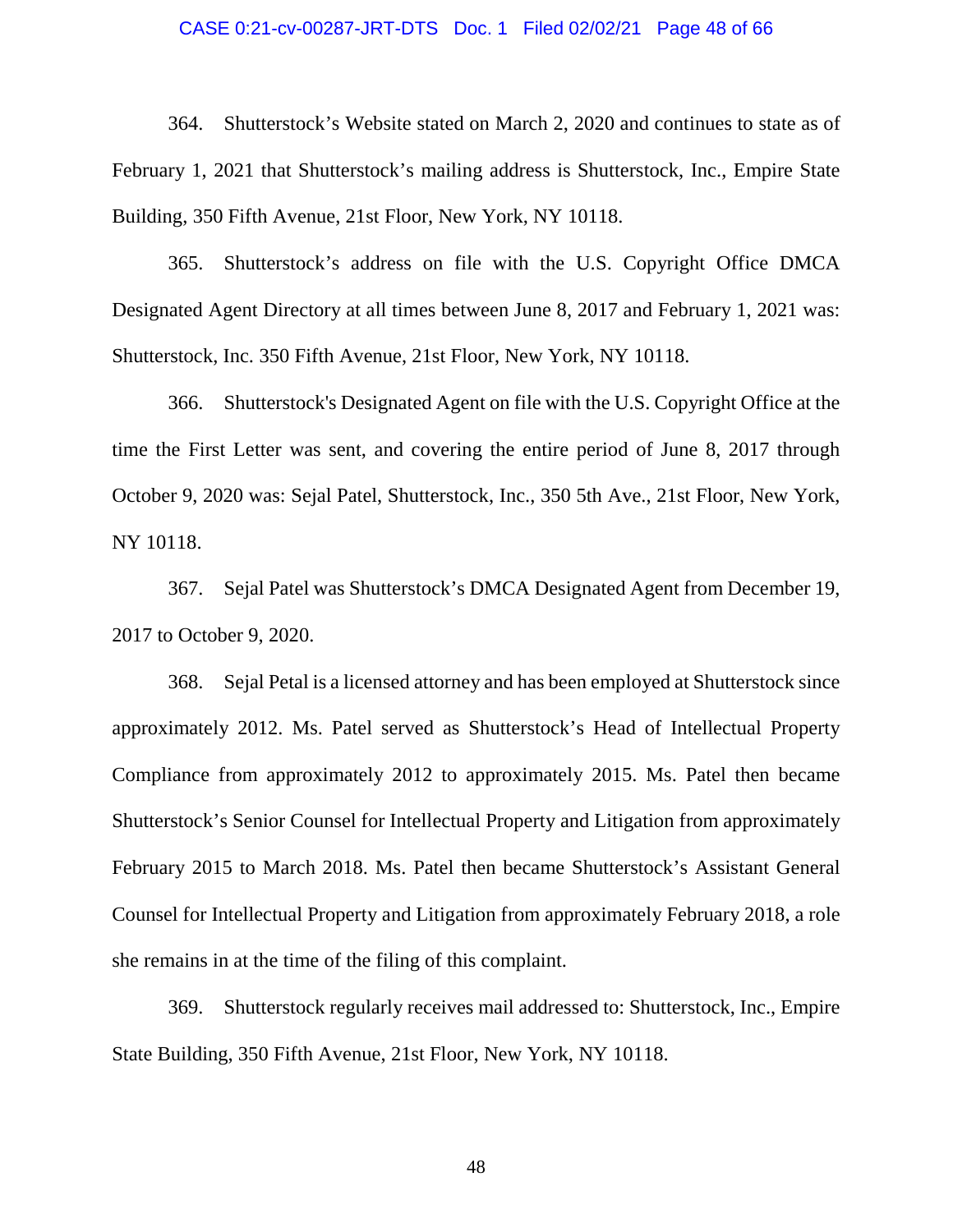#### CASE 0:21-cv-00287-JRT-DTS Doc. 1 Filed 02/02/21 Page 48 of 66

364. Shutterstock's Website stated on March 2, 2020 and continues to state as of February 1, 2021 that Shutterstock's mailing address is Shutterstock, Inc., Empire State Building, 350 Fifth Avenue, 21st Floor, New York, NY 10118.

365. Shutterstock's address on file with the U.S. Copyright Office DMCA Designated Agent Directory at all times between June 8, 2017 and February 1, 2021 was: Shutterstock, Inc. 350 Fifth Avenue, 21st Floor, New York, NY 10118.

366. Shutterstock's Designated Agent on file with the U.S. Copyright Office at the time the First Letter was sent, and covering the entire period of June 8, 2017 through October 9, 2020 was: Sejal Patel, Shutterstock, Inc., 350 5th Ave., 21st Floor, New York, NY 10118.

367. Sejal Patel was Shutterstock's DMCA Designated Agent from December 19, 2017 to October 9, 2020.

368. Sejal Petal is a licensed attorney and has been employed at Shutterstock since approximately 2012. Ms. Patel served as Shutterstock's Head of Intellectual Property Compliance from approximately 2012 to approximately 2015. Ms. Patel then became Shutterstock's Senior Counsel for Intellectual Property and Litigation from approximately February 2015 to March 2018. Ms. Patel then became Shutterstock's Assistant General Counsel for Intellectual Property and Litigation from approximately February 2018, a role she remains in at the time of the filing of this complaint.

369. Shutterstock regularly receives mail addressed to: Shutterstock, Inc., Empire State Building, 350 Fifth Avenue, 21st Floor, New York, NY 10118.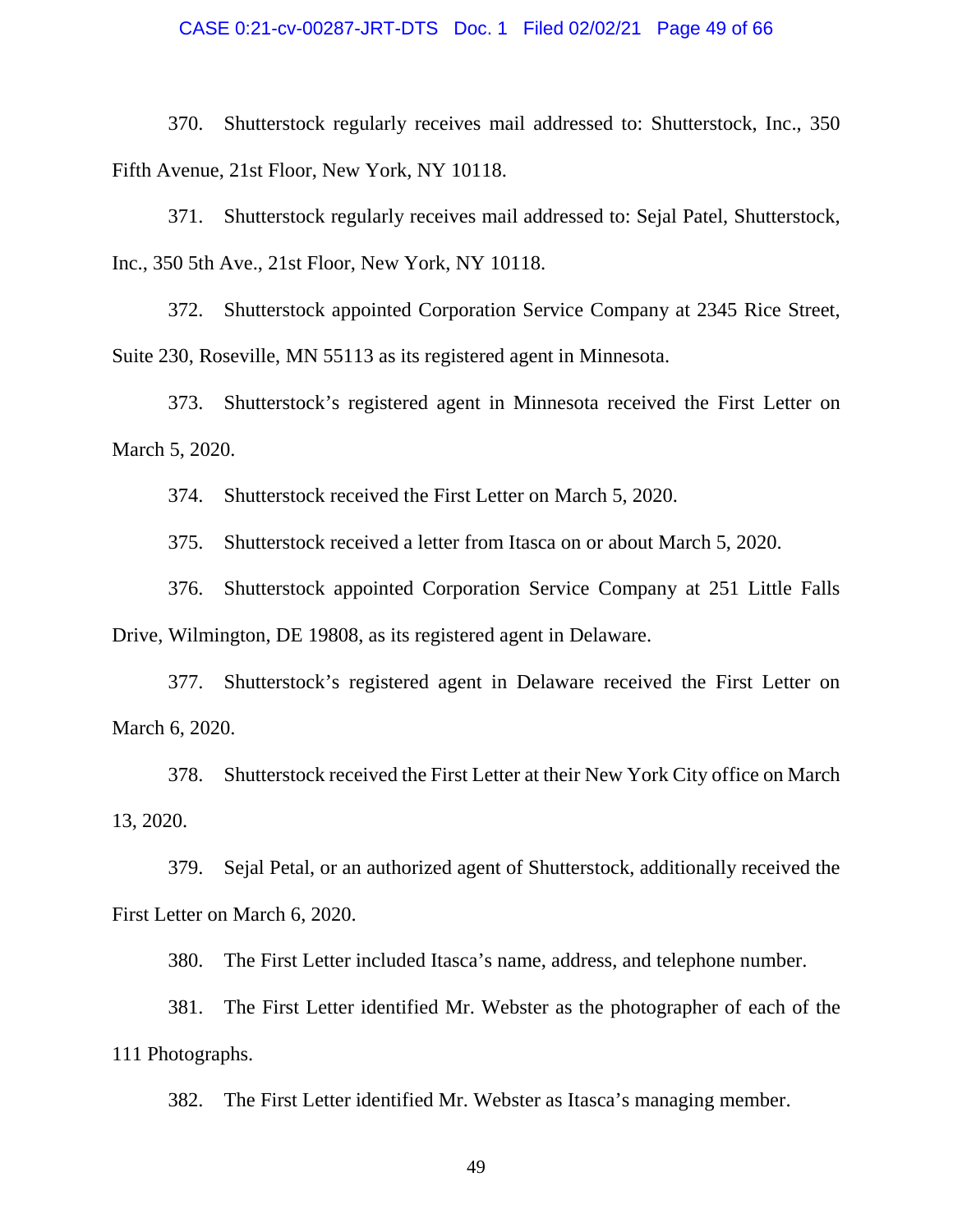#### CASE 0:21-cv-00287-JRT-DTS Doc. 1 Filed 02/02/21 Page 49 of 66

370. Shutterstock regularly receives mail addressed to: Shutterstock, Inc., 350 Fifth Avenue, 21st Floor, New York, NY 10118.

371. Shutterstock regularly receives mail addressed to: Sejal Patel, Shutterstock, Inc., 350 5th Ave., 21st Floor, New York, NY 10118.

372. Shutterstock appointed Corporation Service Company at 2345 Rice Street, Suite 230, Roseville, MN 55113 as its registered agent in Minnesota.

373. Shutterstock's registered agent in Minnesota received the First Letter on March 5, 2020.

374. Shutterstock received the First Letter on March 5, 2020.

375. Shutterstock received a letter from Itasca on or about March 5, 2020.

376. Shutterstock appointed Corporation Service Company at 251 Little Falls Drive, Wilmington, DE 19808, as its registered agent in Delaware.

377. Shutterstock's registered agent in Delaware received the First Letter on March 6, 2020.

378. Shutterstock received the First Letter at their New York City office on March 13, 2020.

379. Sejal Petal, or an authorized agent of Shutterstock, additionally received the First Letter on March 6, 2020.

380. The First Letter included Itasca's name, address, and telephone number.

381. The First Letter identified Mr. Webster as the photographer of each of the 111 Photographs.

382. The First Letter identified Mr. Webster as Itasca's managing member.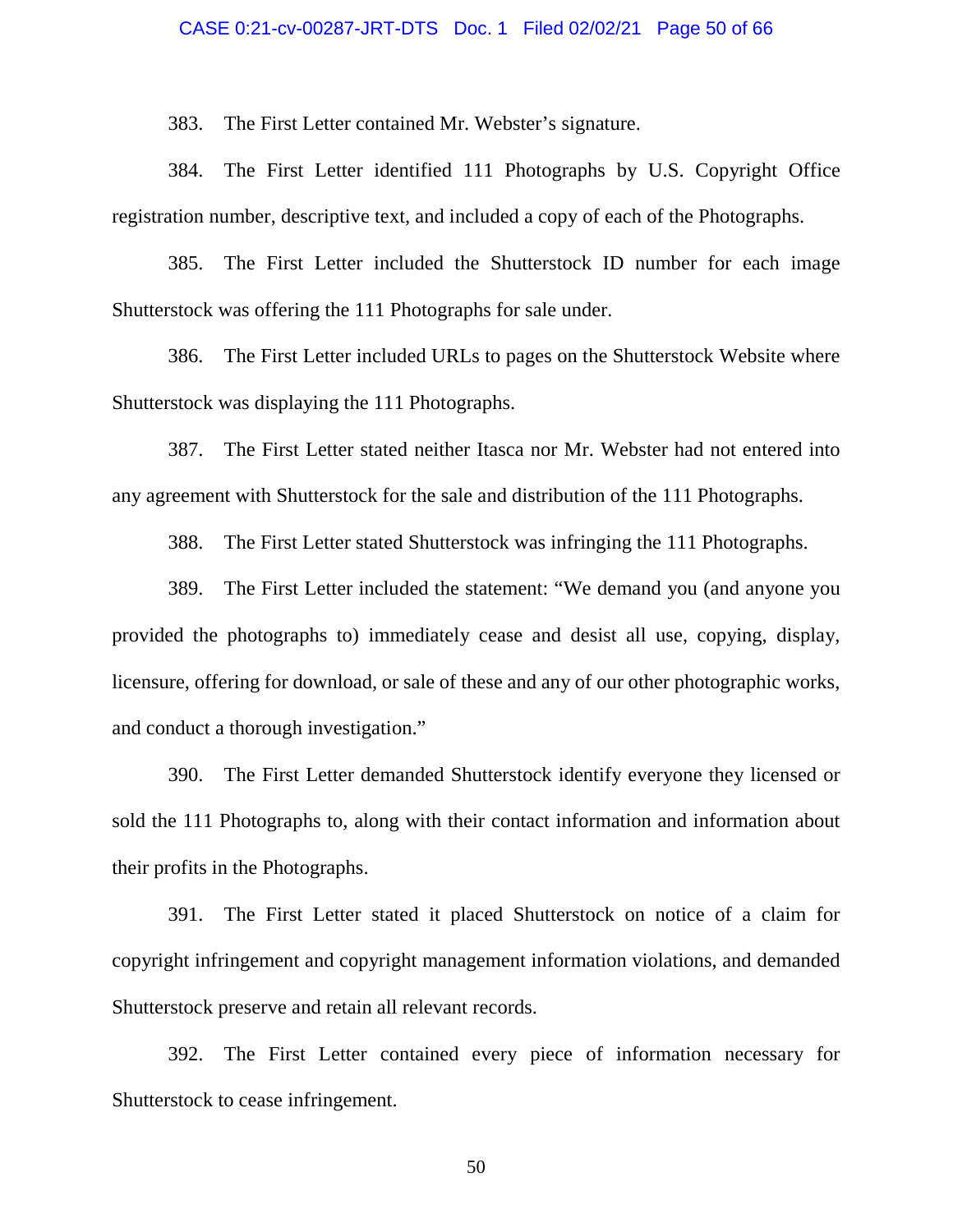#### CASE 0:21-cv-00287-JRT-DTS Doc. 1 Filed 02/02/21 Page 50 of 66

383. The First Letter contained Mr. Webster's signature.

384. The First Letter identified 111 Photographs by U.S. Copyright Office registration number, descriptive text, and included a copy of each of the Photographs.

385. The First Letter included the Shutterstock ID number for each image Shutterstock was offering the 111 Photographs for sale under.

386. The First Letter included URLs to pages on the Shutterstock Website where Shutterstock was displaying the 111 Photographs.

387. The First Letter stated neither Itasca nor Mr. Webster had not entered into any agreement with Shutterstock for the sale and distribution of the 111 Photographs.

388. The First Letter stated Shutterstock was infringing the 111 Photographs.

389. The First Letter included the statement: "We demand you (and anyone you provided the photographs to) immediately cease and desist all use, copying, display, licensure, offering for download, or sale of these and any of our other photographic works, and conduct a thorough investigation."

390. The First Letter demanded Shutterstock identify everyone they licensed or sold the 111 Photographs to, along with their contact information and information about their profits in the Photographs.

391. The First Letter stated it placed Shutterstock on notice of a claim for copyright infringement and copyright management information violations, and demanded Shutterstock preserve and retain all relevant records.

392. The First Letter contained every piece of information necessary for Shutterstock to cease infringement.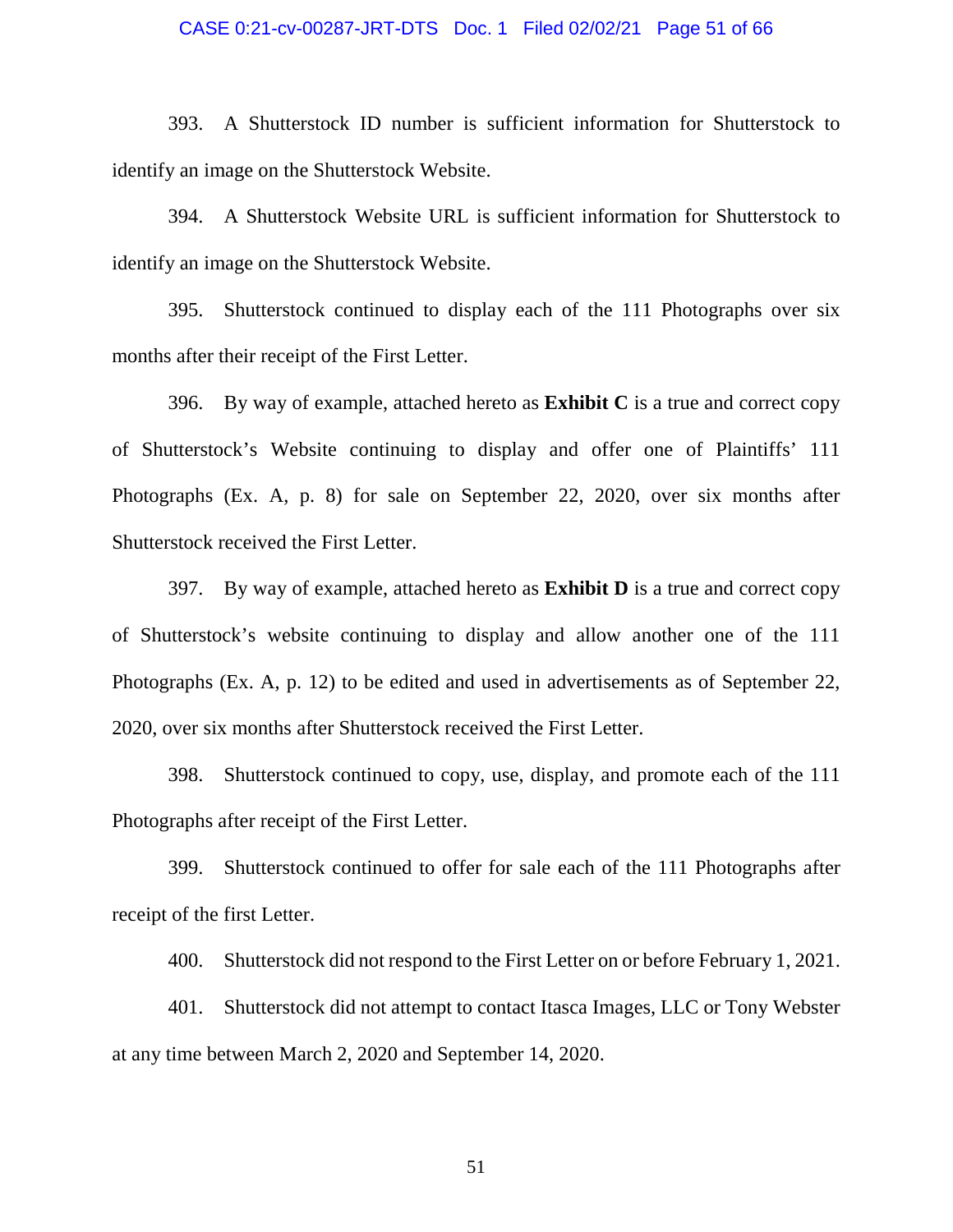#### CASE 0:21-cv-00287-JRT-DTS Doc. 1 Filed 02/02/21 Page 51 of 66

393. A Shutterstock ID number is sufficient information for Shutterstock to identify an image on the Shutterstock Website.

394. A Shutterstock Website URL is sufficient information for Shutterstock to identify an image on the Shutterstock Website.

395. Shutterstock continued to display each of the 111 Photographs over six months after their receipt of the First Letter.

396. By way of example, attached hereto as **Exhibit C** is a true and correct copy of Shutterstock's Website continuing to display and offer one of Plaintiffs' 111 Photographs (Ex. A, p. 8) for sale on September 22, 2020, over six months after Shutterstock received the First Letter.

397. By way of example, attached hereto as **Exhibit D** is a true and correct copy of Shutterstock's website continuing to display and allow another one of the 111 Photographs (Ex. A, p. 12) to be edited and used in advertisements as of September 22, 2020, over six months after Shutterstock received the First Letter.

398. Shutterstock continued to copy, use, display, and promote each of the 111 Photographs after receipt of the First Letter.

399. Shutterstock continued to offer for sale each of the 111 Photographs after receipt of the first Letter.

400. Shutterstock did not respond to the First Letter on or before February 1, 2021.

401. Shutterstock did not attempt to contact Itasca Images, LLC or Tony Webster at any time between March 2, 2020 and September 14, 2020.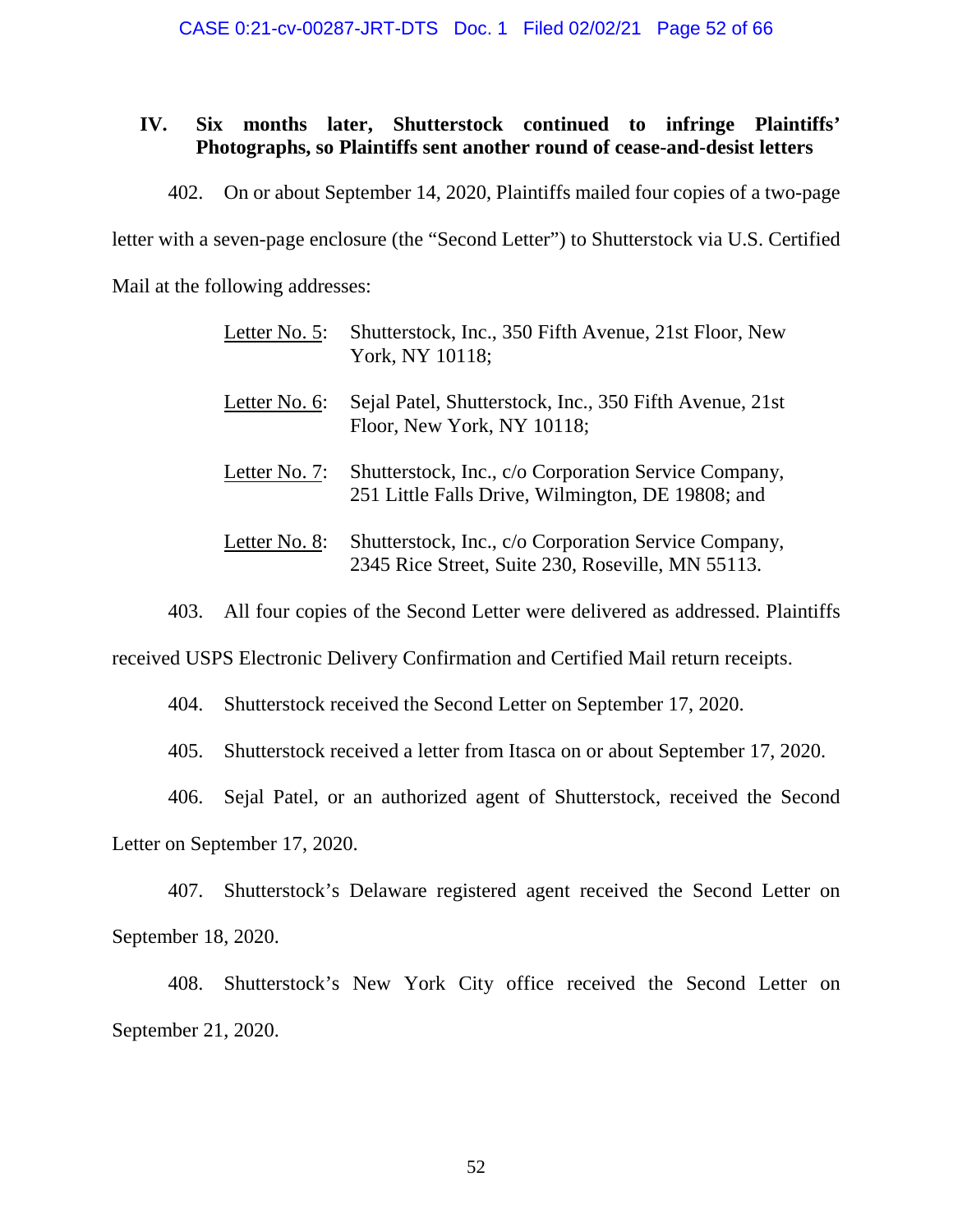### **IV. Six months later, Shutterstock continued to infringe Plaintiffs' Photographs, so Plaintiffs sent another round of cease-and-desist letters**

402. On or about September 14, 2020, Plaintiffs mailed four copies of a two-page

letter with a seven-page enclosure (the "Second Letter") to Shutterstock via U.S. Certified

Mail at the following addresses:

| Letter No. 5: | Shutterstock, Inc., 350 Fifth Avenue, 21st Floor, New<br>York, NY 10118;                                  |
|---------------|-----------------------------------------------------------------------------------------------------------|
| Letter No. 6: | Sejal Patel, Shutterstock, Inc., 350 Fifth Avenue, 21st<br>Floor, New York, NY 10118;                     |
| Letter No. 7: | Shutterstock, Inc., c/o Corporation Service Company,<br>251 Little Falls Drive, Wilmington, DE 19808; and |
| Letter No. 8: | Shutterstock, Inc., c/o Corporation Service Company,<br>2345 Rice Street, Suite 230, Roseville, MN 55113. |

403. All four copies of the Second Letter were delivered as addressed. Plaintiffs

received USPS Electronic Delivery Confirmation and Certified Mail return receipts.

404. Shutterstock received the Second Letter on September 17, 2020.

405. Shutterstock received a letter from Itasca on or about September 17, 2020.

406. Sejal Patel, or an authorized agent of Shutterstock, received the Second

Letter on September 17, 2020.

407. Shutterstock's Delaware registered agent received the Second Letter on September 18, 2020.

408. Shutterstock's New York City office received the Second Letter on September 21, 2020.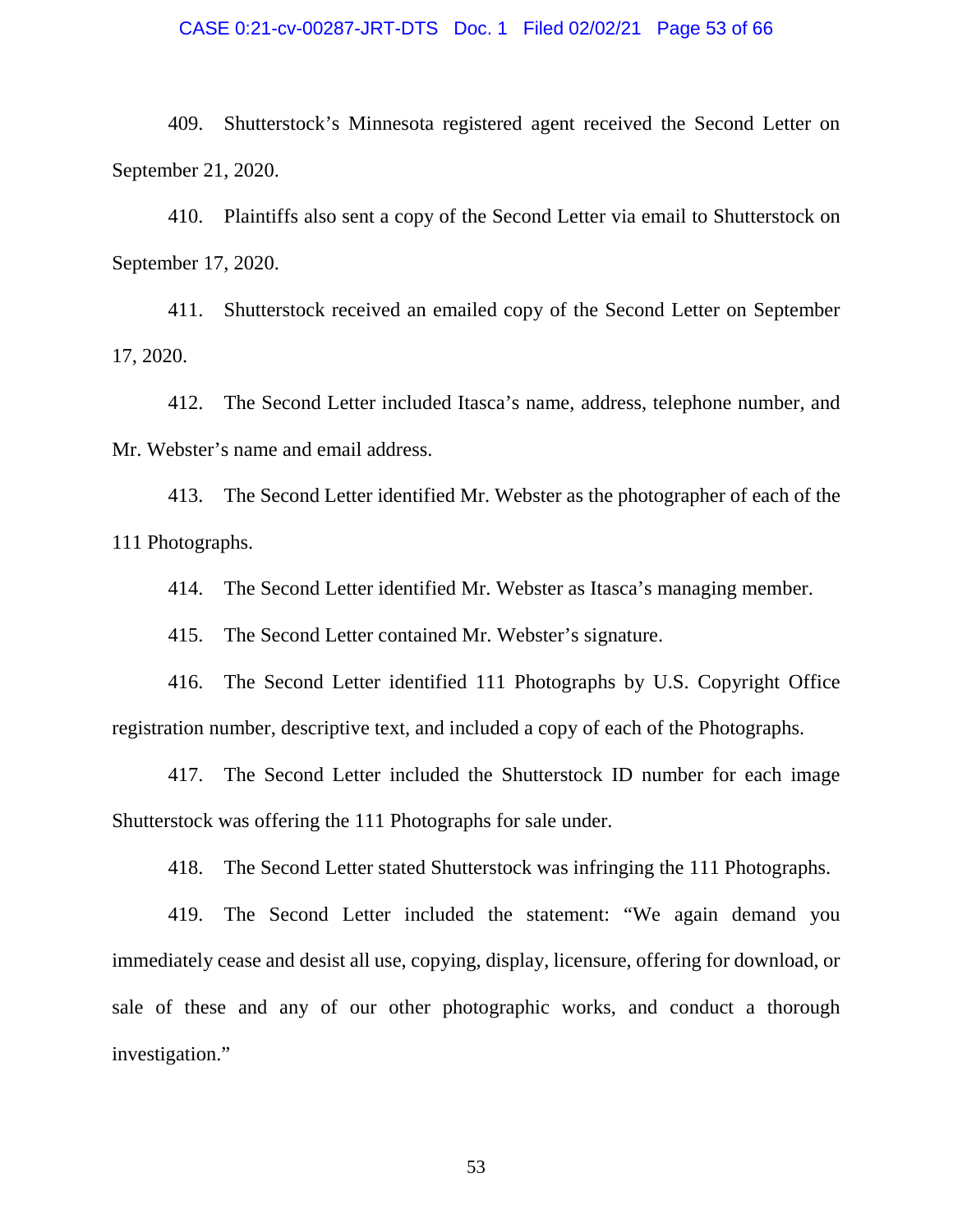#### CASE 0:21-cv-00287-JRT-DTS Doc. 1 Filed 02/02/21 Page 53 of 66

409. Shutterstock's Minnesota registered agent received the Second Letter on September 21, 2020.

410. Plaintiffs also sent a copy of the Second Letter via email to Shutterstock on September 17, 2020.

411. Shutterstock received an emailed copy of the Second Letter on September 17, 2020.

412. The Second Letter included Itasca's name, address, telephone number, and Mr. Webster's name and email address.

413. The Second Letter identified Mr. Webster as the photographer of each of the 111 Photographs.

414. The Second Letter identified Mr. Webster as Itasca's managing member.

415. The Second Letter contained Mr. Webster's signature.

416. The Second Letter identified 111 Photographs by U.S. Copyright Office registration number, descriptive text, and included a copy of each of the Photographs.

417. The Second Letter included the Shutterstock ID number for each image Shutterstock was offering the 111 Photographs for sale under.

418. The Second Letter stated Shutterstock was infringing the 111 Photographs.

419. The Second Letter included the statement: "We again demand you immediately cease and desist all use, copying, display, licensure, offering for download, or sale of these and any of our other photographic works, and conduct a thorough investigation."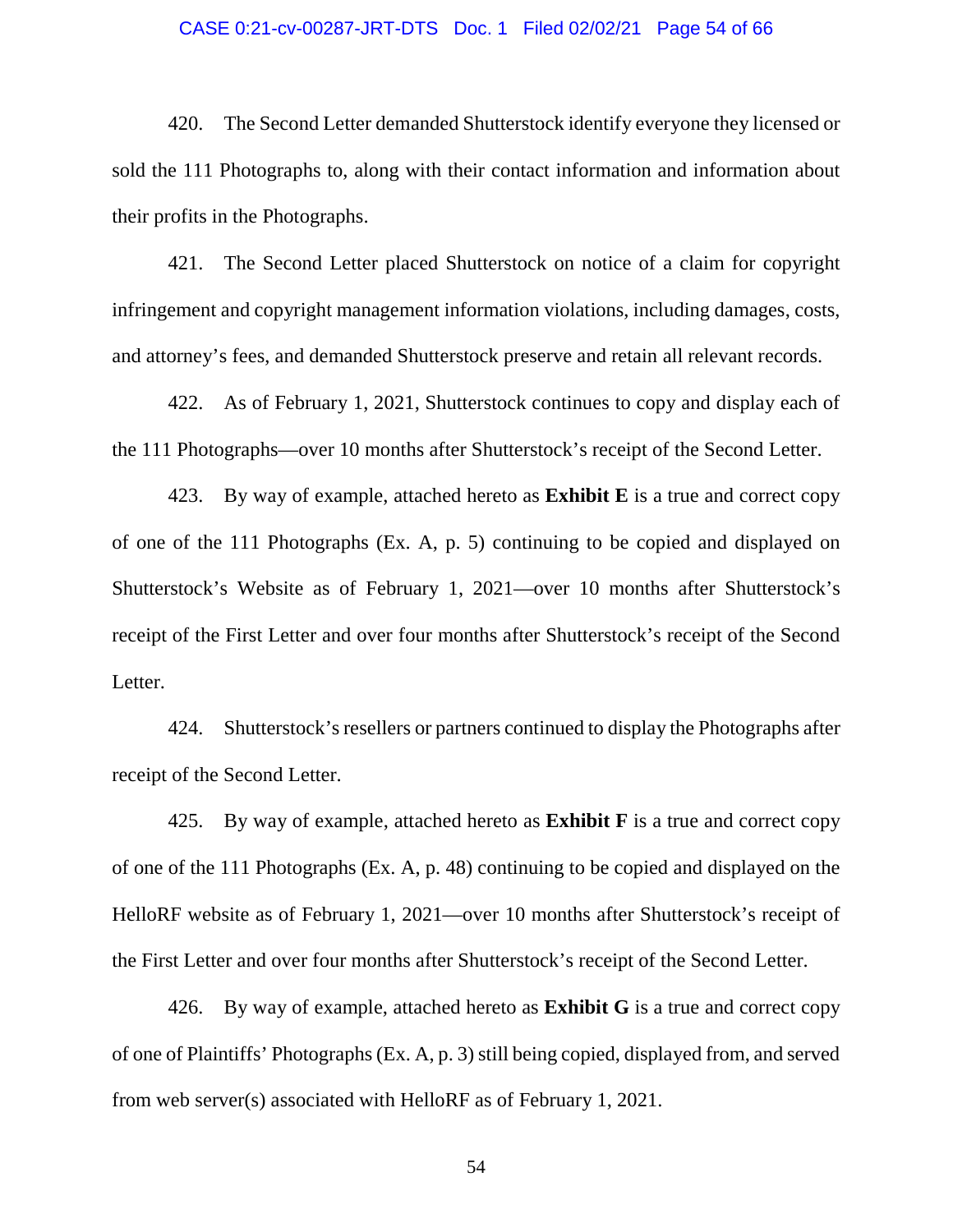#### CASE 0:21-cv-00287-JRT-DTS Doc. 1 Filed 02/02/21 Page 54 of 66

420. The Second Letter demanded Shutterstock identify everyone they licensed or sold the 111 Photographs to, along with their contact information and information about their profits in the Photographs.

421. The Second Letter placed Shutterstock on notice of a claim for copyright infringement and copyright management information violations, including damages, costs, and attorney's fees, and demanded Shutterstock preserve and retain all relevant records.

422. As of February 1, 2021, Shutterstock continues to copy and display each of the 111 Photographs—over 10 months after Shutterstock's receipt of the Second Letter.

423. By way of example, attached hereto as **Exhibit E** is a true and correct copy of one of the 111 Photographs (Ex. A, p. 5) continuing to be copied and displayed on Shutterstock's Website as of February 1, 2021—over 10 months after Shutterstock's receipt of the First Letter and over four months after Shutterstock's receipt of the Second Letter.

424. Shutterstock's resellers or partners continued to display the Photographs after receipt of the Second Letter.

425. By way of example, attached hereto as **Exhibit F** is a true and correct copy of one of the 111 Photographs (Ex. A, p. 48) continuing to be copied and displayed on the HelloRF website as of February 1, 2021—over 10 months after Shutterstock's receipt of the First Letter and over four months after Shutterstock's receipt of the Second Letter.

426. By way of example, attached hereto as **Exhibit G** is a true and correct copy of one of Plaintiffs' Photographs (Ex. A, p. 3) still being copied, displayed from, and served from web server(s) associated with HelloRF as of February 1, 2021.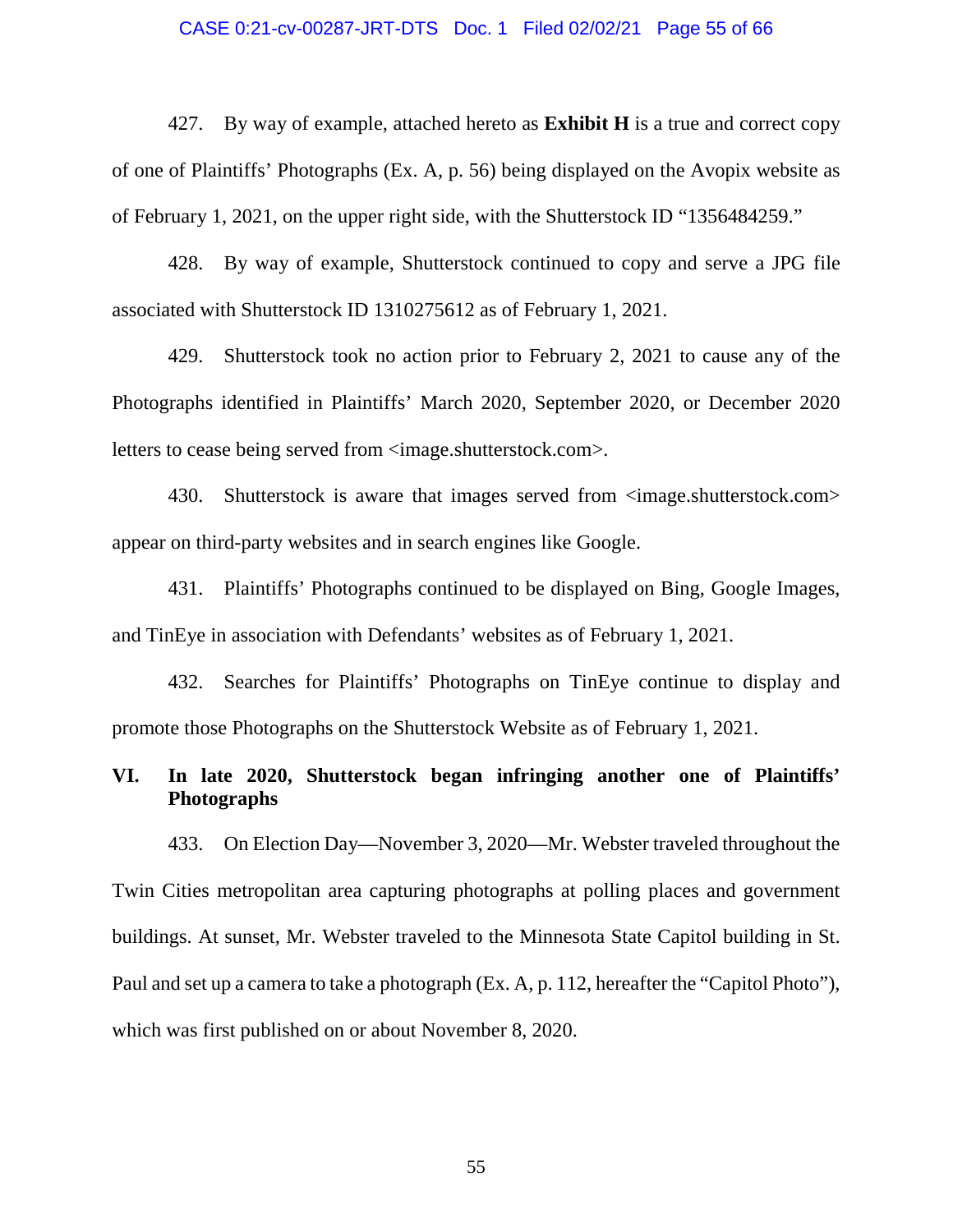### CASE 0:21-cv-00287-JRT-DTS Doc. 1 Filed 02/02/21 Page 55 of 66

427. By way of example, attached hereto as **Exhibit H** is a true and correct copy of one of Plaintiffs' Photographs (Ex. A, p. 56) being displayed on the Avopix website as of February 1, 2021, on the upper right side, with the Shutterstock ID "1356484259."

428. By way of example, Shutterstock continued to copy and serve a JPG file associated with Shutterstock ID 1310275612 as of February 1, 2021.

429. Shutterstock took no action prior to February 2, 2021 to cause any of the Photographs identified in Plaintiffs' March 2020, September 2020, or December 2020 letters to cease being served from <image.shutterstock.com>.

430. Shutterstock is aware that images served from  $\langle$ image.shutterstock.com> appear on third-party websites and in search engines like Google.

431. Plaintiffs' Photographs continued to be displayed on Bing, Google Images, and TinEye in association with Defendants' websites as of February 1, 2021.

432. Searches for Plaintiffs' Photographs on TinEye continue to display and promote those Photographs on the Shutterstock Website as of February 1, 2021.

### **VI. In late 2020, Shutterstock began infringing another one of Plaintiffs' Photographs**

433. On Election Day—November 3, 2020—Mr. Webster traveled throughout the Twin Cities metropolitan area capturing photographs at polling places and government buildings. At sunset, Mr. Webster traveled to the Minnesota State Capitol building in St. Paul and set up a camera to take a photograph (Ex. A, p. 112, hereafter the "Capitol Photo"), which was first published on or about November 8, 2020.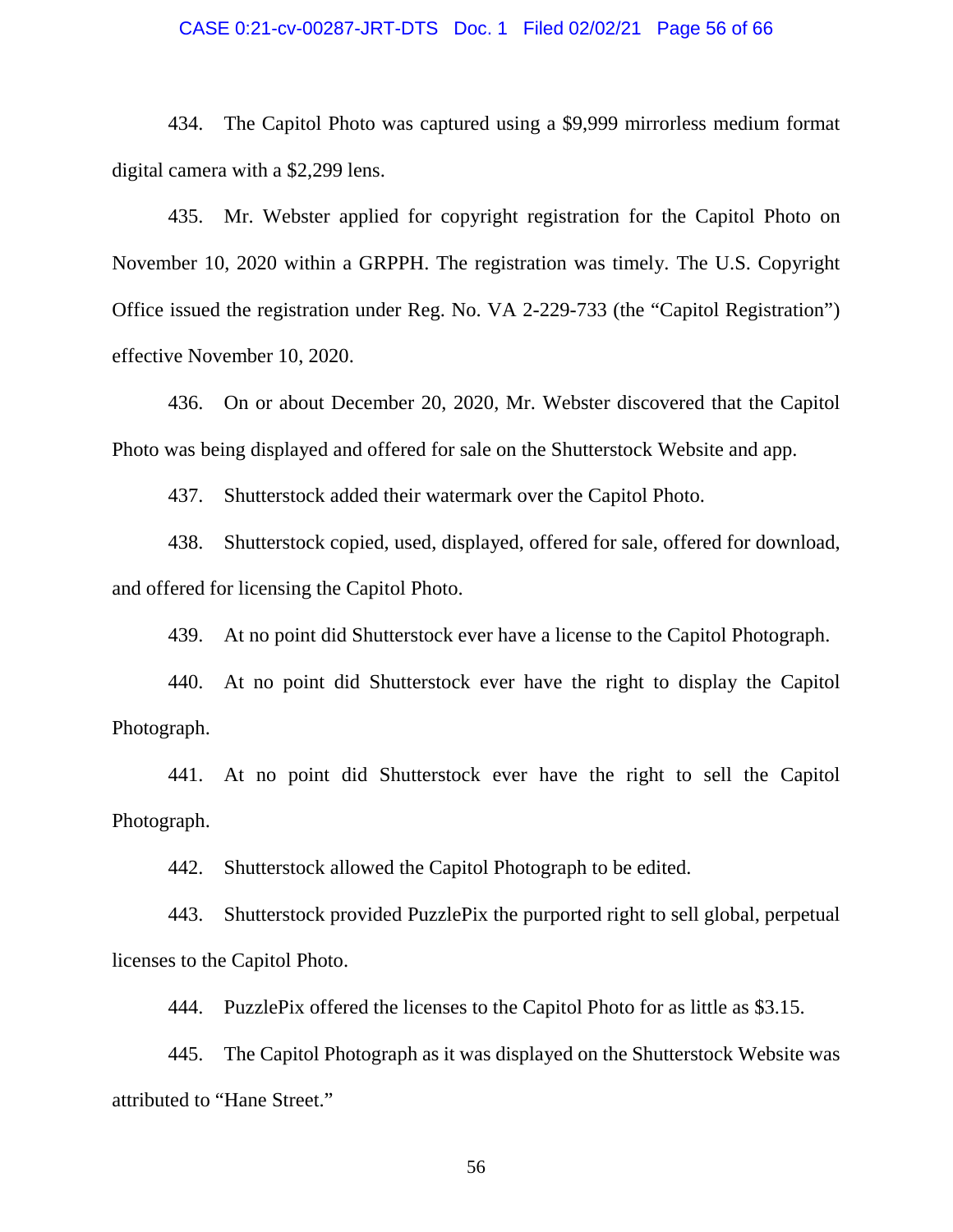#### CASE 0:21-cv-00287-JRT-DTS Doc. 1 Filed 02/02/21 Page 56 of 66

434. The Capitol Photo was captured using a \$9,999 mirrorless medium format digital camera with a \$2,299 lens.

435. Mr. Webster applied for copyright registration for the Capitol Photo on November 10, 2020 within a GRPPH. The registration was timely. The U.S. Copyright Office issued the registration under Reg. No. VA 2-229-733 (the "Capitol Registration") effective November 10, 2020.

436. On or about December 20, 2020, Mr. Webster discovered that the Capitol Photo was being displayed and offered for sale on the Shutterstock Website and app.

437. Shutterstock added their watermark over the Capitol Photo.

438. Shutterstock copied, used, displayed, offered for sale, offered for download, and offered for licensing the Capitol Photo.

439. At no point did Shutterstock ever have a license to the Capitol Photograph.

440. At no point did Shutterstock ever have the right to display the Capitol Photograph.

441. At no point did Shutterstock ever have the right to sell the Capitol Photograph.

442. Shutterstock allowed the Capitol Photograph to be edited.

443. Shutterstock provided PuzzlePix the purported right to sell global, perpetual licenses to the Capitol Photo.

444. PuzzlePix offered the licenses to the Capitol Photo for as little as \$3.15.

445. The Capitol Photograph as it was displayed on the Shutterstock Website was attributed to "Hane Street."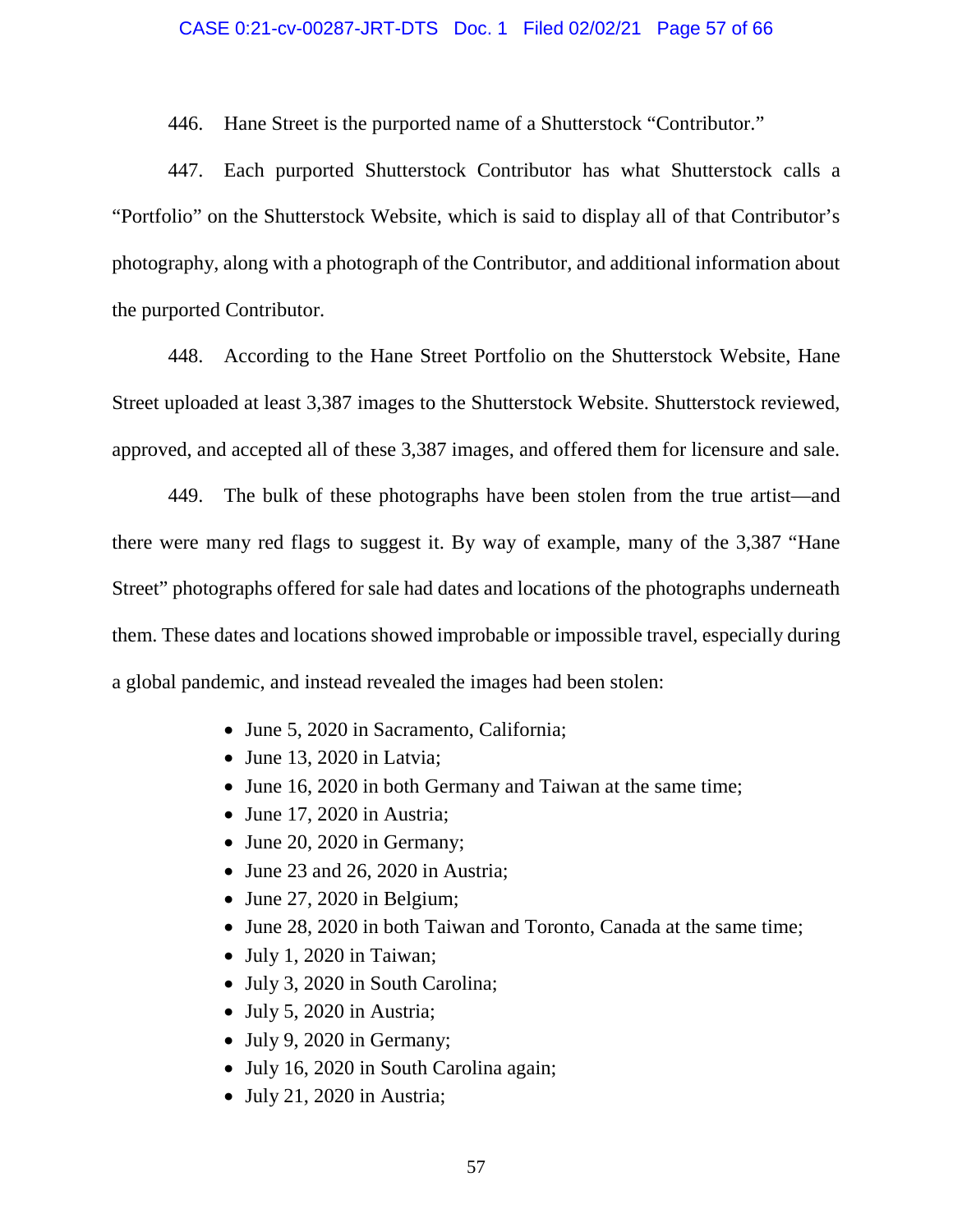### CASE 0:21-cv-00287-JRT-DTS Doc. 1 Filed 02/02/21 Page 57 of 66

446. Hane Street is the purported name of a Shutterstock "Contributor."

447. Each purported Shutterstock Contributor has what Shutterstock calls a "Portfolio" on the Shutterstock Website, which is said to display all of that Contributor's photography, along with a photograph of the Contributor, and additional information about the purported Contributor.

448. According to the Hane Street Portfolio on the Shutterstock Website, Hane Street uploaded at least 3,387 images to the Shutterstock Website. Shutterstock reviewed, approved, and accepted all of these 3,387 images, and offered them for licensure and sale.

449. The bulk of these photographs have been stolen from the true artist—and there were many red flags to suggest it. By way of example, many of the 3,387 "Hane Street" photographs offered for sale had dates and locations of the photographs underneath them. These dates and locations showed improbable or impossible travel, especially during a global pandemic, and instead revealed the images had been stolen:

- June 5, 2020 in Sacramento, California;
- $\bullet$  June 13, 2020 in Latvia;
- June 16, 2020 in both Germany and Taiwan at the same time;
- June 17, 2020 in Austria;
- June 20, 2020 in Germany;
- June 23 and 26, 2020 in Austria;
- $\bullet$  June 27, 2020 in Belgium;
- June 28, 2020 in both Taiwan and Toronto, Canada at the same time;
- July 1, 2020 in Taiwan;
- July 3, 2020 in South Carolina;
- July 5, 2020 in Austria;
- July 9, 2020 in Germany;
- July 16, 2020 in South Carolina again;
- July 21, 2020 in Austria;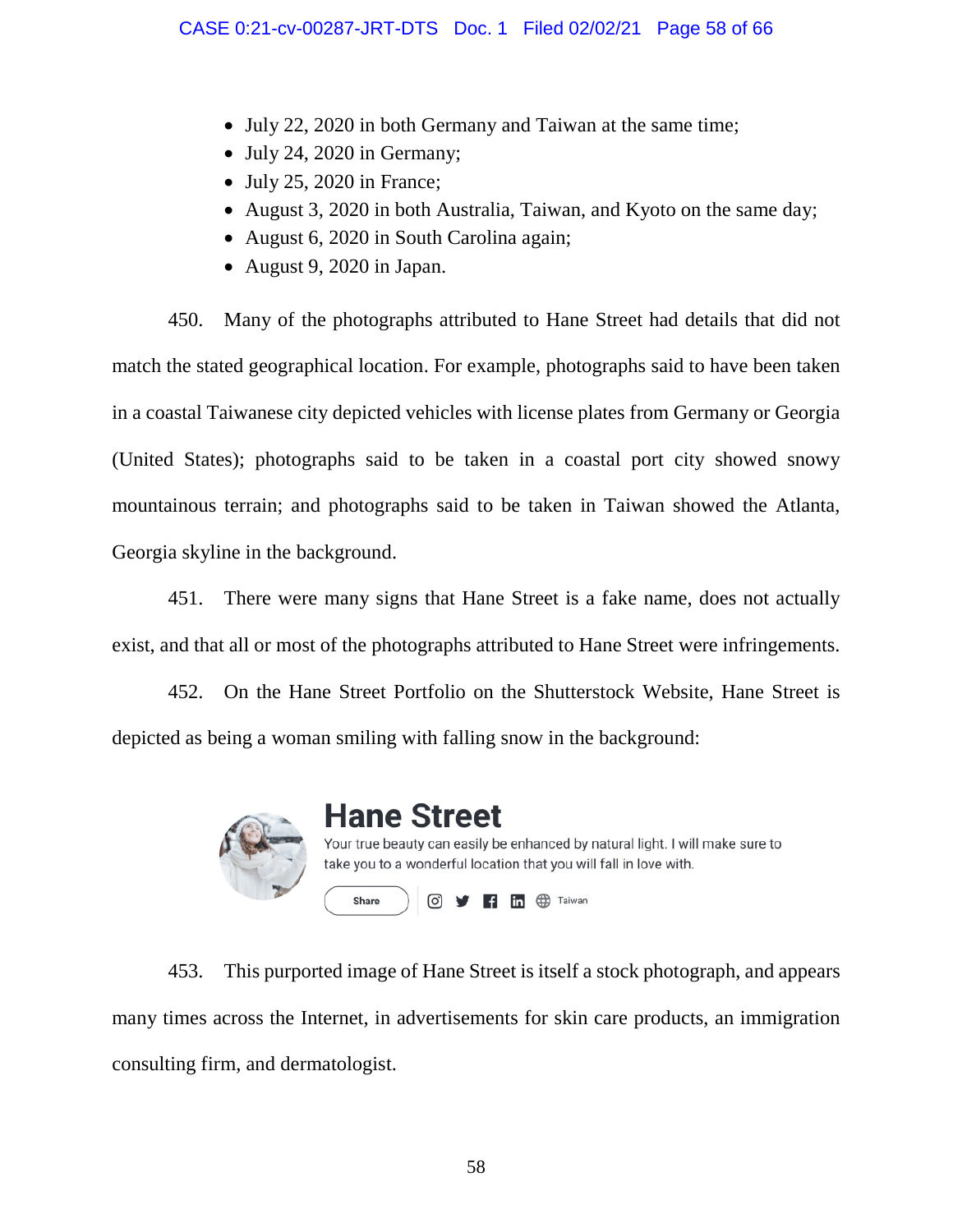- July 22, 2020 in both Germany and Taiwan at the same time;
- $\bullet$  July 24, 2020 in Germany;
- $\bullet$  July 25, 2020 in France;
- August 3, 2020 in both Australia, Taiwan, and Kyoto on the same day;
- August 6, 2020 in South Carolina again;
- August 9, 2020 in Japan.

450. Many of the photographs attributed to Hane Street had details that did not match the stated geographical location. For example, photographs said to have been taken in a coastal Taiwanese city depicted vehicles with license plates from Germany or Georgia (United States); photographs said to be taken in a coastal port city showed snowy mountainous terrain; and photographs said to be taken in Taiwan showed the Atlanta, Georgia skyline in the background.

451. There were many signs that Hane Street is a fake name, does not actually exist, and that all or most of the photographs attributed to Hane Street were infringements.

452. On the Hane Street Portfolio on the Shutterstock Website, Hane Street is depicted as being a woman smiling with falling snow in the background:



# **Hane Street**

Your true beauty can easily be enhanced by natural light. I will make sure to take you to a wonderful location that you will fall in love with. Share **◎ 日間** ⊕ Taiwan

453. This purported image of Hane Street is itself a stock photograph, and appears many times across the Internet, in advertisements for skin care products, an immigration consulting firm, and dermatologist.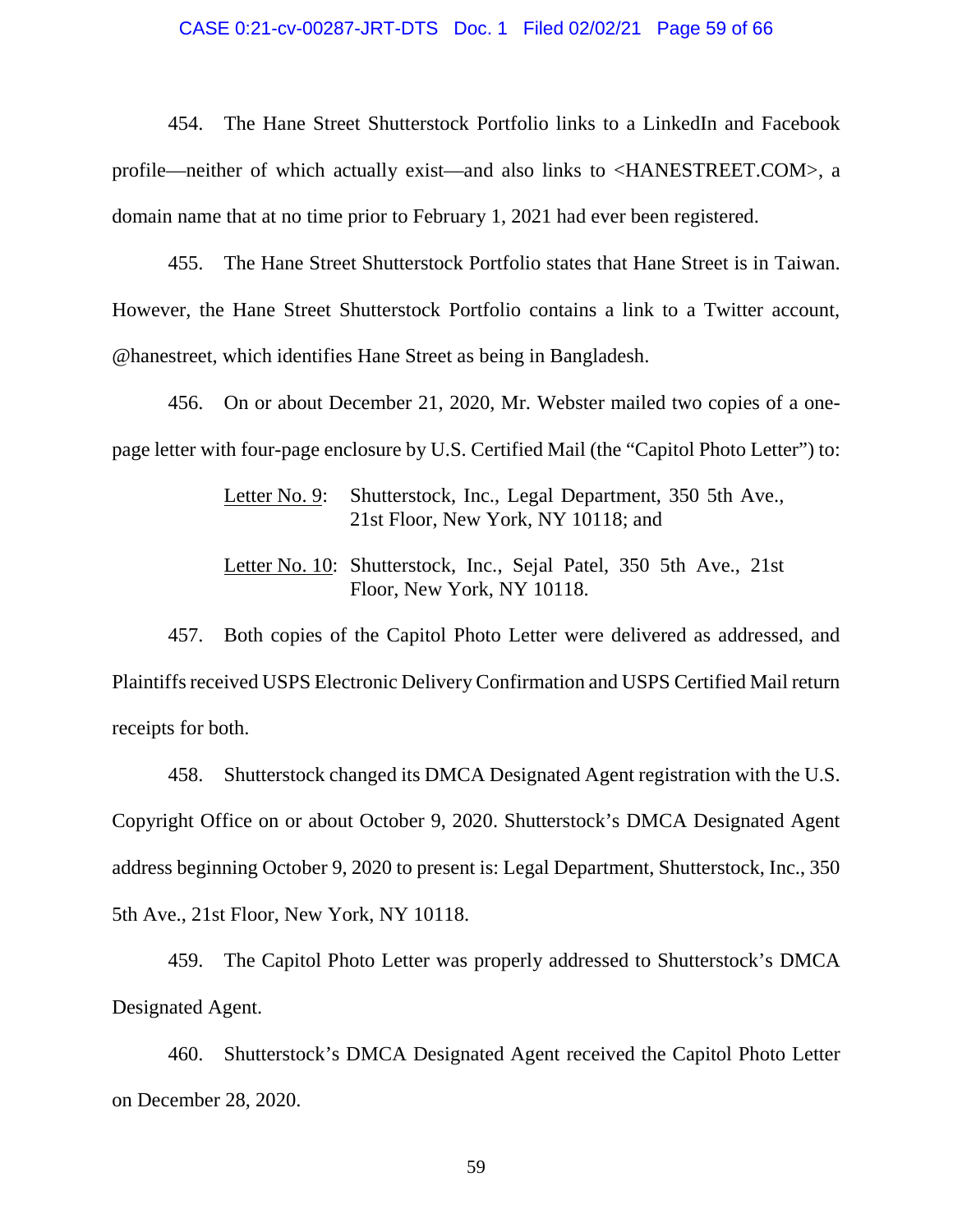#### CASE 0:21-cv-00287-JRT-DTS Doc. 1 Filed 02/02/21 Page 59 of 66

454. The Hane Street Shutterstock Portfolio links to a LinkedIn and Facebook profile—neither of which actually exist—and also links to <HANESTREET.COM>, a domain name that at no time prior to February 1, 2021 had ever been registered.

455. The Hane Street Shutterstock Portfolio states that Hane Street is in Taiwan. However, the Hane Street Shutterstock Portfolio contains a link to a Twitter account, @hanestreet, which identifies Hane Street as being in Bangladesh.

456. On or about December 21, 2020, Mr. Webster mailed two copies of a onepage letter with four-page enclosure by U.S. Certified Mail (the "Capitol Photo Letter") to:

> Letter No. 9: Shutterstock, Inc., Legal Department, 350 5th Ave., 21st Floor, New York, NY 10118; and

> Letter No. 10: Shutterstock, Inc., Sejal Patel, 350 5th Ave., 21st Floor, New York, NY 10118.

457. Both copies of the Capitol Photo Letter were delivered as addressed, and Plaintiffs received USPS Electronic Delivery Confirmation and USPS Certified Mail return receipts for both.

458. Shutterstock changed its DMCA Designated Agent registration with the U.S. Copyright Office on or about October 9, 2020. Shutterstock's DMCA Designated Agent address beginning October 9, 2020 to present is: Legal Department, Shutterstock, Inc., 350 5th Ave., 21st Floor, New York, NY 10118.

459. The Capitol Photo Letter was properly addressed to Shutterstock's DMCA Designated Agent.

460. Shutterstock's DMCA Designated Agent received the Capitol Photo Letter on December 28, 2020.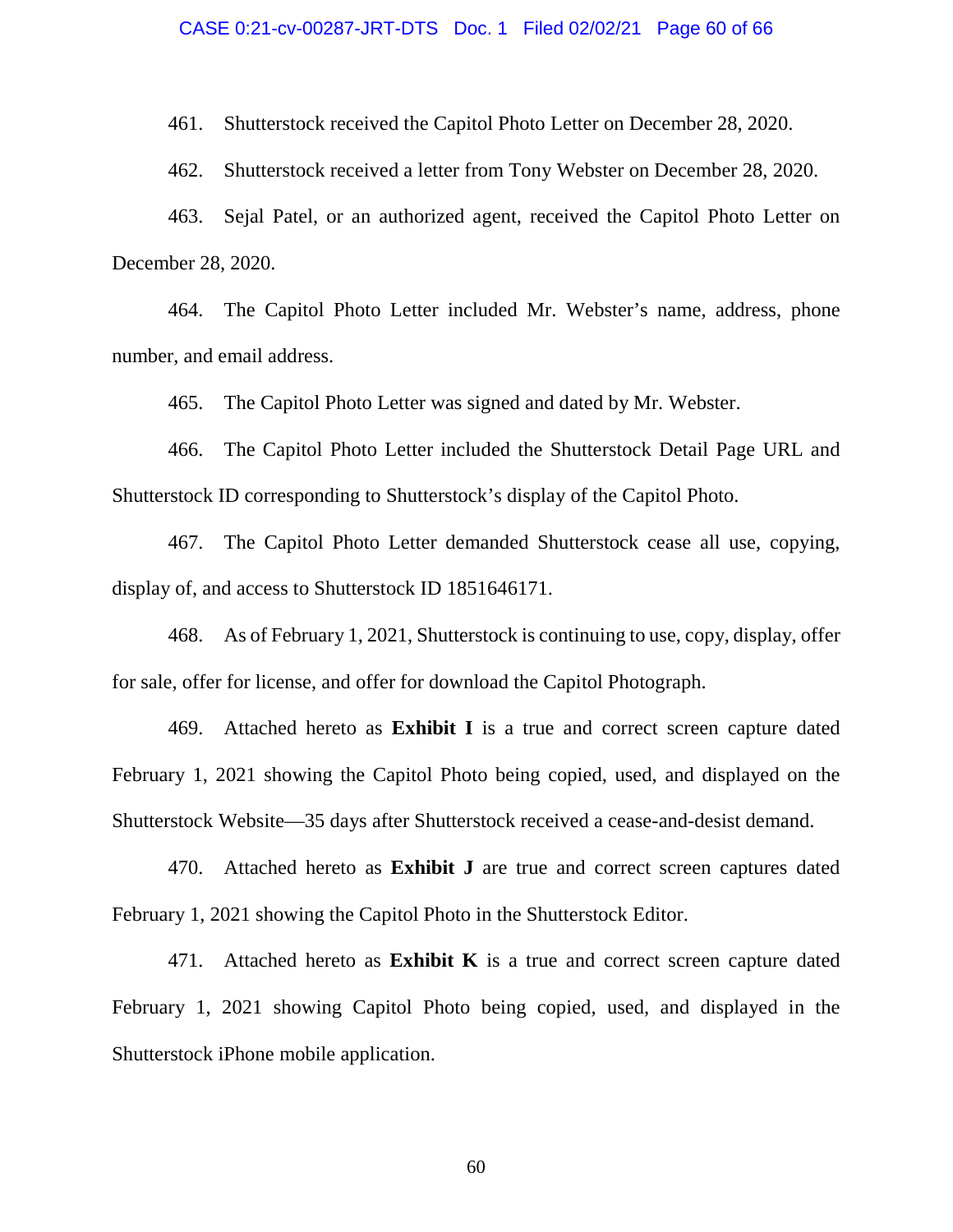#### CASE 0:21-cv-00287-JRT-DTS Doc. 1 Filed 02/02/21 Page 60 of 66

461. Shutterstock received the Capitol Photo Letter on December 28, 2020.

462. Shutterstock received a letter from Tony Webster on December 28, 2020.

463. Sejal Patel, or an authorized agent, received the Capitol Photo Letter on December 28, 2020.

464. The Capitol Photo Letter included Mr. Webster's name, address, phone number, and email address.

465. The Capitol Photo Letter was signed and dated by Mr. Webster.

466. The Capitol Photo Letter included the Shutterstock Detail Page URL and Shutterstock ID corresponding to Shutterstock's display of the Capitol Photo.

467. The Capitol Photo Letter demanded Shutterstock cease all use, copying, display of, and access to Shutterstock ID 1851646171.

468. As of February 1, 2021, Shutterstock is continuing to use, copy, display, offer for sale, offer for license, and offer for download the Capitol Photograph.

469. Attached hereto as **Exhibit I** is a true and correct screen capture dated February 1, 2021 showing the Capitol Photo being copied, used, and displayed on the Shutterstock Website—35 days after Shutterstock received a cease-and-desist demand.

470. Attached hereto as **Exhibit J** are true and correct screen captures dated February 1, 2021 showing the Capitol Photo in the Shutterstock Editor.

471. Attached hereto as **Exhibit K** is a true and correct screen capture dated February 1, 2021 showing Capitol Photo being copied, used, and displayed in the Shutterstock iPhone mobile application.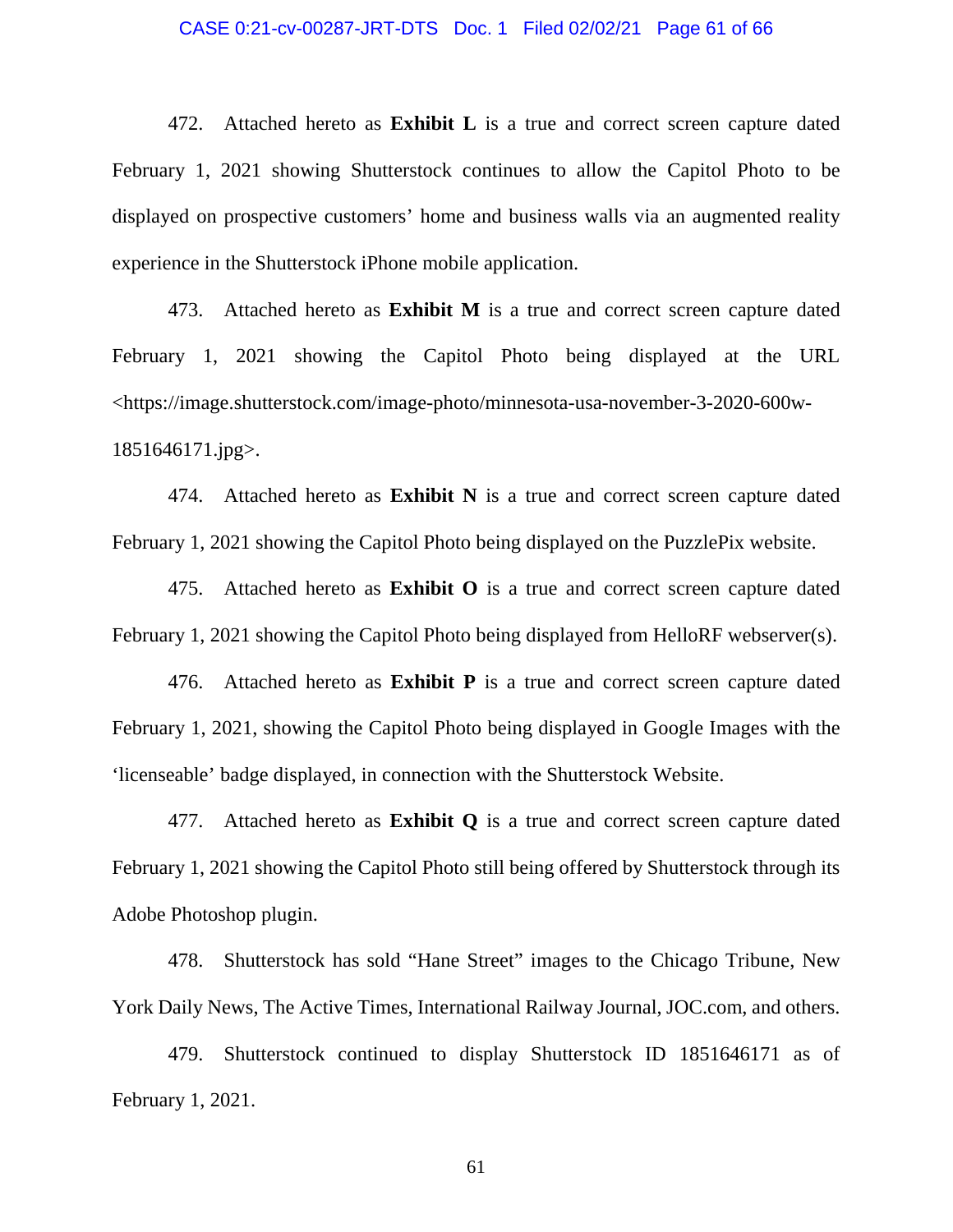#### CASE 0:21-cv-00287-JRT-DTS Doc. 1 Filed 02/02/21 Page 61 of 66

472. Attached hereto as **Exhibit L** is a true and correct screen capture dated February 1, 2021 showing Shutterstock continues to allow the Capitol Photo to be displayed on prospective customers' home and business walls via an augmented reality experience in the Shutterstock iPhone mobile application.

473. Attached hereto as **Exhibit M** is a true and correct screen capture dated February 1, 2021 showing the Capitol Photo being displayed at the URL <https://image.shutterstock.com/image-photo/minnesota-usa-november-3-2020-600w-1851646171.jpg>.

474. Attached hereto as **Exhibit N** is a true and correct screen capture dated February 1, 2021 showing the Capitol Photo being displayed on the PuzzlePix website.

475. Attached hereto as **Exhibit O** is a true and correct screen capture dated February 1, 2021 showing the Capitol Photo being displayed from HelloRF webserver(s).

476. Attached hereto as **Exhibit P** is a true and correct screen capture dated February 1, 2021, showing the Capitol Photo being displayed in Google Images with the 'licenseable' badge displayed, in connection with the Shutterstock Website.

477. Attached hereto as **Exhibit Q** is a true and correct screen capture dated February 1, 2021 showing the Capitol Photo still being offered by Shutterstock through its Adobe Photoshop plugin.

478. Shutterstock has sold "Hane Street" images to the Chicago Tribune, New York Daily News, The Active Times, International Railway Journal, JOC.com, and others.

479. Shutterstock continued to display Shutterstock ID 1851646171 as of February 1, 2021.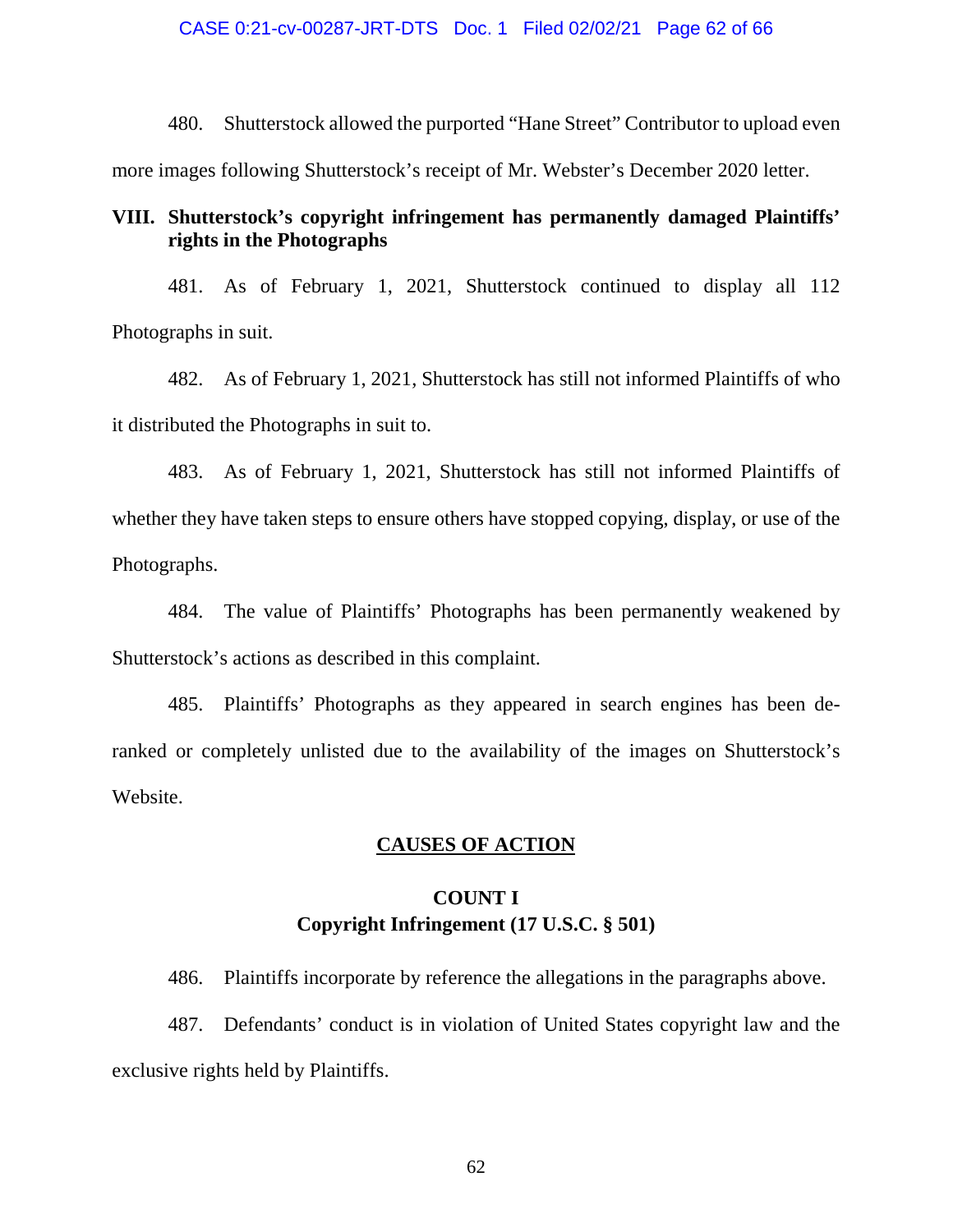480. Shutterstock allowed the purported "Hane Street" Contributor to upload even more images following Shutterstock's receipt of Mr. Webster's December 2020 letter.

### **VIII. Shutterstock's copyright infringement has permanently damaged Plaintiffs' rights in the Photographs**

481. As of February 1, 2021, Shutterstock continued to display all 112 Photographs in suit.

482. As of February 1, 2021, Shutterstock has still not informed Plaintiffs of who it distributed the Photographs in suit to.

483. As of February 1, 2021, Shutterstock has still not informed Plaintiffs of whether they have taken steps to ensure others have stopped copying, display, or use of the Photographs.

484. The value of Plaintiffs' Photographs has been permanently weakened by Shutterstock's actions as described in this complaint.

485. Plaintiffs' Photographs as they appeared in search engines has been deranked or completely unlisted due to the availability of the images on Shutterstock's Website.

### **CAUSES OF ACTION**

# **COUNT I Copyright Infringement (17 U.S.C. § 501)**

486. Plaintiffs incorporate by reference the allegations in the paragraphs above.

487. Defendants' conduct is in violation of United States copyright law and the exclusive rights held by Plaintiffs.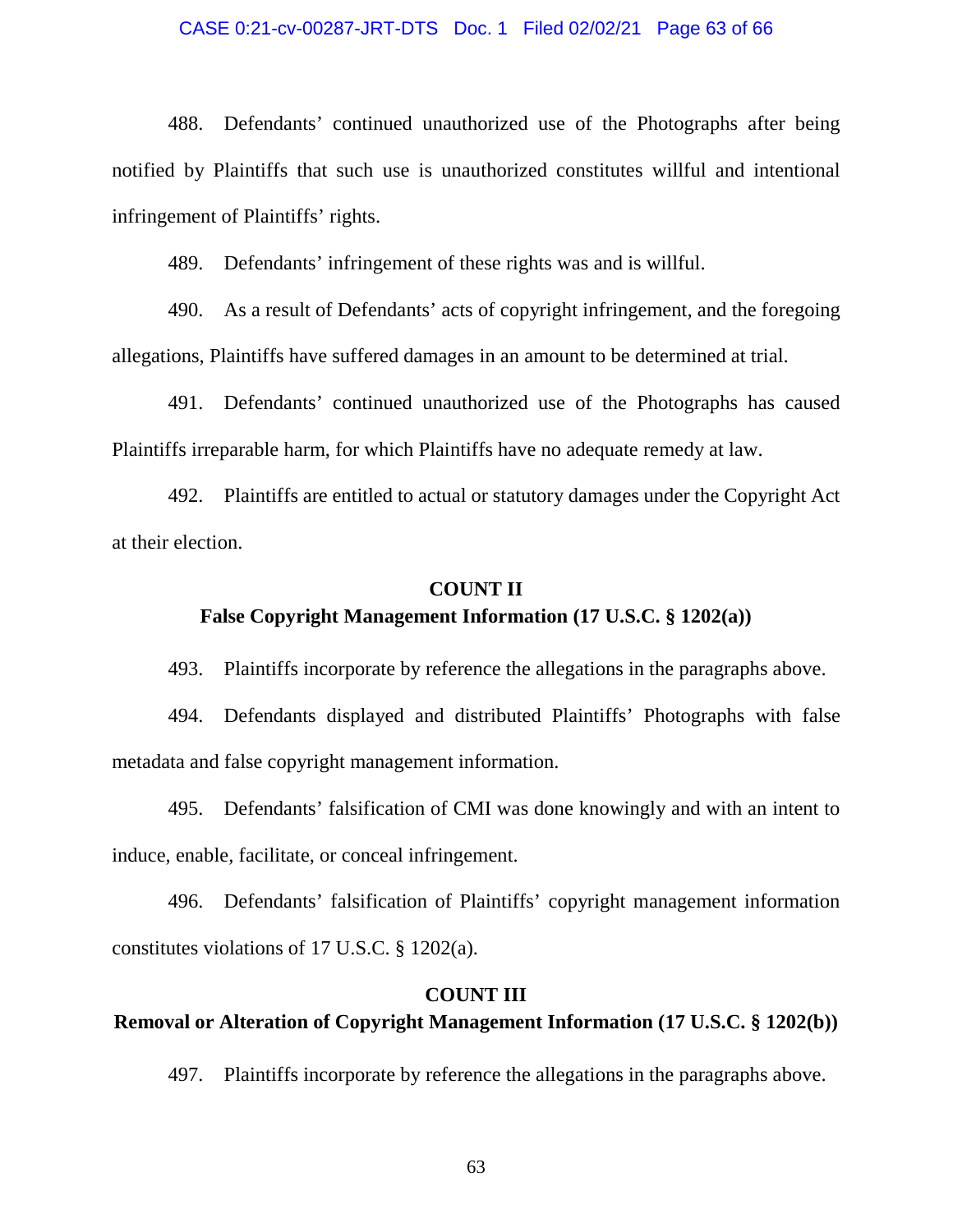#### CASE 0:21-cv-00287-JRT-DTS Doc. 1 Filed 02/02/21 Page 63 of 66

488. Defendants' continued unauthorized use of the Photographs after being notified by Plaintiffs that such use is unauthorized constitutes willful and intentional infringement of Plaintiffs' rights.

489. Defendants' infringement of these rights was and is willful.

490. As a result of Defendants' acts of copyright infringement, and the foregoing allegations, Plaintiffs have suffered damages in an amount to be determined at trial.

491. Defendants' continued unauthorized use of the Photographs has caused Plaintiffs irreparable harm, for which Plaintiffs have no adequate remedy at law.

492. Plaintiffs are entitled to actual or statutory damages under the Copyright Act at their election.

### **COUNT II**

### **False Copyright Management Information (17 U.S.C. § 1202(a))**

493. Plaintiffs incorporate by reference the allegations in the paragraphs above.

494. Defendants displayed and distributed Plaintiffs' Photographs with false metadata and false copyright management information.

495. Defendants' falsification of CMI was done knowingly and with an intent to induce, enable, facilitate, or conceal infringement.

496. Defendants' falsification of Plaintiffs' copyright management information constitutes violations of 17 U.S.C. § 1202(a).

### **COUNT III**

# **Removal or Alteration of Copyright Management Information (17 U.S.C. § 1202(b))**

497. Plaintiffs incorporate by reference the allegations in the paragraphs above.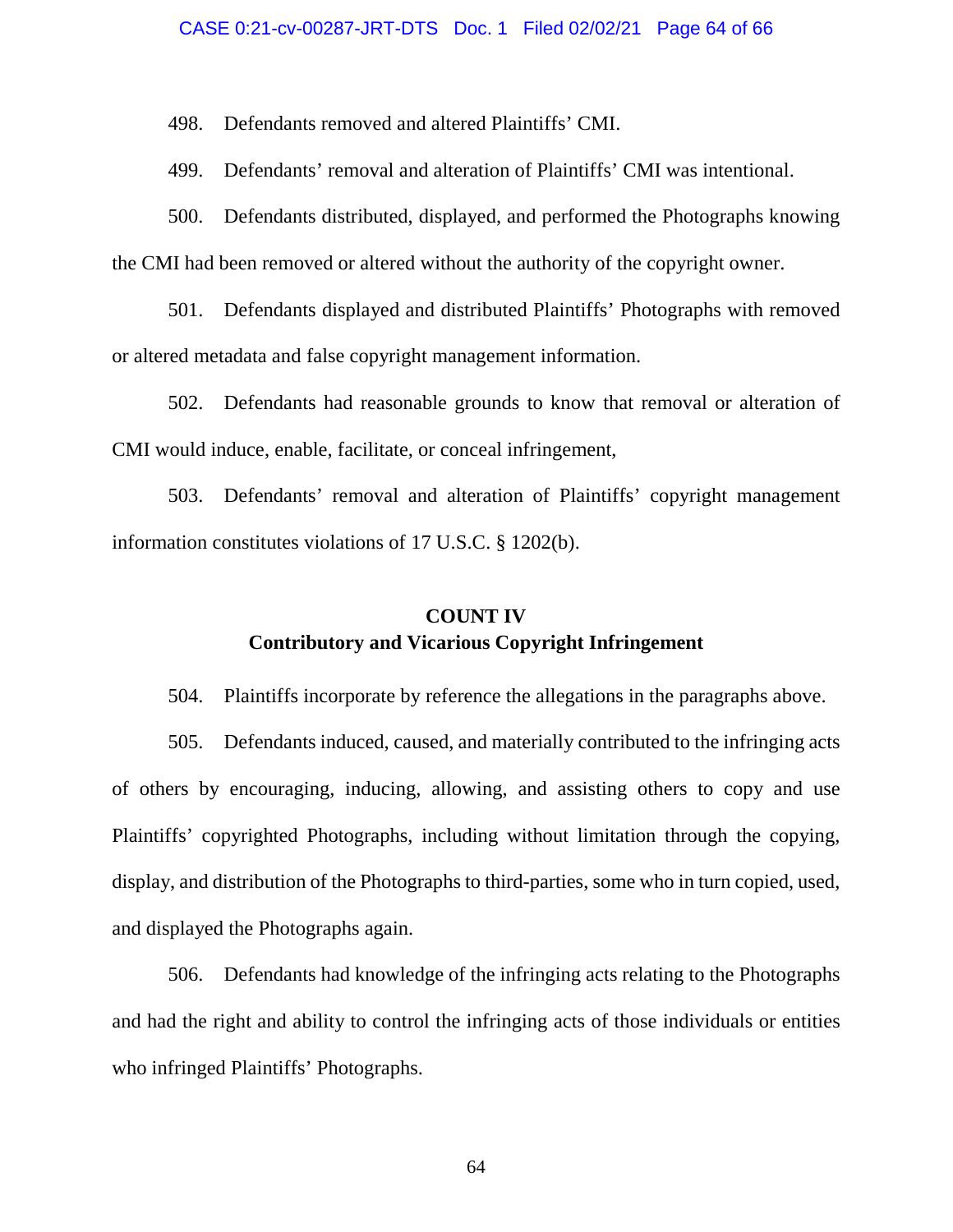#### CASE 0:21-cv-00287-JRT-DTS Doc. 1 Filed 02/02/21 Page 64 of 66

498. Defendants removed and altered Plaintiffs' CMI.

499. Defendants' removal and alteration of Plaintiffs' CMI was intentional.

500. Defendants distributed, displayed, and performed the Photographs knowing the CMI had been removed or altered without the authority of the copyright owner.

501. Defendants displayed and distributed Plaintiffs' Photographs with removed or altered metadata and false copyright management information.

502. Defendants had reasonable grounds to know that removal or alteration of CMI would induce, enable, facilitate, or conceal infringement,

503. Defendants' removal and alteration of Plaintiffs' copyright management information constitutes violations of 17 U.S.C. § 1202(b).

# **COUNT IV Contributory and Vicarious Copyright Infringement**

504. Plaintiffs incorporate by reference the allegations in the paragraphs above.

505. Defendants induced, caused, and materially contributed to the infringing acts of others by encouraging, inducing, allowing, and assisting others to copy and use Plaintiffs' copyrighted Photographs, including without limitation through the copying, display, and distribution of the Photographs to third-parties, some who in turn copied, used, and displayed the Photographs again.

506. Defendants had knowledge of the infringing acts relating to the Photographs and had the right and ability to control the infringing acts of those individuals or entities who infringed Plaintiffs' Photographs.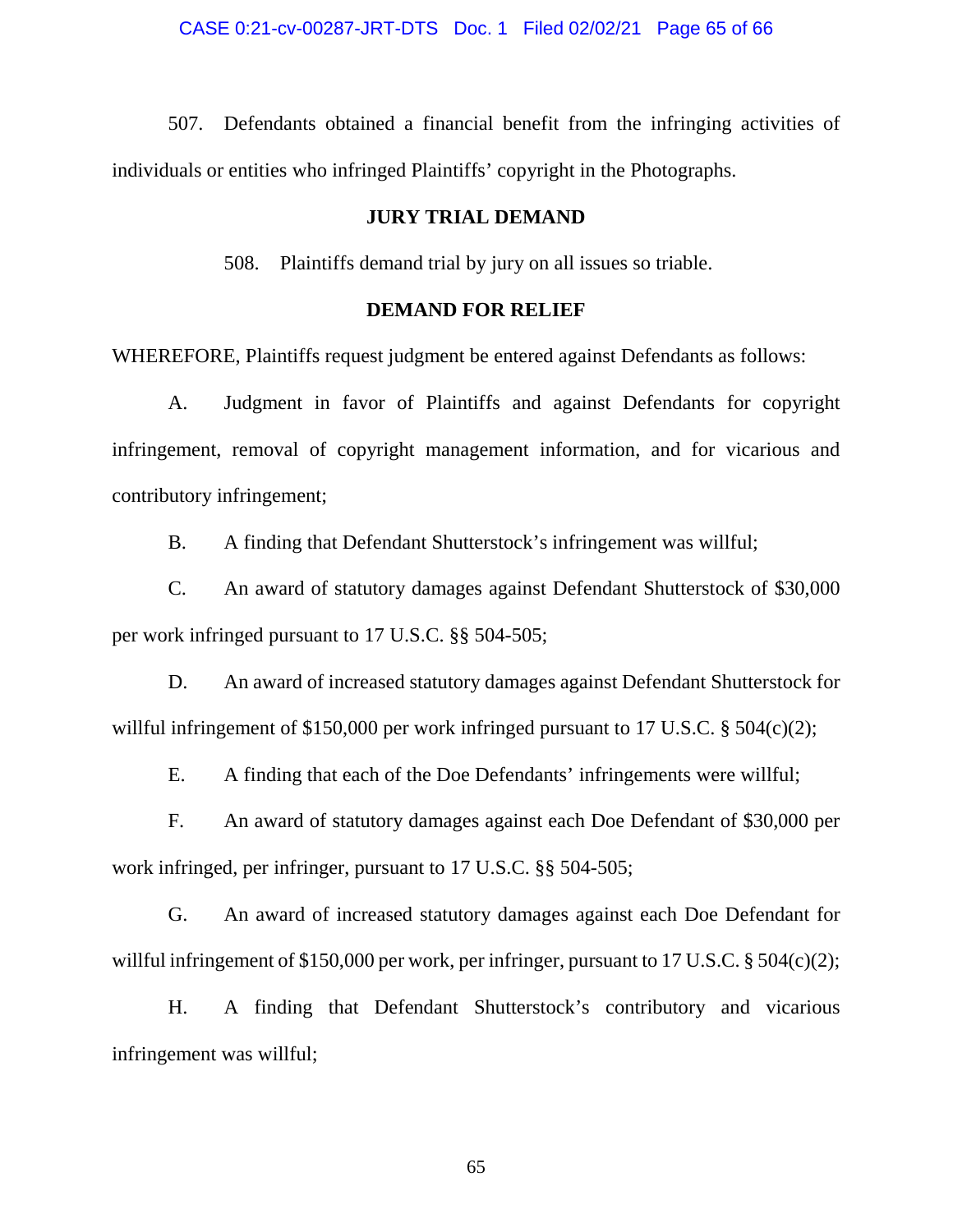#### CASE 0:21-cv-00287-JRT-DTS Doc. 1 Filed 02/02/21 Page 65 of 66

507. Defendants obtained a financial benefit from the infringing activities of individuals or entities who infringed Plaintiffs' copyright in the Photographs.

### **JURY TRIAL DEMAND**

508. Plaintiffs demand trial by jury on all issues so triable.

### **DEMAND FOR RELIEF**

WHEREFORE, Plaintiffs request judgment be entered against Defendants as follows:

A. Judgment in favor of Plaintiffs and against Defendants for copyright infringement, removal of copyright management information, and for vicarious and contributory infringement;

B. A finding that Defendant Shutterstock's infringement was willful;

C. An award of statutory damages against Defendant Shutterstock of \$30,000 per work infringed pursuant to 17 U.S.C. §§ 504-505;

D. An award of increased statutory damages against Defendant Shutterstock for willful infringement of \$150,000 per work infringed pursuant to 17 U.S.C. § 504(c)(2);

E. A finding that each of the Doe Defendants' infringements were willful;

F. An award of statutory damages against each Doe Defendant of \$30,000 per work infringed, per infringer, pursuant to 17 U.S.C. §§ 504-505;

G. An award of increased statutory damages against each Doe Defendant for willful infringement of \$150,000 per work, per infringer, pursuant to 17 U.S.C. § 504(c)(2);

H. A finding that Defendant Shutterstock's contributory and vicarious infringement was willful;